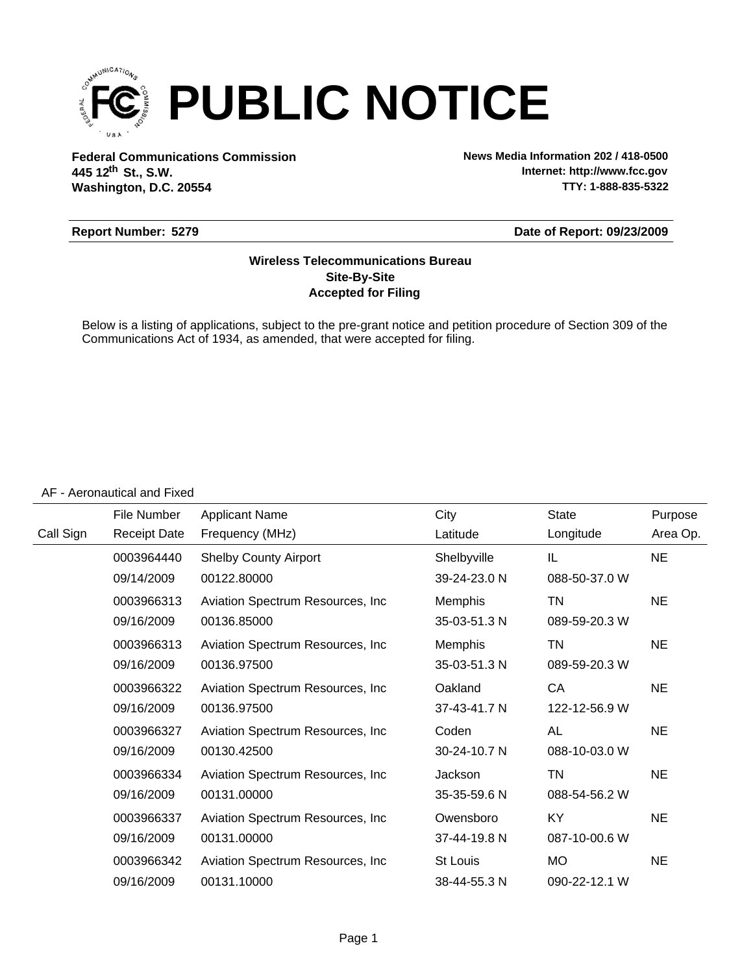

**Federal Communications Commission News Media Information 202 / 418-0500 Washington, D.C. 20554 th 445 12 St., S.W.**

**Internet: http://www.fcc.gov TTY: 1-888-835-5322**

#### **Report Number: 5279**

#### **Date of Report: 09/23/2009**

### **Accepted for Filing Site-By-Site Wireless Telecommunications Bureau**

Below is a listing of applications, subject to the pre-grant notice and petition procedure of Section 309 of the Communications Act of 1934, as amended, that were accepted for filing.

#### AF - Aeronautical and Fixed

|           | File Number         | <b>Applicant Name</b>             | City           | <b>State</b>  | Purpose   |
|-----------|---------------------|-----------------------------------|----------------|---------------|-----------|
| Call Sign | <b>Receipt Date</b> | Frequency (MHz)                   | Latitude       | Longitude     | Area Op.  |
|           | 0003964440          | <b>Shelby County Airport</b>      | Shelbyville    | IL            | <b>NE</b> |
|           | 09/14/2009          | 00122.80000                       | 39-24-23.0 N   | 088-50-37.0 W |           |
|           | 0003966313          | Aviation Spectrum Resources, Inc. | <b>Memphis</b> | TN            | <b>NE</b> |
|           | 09/16/2009          | 00136.85000                       | 35-03-51.3 N   | 089-59-20.3 W |           |
|           | 0003966313          | Aviation Spectrum Resources, Inc. | <b>Memphis</b> | TN            | <b>NE</b> |
|           | 09/16/2009          | 00136.97500                       | 35-03-51.3 N   | 089-59-20.3 W |           |
|           | 0003966322          | Aviation Spectrum Resources, Inc. | Oakland        | CA            | <b>NE</b> |
|           | 09/16/2009          | 00136.97500                       | 37-43-41.7 N   | 122-12-56.9 W |           |
|           | 0003966327          | Aviation Spectrum Resources, Inc. | Coden          | AL            | <b>NE</b> |
|           | 09/16/2009          | 00130.42500                       | 30-24-10.7 N   | 088-10-03.0 W |           |
|           | 0003966334          | Aviation Spectrum Resources, Inc. | Jackson        | TN            | <b>NE</b> |
|           | 09/16/2009          | 00131.00000                       | 35-35-59.6 N   | 088-54-56.2 W |           |
|           | 0003966337          | Aviation Spectrum Resources, Inc. | Owensboro      | KY            | <b>NE</b> |
|           | 09/16/2009          | 00131.00000                       | 37-44-19.8 N   | 087-10-00.6 W |           |
|           | 0003966342          | Aviation Spectrum Resources, Inc. | St Louis       | MO            | <b>NE</b> |
|           | 09/16/2009          | 00131.10000                       | 38-44-55.3 N   | 090-22-12.1 W |           |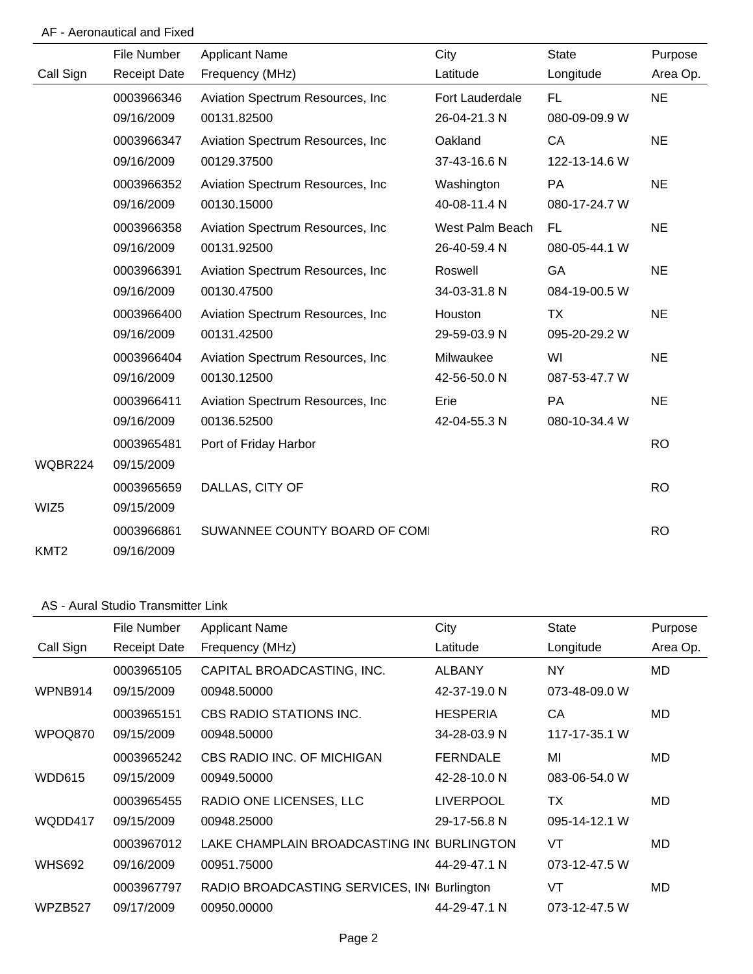### AF - Aeronautical and Fixed

|                  | File Number         | <b>Applicant Name</b>             | City            | <b>State</b>  | Purpose   |
|------------------|---------------------|-----------------------------------|-----------------|---------------|-----------|
| Call Sign        | <b>Receipt Date</b> | Frequency (MHz)                   | Latitude        | Longitude     | Area Op.  |
|                  | 0003966346          | Aviation Spectrum Resources, Inc  | Fort Lauderdale | FL.           | <b>NE</b> |
|                  | 09/16/2009          | 00131.82500                       | 26-04-21.3 N    | 080-09-09.9 W |           |
|                  | 0003966347          | Aviation Spectrum Resources, Inc. | Oakland         | CA            | <b>NE</b> |
|                  | 09/16/2009          | 00129.37500                       | 37-43-16.6 N    | 122-13-14.6 W |           |
|                  | 0003966352          | Aviation Spectrum Resources, Inc. | Washington      | PA            | <b>NE</b> |
|                  | 09/16/2009          | 00130.15000                       | 40-08-11.4 N    | 080-17-24.7 W |           |
|                  | 0003966358          | Aviation Spectrum Resources, Inc. | West Palm Beach | <b>FL</b>     | <b>NE</b> |
|                  | 09/16/2009          | 00131.92500                       | 26-40-59.4 N    | 080-05-44.1 W |           |
|                  | 0003966391          | Aviation Spectrum Resources, Inc. | Roswell         | GA            | <b>NE</b> |
|                  | 09/16/2009          | 00130.47500                       | 34-03-31.8 N    | 084-19-00.5 W |           |
|                  | 0003966400          | Aviation Spectrum Resources, Inc. | Houston         | TX            | <b>NE</b> |
|                  | 09/16/2009          | 00131.42500                       | 29-59-03.9 N    | 095-20-29.2 W |           |
|                  | 0003966404          | Aviation Spectrum Resources, Inc. | Milwaukee       | WI            | <b>NE</b> |
|                  | 09/16/2009          | 00130.12500                       | 42-56-50.0 N    | 087-53-47.7 W |           |
|                  | 0003966411          | Aviation Spectrum Resources, Inc  | Erie            | <b>PA</b>     | <b>NE</b> |
|                  | 09/16/2009          | 00136.52500                       | 42-04-55.3 N    | 080-10-34.4 W |           |
|                  | 0003965481          | Port of Friday Harbor             |                 |               | <b>RO</b> |
| WQBR224          | 09/15/2009          |                                   |                 |               |           |
|                  | 0003965659          | DALLAS, CITY OF                   |                 |               | <b>RO</b> |
| WIZ5             | 09/15/2009          |                                   |                 |               |           |
|                  | 0003966861          | SUWANNEE COUNTY BOARD OF COMI     |                 |               | <b>RO</b> |
| KMT <sub>2</sub> | 09/16/2009          |                                   |                 |               |           |

### AS - Aural Studio Transmitter Link

|               | File Number         | <b>Applicant Name</b>                       | City             | <b>State</b>  | Purpose  |
|---------------|---------------------|---------------------------------------------|------------------|---------------|----------|
| Call Sign     | <b>Receipt Date</b> | Frequency (MHz)                             | Latitude         | Longitude     | Area Op. |
|               | 0003965105          | CAPITAL BROADCASTING, INC.                  | <b>ALBANY</b>    | <b>NY</b>     | MD       |
| WPNB914       | 09/15/2009          | 00948.50000                                 | 42-37-19.0 N     | 073-48-09.0 W |          |
|               | 0003965151          | CBS RADIO STATIONS INC.                     | <b>HESPERIA</b>  | CA            | MD.      |
| WPOQ870       | 09/15/2009          | 00948.50000                                 | 34-28-03.9 N     | 117-17-35.1 W |          |
|               | 0003965242          | CBS RADIO INC. OF MICHIGAN                  | <b>FERNDALE</b>  | MI            | MD       |
| WDD615        | 09/15/2009          | 00949.50000                                 | 42-28-10.0 N     | 083-06-54.0 W |          |
|               | 0003965455          | RADIO ONE LICENSES, LLC                     | <b>LIVERPOOL</b> | ТX            | MD       |
| WQDD417       | 09/15/2009          | 00948.25000                                 | 29-17-56.8 N     | 095-14-12.1 W |          |
|               | 0003967012          | LAKE CHAMPLAIN BROADCASTING INC BURLINGTON  |                  | VT            | MD.      |
| <b>WHS692</b> | 09/16/2009          | 00951.75000                                 | 44-29-47.1 N     | 073-12-47.5 W |          |
|               | 0003967797          | RADIO BROADCASTING SERVICES, INI Burlington |                  | VT            | MD       |
| WPZB527       | 09/17/2009          | 00950.00000                                 | 44-29-47.1 N     | 073-12-47.5 W |          |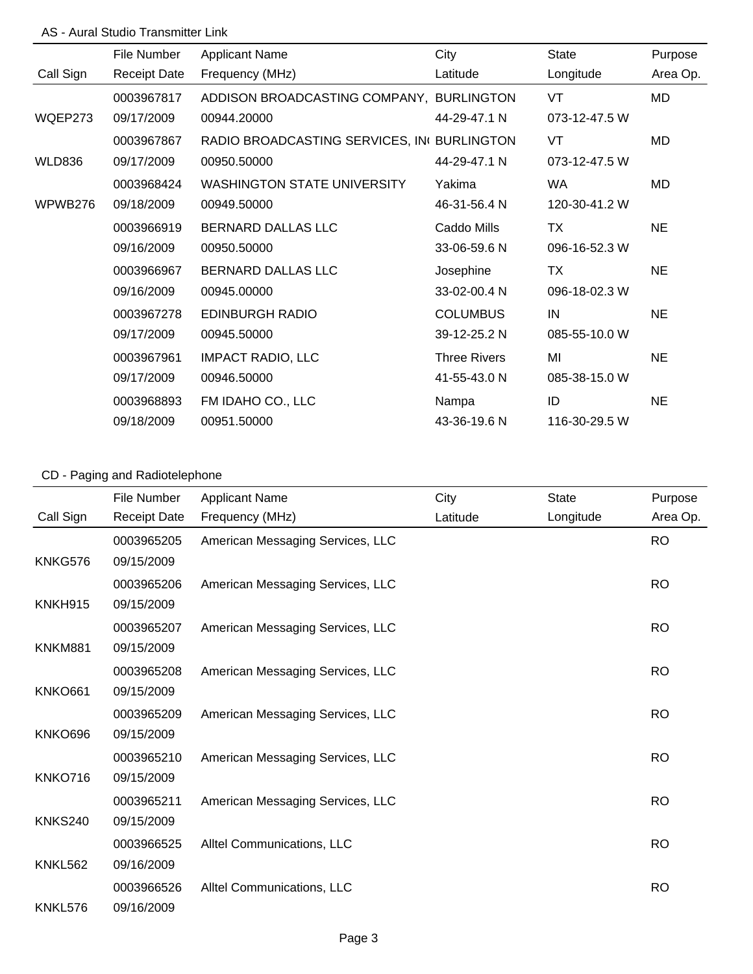### AS - Aural Studio Transmitter Link

|               | File Number         | <b>Applicant Name</b>                      | City                | <b>State</b>  | Purpose   |
|---------------|---------------------|--------------------------------------------|---------------------|---------------|-----------|
| Call Sign     | <b>Receipt Date</b> | Frequency (MHz)                            | Latitude            | Longitude     | Area Op.  |
|               | 0003967817          | ADDISON BROADCASTING COMPANY, BURLINGTON   |                     | VT            | MD        |
| WQEP273       | 09/17/2009          | 00944.20000                                | 44-29-47.1 N        | 073-12-47.5 W |           |
|               | 0003967867          | RADIO BROADCASTING SERVICES, IN BURLINGTON |                     | VT            | MD        |
| <b>WLD836</b> | 09/17/2009          | 00950.50000                                | 44-29-47.1 N        | 073-12-47.5 W |           |
|               | 0003968424          | <b>WASHINGTON STATE UNIVERSITY</b>         | Yakima              | <b>WA</b>     | MD        |
| WPWB276       | 09/18/2009          | 00949.50000                                | 46-31-56.4 N        | 120-30-41.2 W |           |
|               | 0003966919          | <b>BERNARD DALLAS LLC</b>                  | Caddo Mills         | <b>TX</b>     | <b>NE</b> |
|               | 09/16/2009          | 00950.50000                                | 33-06-59.6 N        | 096-16-52.3 W |           |
|               | 0003966967          | <b>BERNARD DALLAS LLC</b>                  | Josephine           | <b>TX</b>     | <b>NE</b> |
|               | 09/16/2009          | 00945.00000                                | 33-02-00.4 N        | 096-18-02.3 W |           |
|               | 0003967278          | <b>EDINBURGH RADIO</b>                     | <b>COLUMBUS</b>     | IN            | <b>NE</b> |
|               | 09/17/2009          | 00945.50000                                | 39-12-25.2 N        | 085-55-10.0 W |           |
|               | 0003967961          | <b>IMPACT RADIO, LLC</b>                   | <b>Three Rivers</b> | MI            | <b>NE</b> |
|               | 09/17/2009          | 00946.50000                                | 41-55-43.0 N        | 085-38-15.0 W |           |
|               | 0003968893          | FM IDAHO CO., LLC                          | Nampa               | ID            | <b>NE</b> |
|               | 09/18/2009          | 00951.50000                                | 43-36-19.6 N        | 116-30-29.5 W |           |

# CD - Paging and Radiotelephone

|                | File Number         | <b>Applicant Name</b>            | City     | <b>State</b> | Purpose   |
|----------------|---------------------|----------------------------------|----------|--------------|-----------|
| Call Sign      | <b>Receipt Date</b> | Frequency (MHz)                  | Latitude | Longitude    | Area Op.  |
|                | 0003965205          | American Messaging Services, LLC |          |              | <b>RO</b> |
| KNKG576        | 09/15/2009          |                                  |          |              |           |
|                | 0003965206          | American Messaging Services, LLC |          |              | <b>RO</b> |
| KNKH915        | 09/15/2009          |                                  |          |              |           |
|                | 0003965207          | American Messaging Services, LLC |          |              | <b>RO</b> |
| KNKM881        | 09/15/2009          |                                  |          |              |           |
|                | 0003965208          | American Messaging Services, LLC |          |              | <b>RO</b> |
| <b>KNKO661</b> | 09/15/2009          |                                  |          |              |           |
|                | 0003965209          | American Messaging Services, LLC |          |              | <b>RO</b> |
| KNKO696        | 09/15/2009          |                                  |          |              |           |
|                | 0003965210          | American Messaging Services, LLC |          |              | <b>RO</b> |
| KNKO716        | 09/15/2009          |                                  |          |              |           |
|                | 0003965211          | American Messaging Services, LLC |          |              | <b>RO</b> |
| KNKS240        | 09/15/2009          |                                  |          |              |           |
|                | 0003966525          | Alltel Communications, LLC       |          |              | <b>RO</b> |
| <b>KNKL562</b> | 09/16/2009          |                                  |          |              |           |
|                | 0003966526          | Alltel Communications, LLC       |          |              | <b>RO</b> |
| KNKL576        | 09/16/2009          |                                  |          |              |           |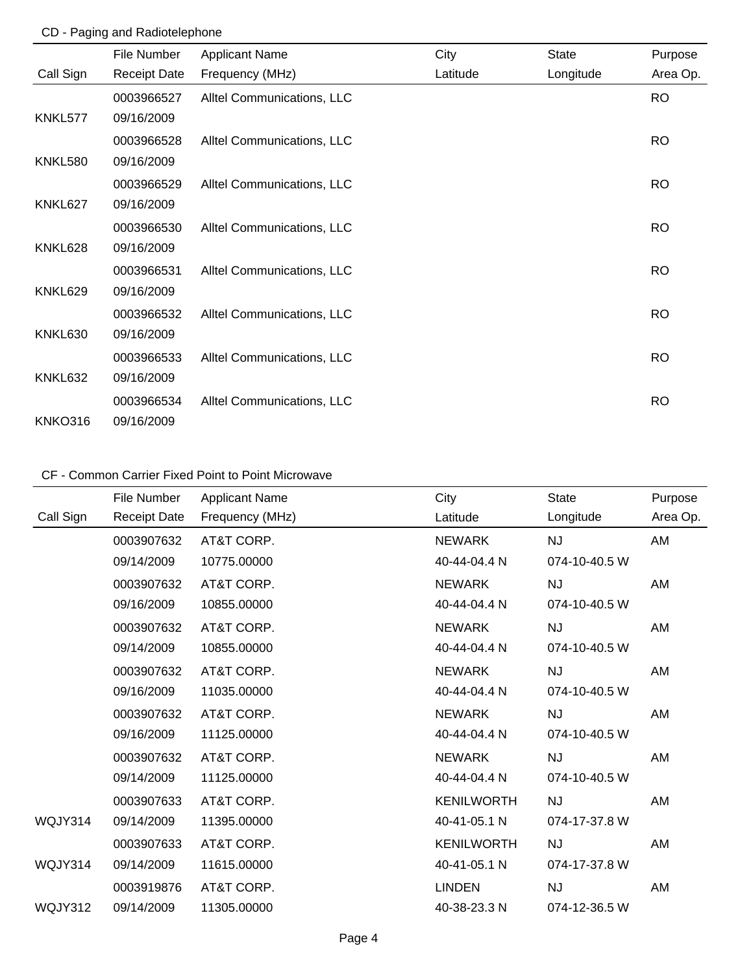### CD - Paging and Radiotelephone

|                | File Number         | <b>Applicant Name</b>      | City     | <b>State</b> | Purpose   |
|----------------|---------------------|----------------------------|----------|--------------|-----------|
| Call Sign      | <b>Receipt Date</b> | Frequency (MHz)            | Latitude | Longitude    | Area Op.  |
|                | 0003966527          | Alltel Communications, LLC |          |              | <b>RO</b> |
| KNKL577        | 09/16/2009          |                            |          |              |           |
|                | 0003966528          | Alltel Communications, LLC |          |              | <b>RO</b> |
| <b>KNKL580</b> | 09/16/2009          |                            |          |              |           |
|                | 0003966529          | Alltel Communications, LLC |          |              | <b>RO</b> |
| KNKL627        | 09/16/2009          |                            |          |              |           |
|                | 0003966530          | Alltel Communications, LLC |          |              | <b>RO</b> |
| KNKL628        | 09/16/2009          |                            |          |              |           |
|                | 0003966531          | Alltel Communications, LLC |          |              | <b>RO</b> |
| KNKL629        | 09/16/2009          |                            |          |              |           |
|                | 0003966532          | Alltel Communications, LLC |          |              | <b>RO</b> |
| KNKL630        | 09/16/2009          |                            |          |              |           |
|                | 0003966533          | Alltel Communications, LLC |          |              | <b>RO</b> |
| KNKL632        | 09/16/2009          |                            |          |              |           |
|                | 0003966534          | Alltel Communications, LLC |          |              | <b>RO</b> |
| <b>KNKO316</b> | 09/16/2009          |                            |          |              |           |

|           | File Number         | <b>Applicant Name</b> | City              | <b>State</b>  | Purpose  |
|-----------|---------------------|-----------------------|-------------------|---------------|----------|
| Call Sign | <b>Receipt Date</b> | Frequency (MHz)       | Latitude          | Longitude     | Area Op. |
|           | 0003907632          | AT&T CORP.            | <b>NEWARK</b>     | <b>NJ</b>     | AM       |
|           | 09/14/2009          | 10775.00000           | 40-44-04.4 N      | 074-10-40.5 W |          |
|           | 0003907632          | AT&T CORP.            | <b>NEWARK</b>     | <b>NJ</b>     | AM       |
|           | 09/16/2009          | 10855.00000           | 40-44-04.4 N      | 074-10-40.5 W |          |
|           | 0003907632          | AT&T CORP.            | <b>NEWARK</b>     | <b>NJ</b>     | AM       |
|           | 09/14/2009          | 10855.00000           | 40-44-04.4 N      | 074-10-40.5 W |          |
|           | 0003907632          | AT&T CORP.            | <b>NEWARK</b>     | <b>NJ</b>     | AM       |
|           | 09/16/2009          | 11035.00000           | 40-44-04.4 N      | 074-10-40.5 W |          |
|           | 0003907632          | AT&T CORP.            | <b>NEWARK</b>     | NJ            | AM       |
|           | 09/16/2009          | 11125.00000           | 40-44-04.4 N      | 074-10-40.5 W |          |
|           | 0003907632          | AT&T CORP.            | <b>NEWARK</b>     | <b>NJ</b>     | AM       |
|           | 09/14/2009          | 11125.00000           | 40-44-04.4 N      | 074-10-40.5 W |          |
|           | 0003907633          | AT&T CORP.            | <b>KENILWORTH</b> | <b>NJ</b>     | AM       |
| WQJY314   | 09/14/2009          | 11395.00000           | 40-41-05.1 N      | 074-17-37.8 W |          |
|           | 0003907633          | AT&T CORP.            | <b>KENILWORTH</b> | <b>NJ</b>     | AM       |
| WQJY314   | 09/14/2009          | 11615.00000           | 40-41-05.1 N      | 074-17-37.8 W |          |
|           | 0003919876          | AT&T CORP.            | <b>LINDEN</b>     | <b>NJ</b>     | AM       |
| WQJY312   | 09/14/2009          | 11305.00000           | 40-38-23.3 N      | 074-12-36.5 W |          |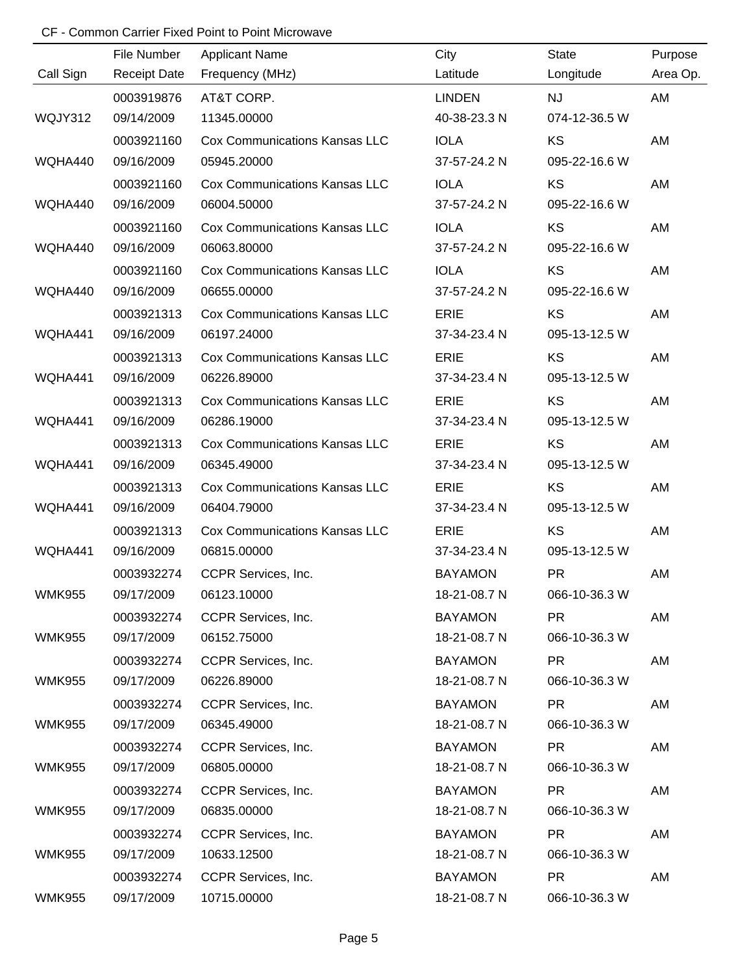|               | File Number         | <b>Applicant Name</b>                | City           | <b>State</b>  | Purpose  |
|---------------|---------------------|--------------------------------------|----------------|---------------|----------|
| Call Sign     | <b>Receipt Date</b> | Frequency (MHz)                      | Latitude       | Longitude     | Area Op. |
|               | 0003919876          | AT&T CORP.                           | <b>LINDEN</b>  | <b>NJ</b>     | AM       |
| WQJY312       | 09/14/2009          | 11345.00000                          | 40-38-23.3 N   | 074-12-36.5 W |          |
|               | 0003921160          | <b>Cox Communications Kansas LLC</b> | <b>IOLA</b>    | KS            | AM       |
| WQHA440       | 09/16/2009          | 05945.20000                          | 37-57-24.2 N   | 095-22-16.6 W |          |
|               | 0003921160          | <b>Cox Communications Kansas LLC</b> | <b>IOLA</b>    | KS            | AM       |
| WQHA440       | 09/16/2009          | 06004.50000                          | 37-57-24.2 N   | 095-22-16.6 W |          |
|               | 0003921160          | <b>Cox Communications Kansas LLC</b> | <b>IOLA</b>    | <b>KS</b>     | AM       |
| WQHA440       | 09/16/2009          | 06063.80000                          | 37-57-24.2 N   | 095-22-16.6 W |          |
|               | 0003921160          | <b>Cox Communications Kansas LLC</b> | <b>IOLA</b>    | <b>KS</b>     | AM       |
| WQHA440       | 09/16/2009          | 06655.00000                          | 37-57-24.2 N   | 095-22-16.6 W |          |
|               | 0003921313          | <b>Cox Communications Kansas LLC</b> | <b>ERIE</b>    | KS            | AM       |
| WQHA441       | 09/16/2009          | 06197.24000                          | 37-34-23.4 N   | 095-13-12.5 W |          |
|               | 0003921313          | <b>Cox Communications Kansas LLC</b> | <b>ERIE</b>    | <b>KS</b>     | AM       |
| WQHA441       | 09/16/2009          | 06226.89000                          | 37-34-23.4 N   | 095-13-12.5 W |          |
|               | 0003921313          | <b>Cox Communications Kansas LLC</b> | <b>ERIE</b>    | <b>KS</b>     | AM       |
| WQHA441       | 09/16/2009          | 06286.19000                          | 37-34-23.4 N   | 095-13-12.5 W |          |
|               | 0003921313          | <b>Cox Communications Kansas LLC</b> | <b>ERIE</b>    | <b>KS</b>     | AM       |
| WQHA441       | 09/16/2009          | 06345.49000                          | 37-34-23.4 N   | 095-13-12.5 W |          |
|               | 0003921313          | <b>Cox Communications Kansas LLC</b> | <b>ERIE</b>    | KS            | AM       |
| WQHA441       | 09/16/2009          | 06404.79000                          | 37-34-23.4 N   | 095-13-12.5 W |          |
|               | 0003921313          | <b>Cox Communications Kansas LLC</b> | <b>ERIE</b>    | <b>KS</b>     | AM       |
| WQHA441       | 09/16/2009          | 06815.00000                          | 37-34-23.4 N   | 095-13-12.5 W |          |
|               | 0003932274          | <b>CCPR Services, Inc.</b>           | <b>BAYAMON</b> | <b>PR</b>     | AM       |
| <b>WMK955</b> | 09/17/2009          | 06123.10000                          | 18-21-08.7 N   | 066-10-36.3 W |          |
|               | 0003932274          | CCPR Services, Inc.                  | <b>BAYAMON</b> | <b>PR</b>     | AM       |
| <b>WMK955</b> | 09/17/2009          | 06152.75000                          | 18-21-08.7 N   | 066-10-36.3 W |          |
|               | 0003932274          | CCPR Services, Inc.                  | <b>BAYAMON</b> | <b>PR</b>     | AM       |
| <b>WMK955</b> | 09/17/2009          | 06226.89000                          | 18-21-08.7 N   | 066-10-36.3 W |          |
|               | 0003932274          | CCPR Services, Inc.                  | <b>BAYAMON</b> | PR.           | AM       |
| <b>WMK955</b> | 09/17/2009          | 06345.49000                          | 18-21-08.7 N   | 066-10-36.3 W |          |
|               | 0003932274          | CCPR Services, Inc.                  | <b>BAYAMON</b> | <b>PR</b>     | AM       |
| <b>WMK955</b> | 09/17/2009          | 06805.00000                          | 18-21-08.7 N   | 066-10-36.3 W |          |
|               | 0003932274          | CCPR Services, Inc.                  | <b>BAYAMON</b> | PR.           | AM       |
| <b>WMK955</b> | 09/17/2009          | 06835.00000                          | 18-21-08.7 N   | 066-10-36.3 W |          |
|               | 0003932274          | CCPR Services, Inc.                  | <b>BAYAMON</b> | <b>PR</b>     | AM       |
| <b>WMK955</b> | 09/17/2009          | 10633.12500                          | 18-21-08.7 N   | 066-10-36.3 W |          |
|               | 0003932274          | CCPR Services, Inc.                  | <b>BAYAMON</b> | <b>PR</b>     | AM       |
| <b>WMK955</b> | 09/17/2009          | 10715.00000                          | 18-21-08.7 N   | 066-10-36.3 W |          |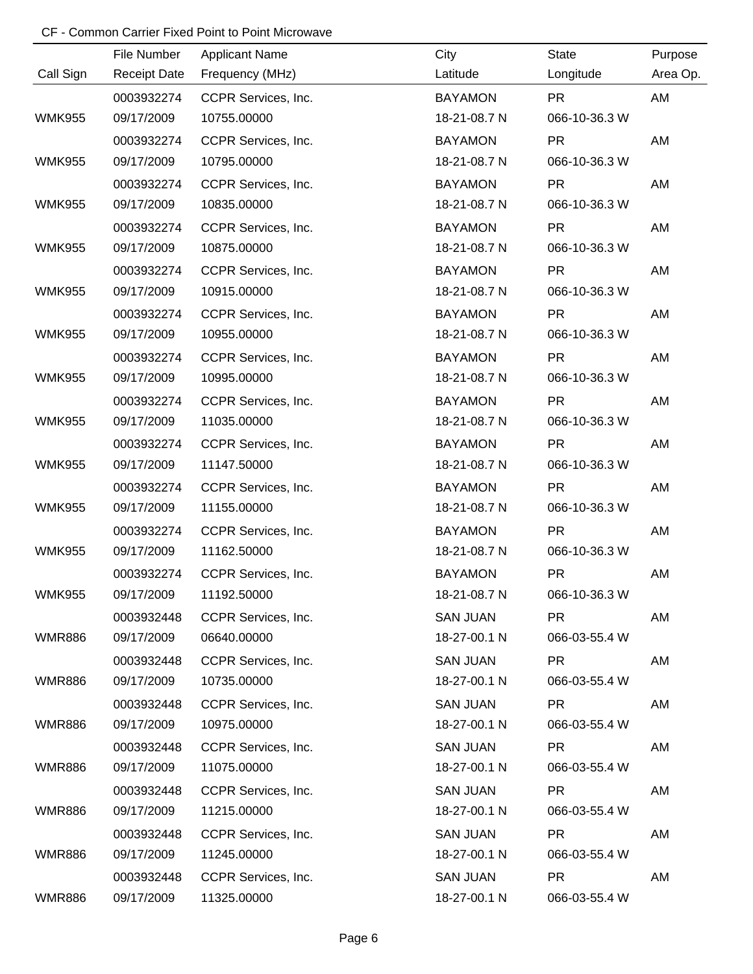|               | File Number         | <b>Applicant Name</b> | City            | <b>State</b>  | Purpose  |
|---------------|---------------------|-----------------------|-----------------|---------------|----------|
| Call Sign     | <b>Receipt Date</b> | Frequency (MHz)       | Latitude        | Longitude     | Area Op. |
|               | 0003932274          | CCPR Services, Inc.   | <b>BAYAMON</b>  | <b>PR</b>     | AM       |
| <b>WMK955</b> | 09/17/2009          | 10755.00000           | 18-21-08.7 N    | 066-10-36.3 W |          |
|               | 0003932274          | CCPR Services, Inc.   | <b>BAYAMON</b>  | <b>PR</b>     | AM       |
| <b>WMK955</b> | 09/17/2009          | 10795.00000           | 18-21-08.7 N    | 066-10-36.3 W |          |
|               | 0003932274          | CCPR Services, Inc.   | <b>BAYAMON</b>  | <b>PR</b>     | AM       |
| <b>WMK955</b> | 09/17/2009          | 10835.00000           | 18-21-08.7 N    | 066-10-36.3 W |          |
|               | 0003932274          | CCPR Services, Inc.   | <b>BAYAMON</b>  | <b>PR</b>     | AM       |
| <b>WMK955</b> | 09/17/2009          | 10875.00000           | 18-21-08.7 N    | 066-10-36.3 W |          |
|               | 0003932274          | CCPR Services, Inc.   | <b>BAYAMON</b>  | <b>PR</b>     | AM       |
| <b>WMK955</b> | 09/17/2009          | 10915.00000           | 18-21-08.7 N    | 066-10-36.3 W |          |
|               | 0003932274          | CCPR Services, Inc.   | <b>BAYAMON</b>  | <b>PR</b>     | AM       |
| <b>WMK955</b> | 09/17/2009          | 10955.00000           | 18-21-08.7 N    | 066-10-36.3 W |          |
|               | 0003932274          | CCPR Services, Inc.   | <b>BAYAMON</b>  | <b>PR</b>     | AM       |
| <b>WMK955</b> | 09/17/2009          | 10995.00000           | 18-21-08.7 N    | 066-10-36.3 W |          |
|               | 0003932274          | CCPR Services, Inc.   | <b>BAYAMON</b>  | <b>PR</b>     | AM       |
| <b>WMK955</b> | 09/17/2009          | 11035.00000           | 18-21-08.7 N    | 066-10-36.3 W |          |
|               | 0003932274          | CCPR Services, Inc.   | <b>BAYAMON</b>  | <b>PR</b>     | AM       |
| <b>WMK955</b> | 09/17/2009          | 11147.50000           | 18-21-08.7 N    | 066-10-36.3 W |          |
|               | 0003932274          | CCPR Services, Inc.   | <b>BAYAMON</b>  | <b>PR</b>     | AM       |
| <b>WMK955</b> | 09/17/2009          | 11155.00000           | 18-21-08.7 N    | 066-10-36.3 W |          |
|               | 0003932274          | CCPR Services, Inc.   | <b>BAYAMON</b>  | <b>PR</b>     | AM       |
| <b>WMK955</b> | 09/17/2009          | 11162.50000           | 18-21-08.7 N    | 066-10-36.3 W |          |
|               | 0003932274          | CCPR Services, Inc.   | <b>BAYAMON</b>  | <b>PR</b>     | AM       |
| <b>WMK955</b> | 09/17/2009          | 11192.50000           | 18-21-08.7 N    | 066-10-36.3 W |          |
|               | 0003932448          | CCPR Services, Inc.   | <b>SAN JUAN</b> | <b>PR</b>     | AM       |
| <b>WMR886</b> | 09/17/2009          | 06640.00000           | 18-27-00.1 N    | 066-03-55.4 W |          |
|               | 0003932448          | CCPR Services, Inc.   | <b>SAN JUAN</b> | <b>PR</b>     | AM       |
| <b>WMR886</b> | 09/17/2009          | 10735.00000           | 18-27-00.1 N    | 066-03-55.4 W |          |
|               | 0003932448          | CCPR Services, Inc.   | <b>SAN JUAN</b> | PR.           | AM       |
| <b>WMR886</b> | 09/17/2009          | 10975.00000           | 18-27-00.1 N    | 066-03-55.4 W |          |
|               | 0003932448          | CCPR Services, Inc.   | <b>SAN JUAN</b> | <b>PR</b>     | AM       |
| <b>WMR886</b> | 09/17/2009          | 11075.00000           | 18-27-00.1 N    | 066-03-55.4 W |          |
|               | 0003932448          | CCPR Services, Inc.   | <b>SAN JUAN</b> | <b>PR</b>     | AM       |
| <b>WMR886</b> | 09/17/2009          | 11215.00000           | 18-27-00.1 N    | 066-03-55.4 W |          |
|               | 0003932448          | CCPR Services, Inc.   | <b>SAN JUAN</b> | <b>PR</b>     | AM       |
| <b>WMR886</b> | 09/17/2009          | 11245.00000           | 18-27-00.1 N    | 066-03-55.4 W |          |
|               | 0003932448          | CCPR Services, Inc.   | <b>SAN JUAN</b> | <b>PR</b>     | AM       |
| <b>WMR886</b> | 09/17/2009          | 11325.00000           | 18-27-00.1 N    | 066-03-55.4 W |          |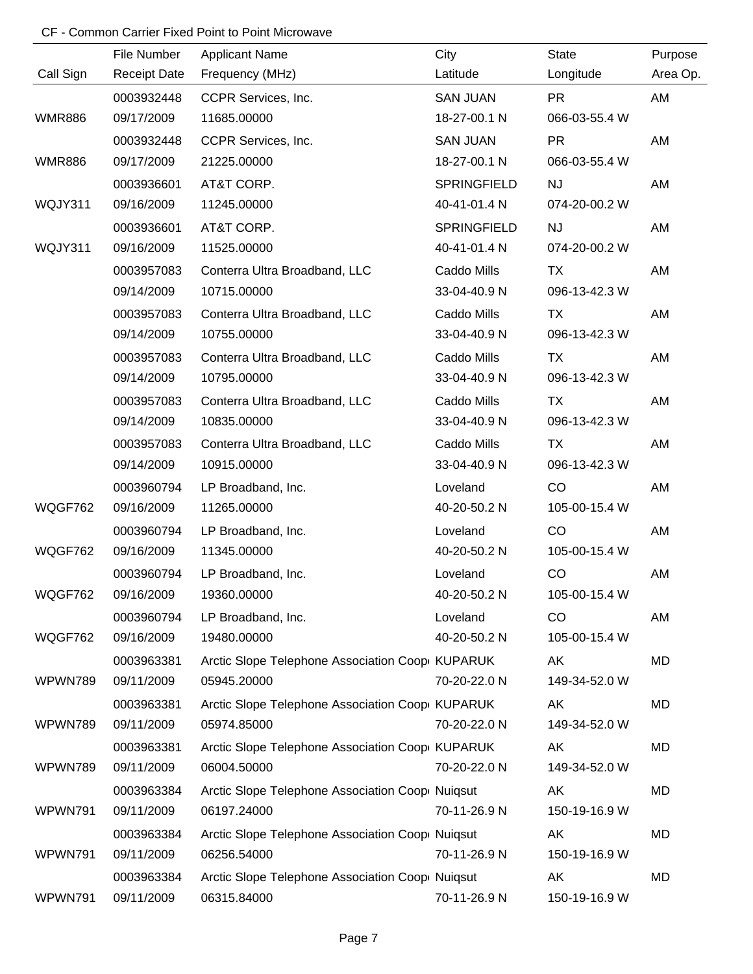|               | File Number         | <b>Applicant Name</b>                           | City               | <b>State</b>  | Purpose   |
|---------------|---------------------|-------------------------------------------------|--------------------|---------------|-----------|
| Call Sign     | <b>Receipt Date</b> | Frequency (MHz)                                 | Latitude           | Longitude     | Area Op.  |
|               | 0003932448          | CCPR Services, Inc.                             | <b>SAN JUAN</b>    | <b>PR</b>     | AM        |
| <b>WMR886</b> | 09/17/2009          | 11685.00000                                     | 18-27-00.1 N       | 066-03-55.4 W |           |
|               | 0003932448          | CCPR Services, Inc.                             | <b>SAN JUAN</b>    | <b>PR</b>     | AM        |
| <b>WMR886</b> | 09/17/2009          | 21225.00000                                     | 18-27-00.1 N       | 066-03-55.4 W |           |
|               | 0003936601          | AT&T CORP.                                      | <b>SPRINGFIELD</b> | <b>NJ</b>     | AM        |
| WQJY311       | 09/16/2009          | 11245.00000                                     | 40-41-01.4 N       | 074-20-00.2 W |           |
|               | 0003936601          | AT&T CORP.                                      | <b>SPRINGFIELD</b> | <b>NJ</b>     | AM        |
| WQJY311       | 09/16/2009          | 11525.00000                                     | 40-41-01.4 N       | 074-20-00.2 W |           |
|               | 0003957083          | Conterra Ultra Broadband, LLC                   | Caddo Mills        | <b>TX</b>     | AM        |
|               | 09/14/2009          | 10715.00000                                     | 33-04-40.9 N       | 096-13-42.3 W |           |
|               | 0003957083          | Conterra Ultra Broadband, LLC                   | Caddo Mills        | <b>TX</b>     | AM        |
|               | 09/14/2009          | 10755.00000                                     | 33-04-40.9 N       | 096-13-42.3 W |           |
|               | 0003957083          | Conterra Ultra Broadband, LLC                   | Caddo Mills        | <b>TX</b>     | AM        |
|               | 09/14/2009          | 10795.00000                                     | 33-04-40.9 N       | 096-13-42.3 W |           |
|               | 0003957083          | Conterra Ultra Broadband, LLC                   | Caddo Mills        | TX            | AM        |
|               | 09/14/2009          | 10835.00000                                     | 33-04-40.9 N       | 096-13-42.3 W |           |
|               | 0003957083          | Conterra Ultra Broadband, LLC                   | Caddo Mills        | TX            | AM        |
|               | 09/14/2009          | 10915.00000                                     | 33-04-40.9 N       | 096-13-42.3 W |           |
|               | 0003960794          | LP Broadband, Inc.                              | Loveland           | CO            | AM        |
| WQGF762       | 09/16/2009          | 11265.00000                                     | 40-20-50.2 N       | 105-00-15.4 W |           |
|               | 0003960794          | LP Broadband, Inc.                              | Loveland           | CO            | AM        |
| WQGF762       | 09/16/2009          | 11345.00000                                     | 40-20-50.2 N       | 105-00-15.4 W |           |
|               | 0003960794          | LP Broadband, Inc.                              | Loveland           | CO            | AM        |
| WQGF762       | 09/16/2009          | 19360.00000                                     | 40-20-50.2 N       | 105-00-15.4 W |           |
|               | 0003960794          | LP Broadband, Inc.                              | Loveland           | CO            | AM        |
| WQGF762       | 09/16/2009          | 19480.00000                                     | 40-20-50.2 N       | 105-00-15.4 W |           |
|               | 0003963381          | Arctic Slope Telephone Association Coop KUPARUK |                    | AK            | MD        |
| WPWN789       | 09/11/2009          | 05945.20000                                     | 70-20-22.0 N       | 149-34-52.0 W |           |
|               | 0003963381          | Arctic Slope Telephone Association Coop KUPARUK |                    | AK            | MD        |
| WPWN789       | 09/11/2009          | 05974.85000                                     | 70-20-22.0 N       | 149-34-52.0 W |           |
|               | 0003963381          | Arctic Slope Telephone Association Coop KUPARUK |                    | AK            | <b>MD</b> |
| WPWN789       | 09/11/2009          | 06004.50000                                     | 70-20-22.0 N       | 149-34-52.0 W |           |
|               | 0003963384          | Arctic Slope Telephone Association Coop Nuiqsut |                    | AK            | MD        |
| WPWN791       | 09/11/2009          | 06197.24000                                     | 70-11-26.9 N       | 150-19-16.9 W |           |
|               | 0003963384          | Arctic Slope Telephone Association Coop Nuiqsut |                    | AK            | MD        |
| WPWN791       | 09/11/2009          | 06256.54000                                     | 70-11-26.9 N       | 150-19-16.9 W |           |
|               | 0003963384          | Arctic Slope Telephone Association Coop Nuiqsut |                    | AK            | MD        |
| WPWN791       | 09/11/2009          | 06315.84000                                     | 70-11-26.9 N       | 150-19-16.9 W |           |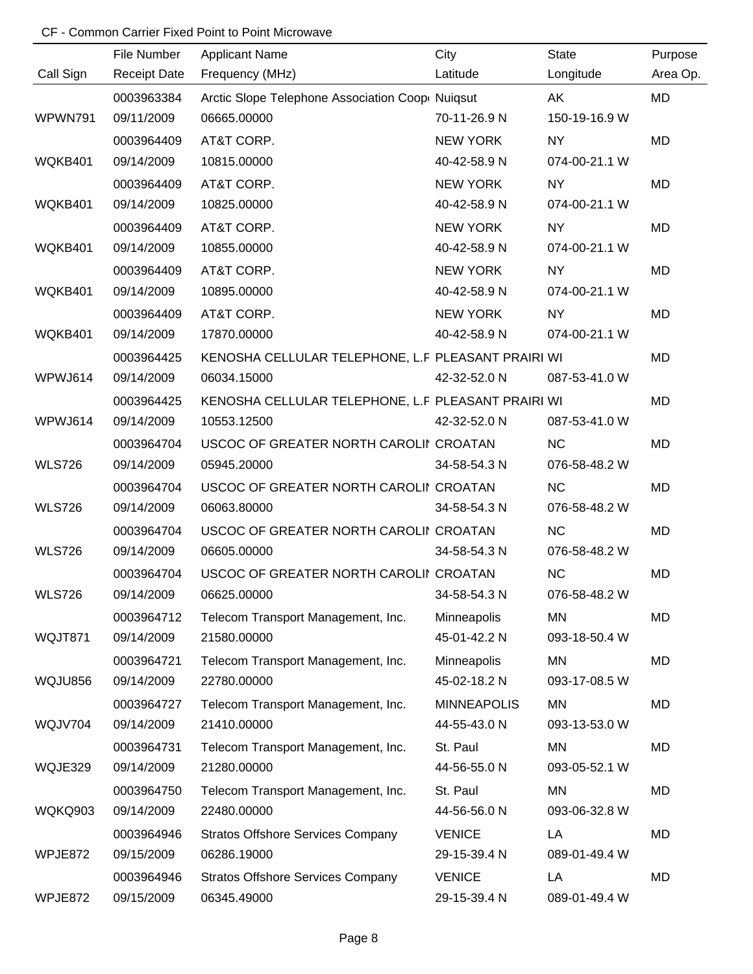| Call Sign      | File Number<br><b>Receipt Date</b> | <b>Applicant Name</b><br>Frequency (MHz)                       | City<br>Latitude   | State<br>Longitude | Purpose<br>Area Op. |
|----------------|------------------------------------|----------------------------------------------------------------|--------------------|--------------------|---------------------|
|                |                                    |                                                                |                    |                    |                     |
| WPWN791        | 0003963384<br>09/11/2009           | Arctic Slope Telephone Association Coop Nuiqsut<br>06665.00000 | 70-11-26.9 N       | AK                 | <b>MD</b>           |
|                |                                    |                                                                |                    | 150-19-16.9 W      |                     |
|                | 0003964409                         | AT&T CORP.                                                     | <b>NEW YORK</b>    | <b>NY</b>          | <b>MD</b>           |
| WQKB401        | 09/14/2009                         | 10815.00000                                                    | 40-42-58.9 N       | 074-00-21.1 W      |                     |
|                | 0003964409                         | AT&T CORP.                                                     | <b>NEW YORK</b>    | <b>NY</b>          | MD                  |
| WQKB401        | 09/14/2009                         | 10825.00000                                                    | 40-42-58.9 N       | 074-00-21.1 W      |                     |
|                | 0003964409                         | AT&T CORP.                                                     | <b>NEW YORK</b>    | <b>NY</b>          | MD                  |
| WQKB401        | 09/14/2009                         | 10855.00000                                                    | 40-42-58.9 N       | 074-00-21.1 W      |                     |
|                | 0003964409                         | AT&T CORP.                                                     | NEW YORK           | <b>NY</b>          | MD                  |
| WQKB401        | 09/14/2009                         | 10895.00000                                                    | 40-42-58.9 N       | 074-00-21.1 W      |                     |
|                | 0003964409                         | AT&T CORP.                                                     | NEW YORK           | <b>NY</b>          | MD                  |
| WQKB401        | 09/14/2009                         | 17870.00000                                                    | 40-42-58.9 N       | 074-00-21.1 W      |                     |
|                | 0003964425                         | KENOSHA CELLULAR TELEPHONE, L.F PLEASANT PRAIRI WI             |                    |                    | MD                  |
| WPWJ614        | 09/14/2009                         | 06034.15000                                                    | 42-32-52.0 N       | 087-53-41.0 W      |                     |
|                | 0003964425                         | KENOSHA CELLULAR TELEPHONE, L.F PLEASANT PRAIRI WI             |                    |                    | MD                  |
| WPWJ614        | 09/14/2009                         | 10553.12500                                                    | 42-32-52.0 N       | 087-53-41.0 W      |                     |
|                | 0003964704                         | USCOC OF GREATER NORTH CAROLII CROATAN                         |                    | <b>NC</b>          | MD                  |
| <b>WLS726</b>  | 09/14/2009                         | 05945.20000                                                    | 34-58-54.3 N       | 076-58-48.2 W      |                     |
|                | 0003964704                         | USCOC OF GREATER NORTH CAROLII CROATAN                         |                    | <b>NC</b>          | MD                  |
| <b>WLS726</b>  | 09/14/2009                         | 06063.80000                                                    | 34-58-54.3 N       | 076-58-48.2 W      |                     |
|                | 0003964704                         | USCOC OF GREATER NORTH CAROLII CROATAN                         |                    | NC                 | MD                  |
| <b>WLS726</b>  | 09/14/2009                         | 06605.00000                                                    | 34-58-54.3 N       | 076-58-48.2 W      |                     |
|                | 0003964704                         | USCOC OF GREATER NORTH CAROLII CROATAN                         |                    | <b>NC</b>          | MD                  |
| <b>WLS726</b>  | 09/14/2009                         | 06625.00000                                                    | 34-58-54.3 N       | 076-58-48.2 W      |                     |
|                | 0003964712                         | Telecom Transport Management, Inc.                             | Minneapolis        | <b>MN</b>          | MD                  |
| WQJT871        | 09/14/2009                         | 21580.00000                                                    | 45-01-42.2 N       | 093-18-50.4 W      |                     |
|                | 0003964721                         | Telecom Transport Management, Inc.                             | Minneapolis        | MN                 | MD                  |
| <b>WQJU856</b> | 09/14/2009                         | 22780.00000                                                    | 45-02-18.2 N       | 093-17-08.5 W      |                     |
|                | 0003964727                         | Telecom Transport Management, Inc.                             | <b>MINNEAPOLIS</b> | <b>MN</b>          | MD                  |
| WQJV704        | 09/14/2009                         | 21410.00000                                                    | 44-55-43.0 N       | 093-13-53.0 W      |                     |
|                | 0003964731                         | Telecom Transport Management, Inc.                             | St. Paul           | MN                 | MD                  |
| WQJE329        | 09/14/2009                         | 21280.00000                                                    | 44-56-55.0 N       | 093-05-52.1 W      |                     |
|                | 0003964750                         | Telecom Transport Management, Inc.                             | St. Paul           | <b>MN</b>          | MD                  |
| WQKQ903        | 09/14/2009                         | 22480.00000                                                    | 44-56-56.0 N       | 093-06-32.8 W      |                     |
|                | 0003964946                         | <b>Stratos Offshore Services Company</b>                       | <b>VENICE</b>      | LA                 | MD                  |
| WPJE872        | 09/15/2009                         | 06286.19000                                                    | 29-15-39.4 N       | 089-01-49.4 W      |                     |
|                | 0003964946                         | <b>Stratos Offshore Services Company</b>                       | <b>VENICE</b>      | LA                 | MD                  |
| WPJE872        | 09/15/2009                         | 06345.49000                                                    | 29-15-39.4 N       | 089-01-49.4 W      |                     |
|                |                                    |                                                                |                    |                    |                     |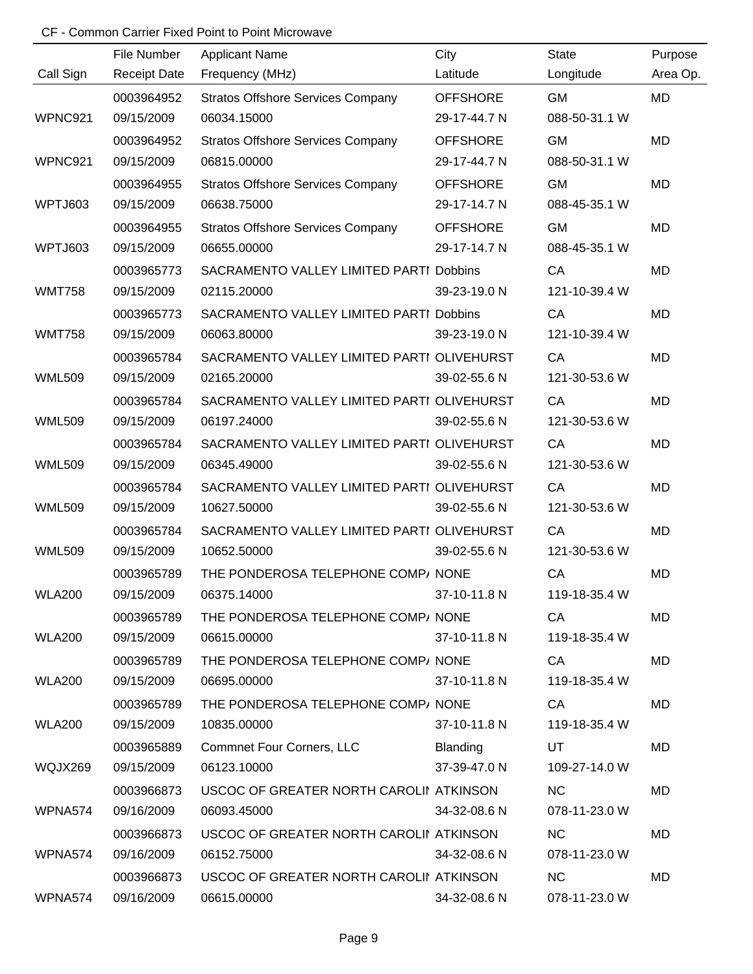|               | File Number         | <b>Applicant Name</b>                      | City            | <b>State</b>  | Purpose   |
|---------------|---------------------|--------------------------------------------|-----------------|---------------|-----------|
| Call Sign     | <b>Receipt Date</b> | Frequency (MHz)                            | Latitude        | Longitude     | Area Op.  |
|               | 0003964952          | <b>Stratos Offshore Services Company</b>   | <b>OFFSHORE</b> | <b>GM</b>     | <b>MD</b> |
| WPNC921       | 09/15/2009          | 06034.15000                                | 29-17-44.7 N    | 088-50-31.1 W |           |
|               | 0003964952          | <b>Stratos Offshore Services Company</b>   | <b>OFFSHORE</b> | <b>GM</b>     | <b>MD</b> |
| WPNC921       | 09/15/2009          | 06815.00000                                | 29-17-44.7 N    | 088-50-31.1 W |           |
|               | 0003964955          | <b>Stratos Offshore Services Company</b>   | <b>OFFSHORE</b> | <b>GM</b>     | <b>MD</b> |
| WPTJ603       | 09/15/2009          | 06638.75000                                | 29-17-14.7 N    | 088-45-35.1 W |           |
|               | 0003964955          | <b>Stratos Offshore Services Company</b>   | <b>OFFSHORE</b> | <b>GM</b>     | MD        |
| WPTJ603       | 09/15/2009          | 06655.00000                                | 29-17-14.7 N    | 088-45-35.1 W |           |
|               | 0003965773          | SACRAMENTO VALLEY LIMITED PARTI Dobbins    |                 | CA            | MD        |
| <b>WMT758</b> | 09/15/2009          | 02115.20000                                | 39-23-19.0 N    | 121-10-39.4 W |           |
|               | 0003965773          | SACRAMENTO VALLEY LIMITED PARTI Dobbins    |                 | CA            | MD        |
| <b>WMT758</b> | 09/15/2009          | 06063.80000                                | 39-23-19.0 N    | 121-10-39.4 W |           |
|               | 0003965784          | SACRAMENTO VALLEY LIMITED PARTI OLIVEHURST |                 | CA            | MD        |
| <b>WML509</b> | 09/15/2009          | 02165.20000                                | 39-02-55.6 N    | 121-30-53.6 W |           |
|               | 0003965784          | SACRAMENTO VALLEY LIMITED PARTI OLIVEHURST |                 | CA            | MD        |
| <b>WML509</b> | 09/15/2009          | 06197.24000                                | 39-02-55.6 N    | 121-30-53.6 W |           |
|               | 0003965784          | SACRAMENTO VALLEY LIMITED PARTI OLIVEHURST |                 | CA            | <b>MD</b> |
| <b>WML509</b> | 09/15/2009          | 06345.49000                                | 39-02-55.6 N    | 121-30-53.6 W |           |
|               | 0003965784          | SACRAMENTO VALLEY LIMITED PARTI OLIVEHURST |                 | CA            | MD        |
| <b>WML509</b> | 09/15/2009          | 10627.50000                                | 39-02-55.6 N    | 121-30-53.6 W |           |
|               | 0003965784          | SACRAMENTO VALLEY LIMITED PARTI OLIVEHURST |                 | CA            | <b>MD</b> |
| <b>WML509</b> | 09/15/2009          | 10652.50000                                | 39-02-55.6 N    | 121-30-53.6 W |           |
|               | 0003965789          | THE PONDEROSA TELEPHONE COMP/ NONE         |                 | CA            | MD        |
| <b>WLA200</b> | 09/15/2009          | 06375.14000                                | 37-10-11.8 N    | 119-18-35.4 W |           |
|               | 0003965789          | THE PONDEROSA TELEPHONE COMP/ NONE         |                 | CA            | MD        |
| <b>WLA200</b> | 09/15/2009          | 06615.00000                                | 37-10-11.8 N    | 119-18-35.4 W |           |
|               | 0003965789          | THE PONDEROSA TELEPHONE COMP/ NONE         |                 | CA            | MD        |
| <b>WLA200</b> | 09/15/2009          | 06695.00000                                | 37-10-11.8 N    | 119-18-35.4 W |           |
|               | 0003965789          | THE PONDEROSA TELEPHONE COMP/ NONE         |                 | CA            | <b>MD</b> |
| <b>WLA200</b> | 09/15/2009          | 10835.00000                                | 37-10-11.8 N    | 119-18-35.4 W |           |
|               | 0003965889          | <b>Commnet Four Corners, LLC</b>           | <b>Blanding</b> | UT            | MD        |
| WQJX269       | 09/15/2009          | 06123.10000                                | 37-39-47.0 N    | 109-27-14.0 W |           |
|               | 0003966873          | USCOC OF GREATER NORTH CAROLII ATKINSON    |                 | <b>NC</b>     | <b>MD</b> |
| WPNA574       | 09/16/2009          | 06093.45000                                | 34-32-08.6 N    | 078-11-23.0 W |           |
|               | 0003966873          | USCOC OF GREATER NORTH CAROLII ATKINSON    |                 | <b>NC</b>     | MD        |
| WPNA574       | 09/16/2009          | 06152.75000                                | 34-32-08.6 N    | 078-11-23.0 W |           |
|               | 0003966873          | USCOC OF GREATER NORTH CAROLII ATKINSON    |                 | <b>NC</b>     | MD        |
| WPNA574       | 09/16/2009          | 06615.00000                                | 34-32-08.6 N    | 078-11-23.0 W |           |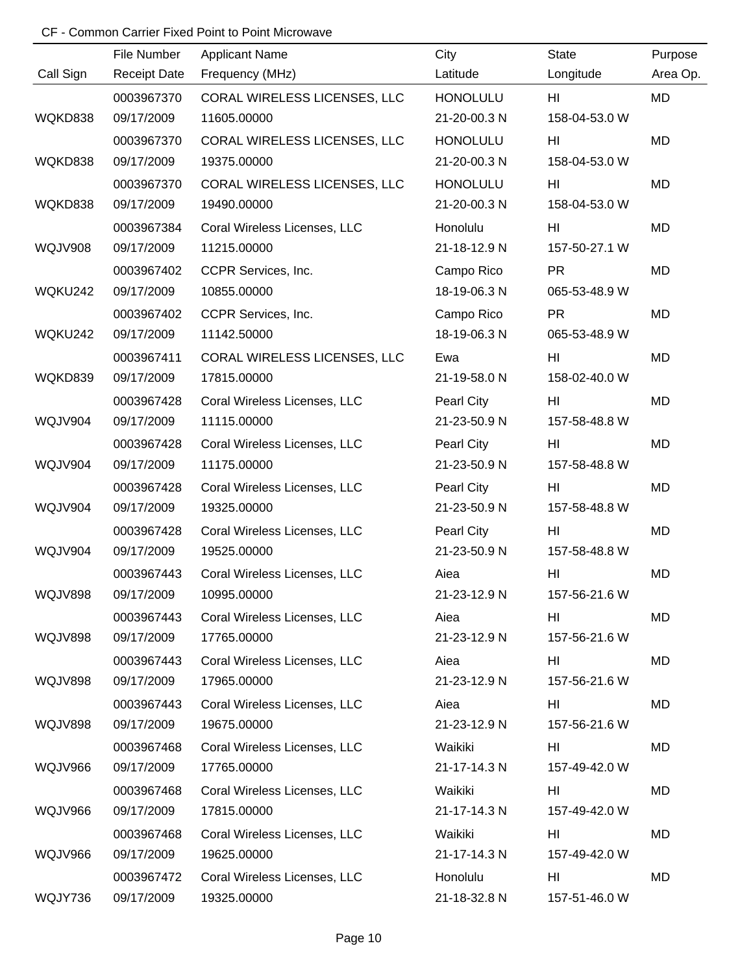|                | File Number         | <b>Applicant Name</b>        | City            | <b>State</b>  | Purpose   |
|----------------|---------------------|------------------------------|-----------------|---------------|-----------|
| Call Sign      | <b>Receipt Date</b> | Frequency (MHz)              | Latitude        | Longitude     | Area Op.  |
|                | 0003967370          | CORAL WIRELESS LICENSES, LLC | <b>HONOLULU</b> | HI.           | MD        |
| WQKD838        | 09/17/2009          | 11605.00000                  | 21-20-00.3 N    | 158-04-53.0 W |           |
|                | 0003967370          | CORAL WIRELESS LICENSES, LLC | <b>HONOLULU</b> | HI            | <b>MD</b> |
| WQKD838        | 09/17/2009          | 19375.00000                  | 21-20-00.3 N    | 158-04-53.0 W |           |
|                | 0003967370          | CORAL WIRELESS LICENSES, LLC | <b>HONOLULU</b> | HI            | MD        |
| WQKD838        | 09/17/2009          | 19490.00000                  | 21-20-00.3 N    | 158-04-53.0 W |           |
|                | 0003967384          | Coral Wireless Licenses, LLC | Honolulu        | HI            | MD        |
| <b>WQJV908</b> | 09/17/2009          | 11215.00000                  | 21-18-12.9 N    | 157-50-27.1 W |           |
|                | 0003967402          | CCPR Services, Inc.          | Campo Rico      | <b>PR</b>     | MD        |
| WQKU242        | 09/17/2009          | 10855.00000                  | 18-19-06.3 N    | 065-53-48.9 W |           |
|                | 0003967402          | CCPR Services, Inc.          | Campo Rico      | <b>PR</b>     | MD        |
| WQKU242        | 09/17/2009          | 11142.50000                  | 18-19-06.3 N    | 065-53-48.9 W |           |
|                | 0003967411          | CORAL WIRELESS LICENSES, LLC | Ewa             | HI            | MD        |
| WQKD839        | 09/17/2009          | 17815.00000                  | 21-19-58.0 N    | 158-02-40.0 W |           |
|                | 0003967428          | Coral Wireless Licenses, LLC | Pearl City      | HI            | MD        |
| WQJV904        | 09/17/2009          | 11115.00000                  | 21-23-50.9 N    | 157-58-48.8 W |           |
|                | 0003967428          | Coral Wireless Licenses, LLC | Pearl City      | HI            | MD        |
| WQJV904        | 09/17/2009          | 11175.00000                  | 21-23-50.9 N    | 157-58-48.8 W |           |
|                | 0003967428          | Coral Wireless Licenses, LLC | Pearl City      | HI            | MD        |
| <b>WQJV904</b> | 09/17/2009          | 19325.00000                  | 21-23-50.9 N    | 157-58-48.8 W |           |
|                | 0003967428          | Coral Wireless Licenses, LLC | Pearl City      | HI            | MD        |
| <b>WQJV904</b> | 09/17/2009          | 19525.00000                  | 21-23-50.9 N    | 157-58-48.8 W |           |
|                | 0003967443          | Coral Wireless Licenses, LLC | Aiea            | HI            | MD        |
| <b>WQJV898</b> | 09/17/2009          | 10995.00000                  | 21-23-12.9 N    | 157-56-21.6 W |           |
|                | 0003967443          | Coral Wireless Licenses, LLC | Aiea            | HI            | MD        |
| <b>WQJV898</b> | 09/17/2009          | 17765.00000                  | 21-23-12.9 N    | 157-56-21.6 W |           |
|                | 0003967443          | Coral Wireless Licenses, LLC | Aiea            | HI            | MD        |
| <b>WQJV898</b> | 09/17/2009          | 17965.00000                  | 21-23-12.9 N    | 157-56-21.6 W |           |
|                | 0003967443          | Coral Wireless Licenses, LLC | Aiea            | HI            | MD        |
| <b>WQJV898</b> | 09/17/2009          | 19675.00000                  | 21-23-12.9 N    | 157-56-21.6 W |           |
|                | 0003967468          | Coral Wireless Licenses, LLC | Waikiki         | HI            | MD        |
| WQJV966        | 09/17/2009          | 17765.00000                  | 21-17-14.3 N    | 157-49-42.0 W |           |
|                | 0003967468          | Coral Wireless Licenses, LLC | Waikiki         | HI            | MD        |
| WQJV966        | 09/17/2009          | 17815.00000                  | 21-17-14.3 N    | 157-49-42.0 W |           |
|                | 0003967468          | Coral Wireless Licenses, LLC | Waikiki         | HI            | MD        |
| WQJV966        | 09/17/2009          | 19625.00000                  | 21-17-14.3 N    | 157-49-42.0 W |           |
|                | 0003967472          | Coral Wireless Licenses, LLC | Honolulu        | HI            | MD        |
| WQJY736        | 09/17/2009          | 19325.00000                  | 21-18-32.8 N    | 157-51-46.0 W |           |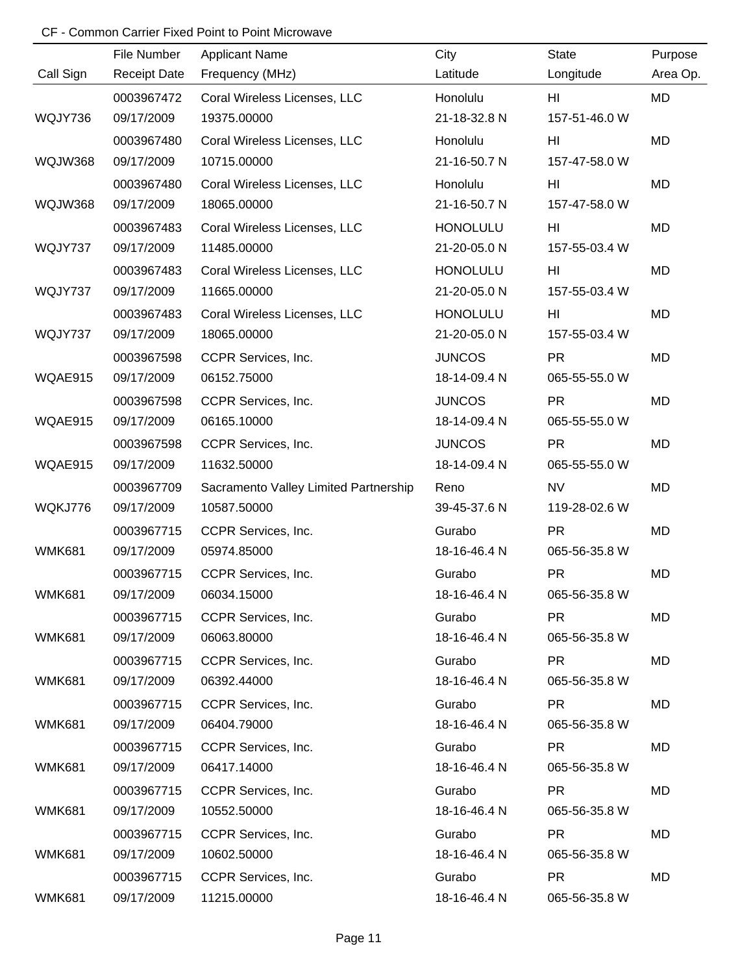|               | File Number         | <b>Applicant Name</b>                 | City            | <b>State</b>  | Purpose  |
|---------------|---------------------|---------------------------------------|-----------------|---------------|----------|
| Call Sign     | <b>Receipt Date</b> | Frequency (MHz)                       | Latitude        | Longitude     | Area Op. |
|               | 0003967472          | Coral Wireless Licenses, LLC          | Honolulu        | HI.           | MD       |
| WQJY736       | 09/17/2009          | 19375.00000                           | 21-18-32.8 N    | 157-51-46.0 W |          |
|               | 0003967480          | Coral Wireless Licenses, LLC          | Honolulu        | HI            | MD       |
| WQJW368       | 09/17/2009          | 10715.00000                           | 21-16-50.7 N    | 157-47-58.0 W |          |
|               | 0003967480          | Coral Wireless Licenses, LLC          | Honolulu        | HI            | MD       |
| WQJW368       | 09/17/2009          | 18065.00000                           | 21-16-50.7 N    | 157-47-58.0 W |          |
|               | 0003967483          | Coral Wireless Licenses, LLC          | <b>HONOLULU</b> | HI            | MD       |
| WQJY737       | 09/17/2009          | 11485.00000                           | 21-20-05.0 N    | 157-55-03.4 W |          |
|               | 0003967483          | Coral Wireless Licenses, LLC          | <b>HONOLULU</b> | HI            | MD       |
| WQJY737       | 09/17/2009          | 11665.00000                           | 21-20-05.0 N    | 157-55-03.4 W |          |
|               | 0003967483          | Coral Wireless Licenses, LLC          | <b>HONOLULU</b> | HI            | MD       |
| WQJY737       | 09/17/2009          | 18065.00000                           | 21-20-05.0 N    | 157-55-03.4 W |          |
|               | 0003967598          | CCPR Services, Inc.                   | <b>JUNCOS</b>   | <b>PR</b>     | MD       |
| WQAE915       | 09/17/2009          | 06152.75000                           | 18-14-09.4 N    | 065-55-55.0 W |          |
|               | 0003967598          | CCPR Services, Inc.                   | <b>JUNCOS</b>   | <b>PR</b>     | MD       |
| WQAE915       | 09/17/2009          | 06165.10000                           | 18-14-09.4 N    | 065-55-55.0 W |          |
|               | 0003967598          | CCPR Services, Inc.                   | <b>JUNCOS</b>   | <b>PR</b>     | MD       |
| WQAE915       | 09/17/2009          | 11632.50000                           | 18-14-09.4 N    | 065-55-55.0 W |          |
|               | 0003967709          | Sacramento Valley Limited Partnership | Reno            | <b>NV</b>     | MD       |
| WQKJ776       | 09/17/2009          | 10587.50000                           | 39-45-37.6 N    | 119-28-02.6 W |          |
|               | 0003967715          | CCPR Services, Inc.                   | Gurabo          | <b>PR</b>     | MD       |
| <b>WMK681</b> | 09/17/2009          | 05974.85000                           | 18-16-46.4 N    | 065-56-35.8 W |          |
|               | 0003967715          | CCPR Services, Inc.                   | Gurabo          | <b>PR</b>     | MD       |
| <b>WMK681</b> | 09/17/2009          | 06034.15000                           | 18-16-46.4 N    | 065-56-35.8 W |          |
|               | 0003967715          | CCPR Services, Inc.                   | Gurabo          | <b>PR</b>     | MD       |
| <b>WMK681</b> | 09/17/2009          | 06063.80000                           | 18-16-46.4 N    | 065-56-35.8 W |          |
|               | 0003967715          | CCPR Services, Inc.                   | Gurabo          | <b>PR</b>     | MD       |
| <b>WMK681</b> | 09/17/2009          | 06392.44000                           | 18-16-46.4 N    | 065-56-35.8 W |          |
|               | 0003967715          | CCPR Services, Inc.                   | Gurabo          | <b>PR</b>     | MD       |
| <b>WMK681</b> | 09/17/2009          | 06404.79000                           | 18-16-46.4 N    | 065-56-35.8 W |          |
|               | 0003967715          | CCPR Services, Inc.                   | Gurabo          | <b>PR</b>     | MD       |
| <b>WMK681</b> | 09/17/2009          | 06417.14000                           | 18-16-46.4 N    | 065-56-35.8 W |          |
|               | 0003967715          | CCPR Services, Inc.                   | Gurabo          | <b>PR</b>     | MD       |
| <b>WMK681</b> | 09/17/2009          | 10552.50000                           | 18-16-46.4 N    | 065-56-35.8 W |          |
|               | 0003967715          | CCPR Services, Inc.                   | Gurabo          | <b>PR</b>     | MD       |
| <b>WMK681</b> | 09/17/2009          | 10602.50000                           | 18-16-46.4 N    | 065-56-35.8 W |          |
|               | 0003967715          | CCPR Services, Inc.                   | Gurabo          | <b>PR</b>     | MD       |
| <b>WMK681</b> | 09/17/2009          | 11215.00000                           | 18-16-46.4 N    | 065-56-35.8 W |          |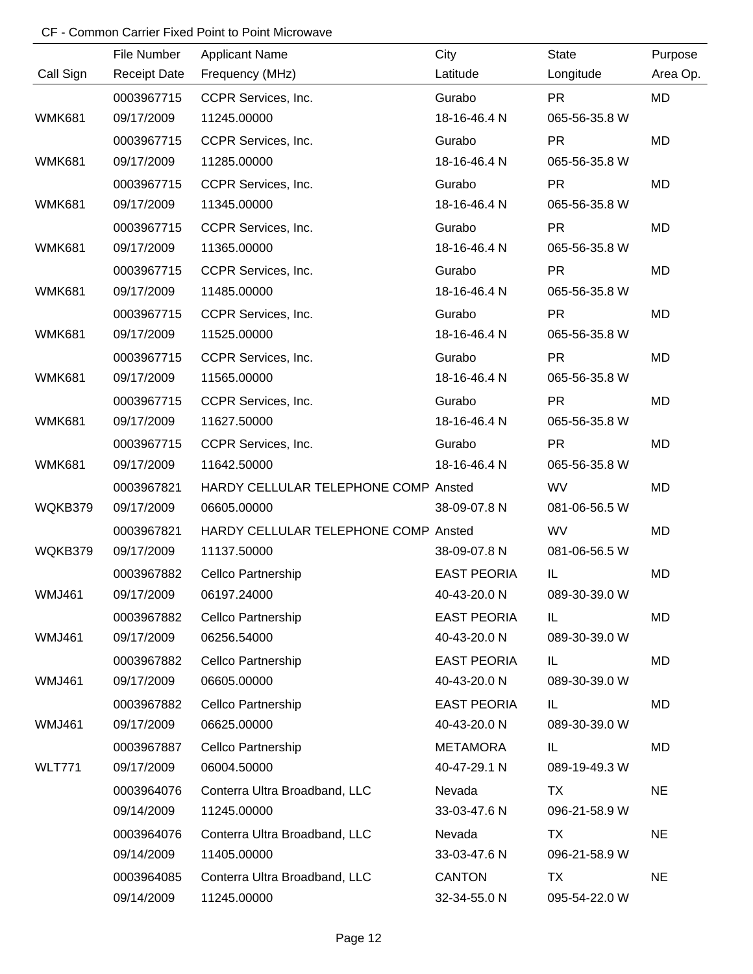|               | File Number         | <b>Applicant Name</b>                | City               | <b>State</b>  | Purpose   |
|---------------|---------------------|--------------------------------------|--------------------|---------------|-----------|
| Call Sign     | <b>Receipt Date</b> | Frequency (MHz)                      | Latitude           | Longitude     | Area Op.  |
|               | 0003967715          | CCPR Services, Inc.                  | Gurabo             | <b>PR</b>     | MD        |
| <b>WMK681</b> | 09/17/2009          | 11245.00000                          | 18-16-46.4 N       | 065-56-35.8 W |           |
|               | 0003967715          | CCPR Services, Inc.                  | Gurabo             | <b>PR</b>     | <b>MD</b> |
| <b>WMK681</b> | 09/17/2009          | 11285.00000                          | 18-16-46.4 N       | 065-56-35.8 W |           |
|               | 0003967715          | CCPR Services, Inc.                  | Gurabo             | <b>PR</b>     | MD        |
| <b>WMK681</b> | 09/17/2009          | 11345.00000                          | 18-16-46.4 N       | 065-56-35.8 W |           |
|               | 0003967715          | CCPR Services, Inc.                  | Gurabo             | <b>PR</b>     | MD        |
| <b>WMK681</b> | 09/17/2009          | 11365.00000                          | 18-16-46.4 N       | 065-56-35.8 W |           |
|               | 0003967715          | CCPR Services, Inc.                  | Gurabo             | <b>PR</b>     | MD        |
| <b>WMK681</b> | 09/17/2009          | 11485.00000                          | 18-16-46.4 N       | 065-56-35.8 W |           |
|               | 0003967715          | CCPR Services, Inc.                  | Gurabo             | <b>PR</b>     | <b>MD</b> |
| <b>WMK681</b> | 09/17/2009          | 11525.00000                          | 18-16-46.4 N       | 065-56-35.8 W |           |
|               | 0003967715          | CCPR Services, Inc.                  | Gurabo             | <b>PR</b>     | MD        |
| <b>WMK681</b> | 09/17/2009          | 11565.00000                          | 18-16-46.4 N       | 065-56-35.8 W |           |
|               | 0003967715          | CCPR Services, Inc.                  | Gurabo             | <b>PR</b>     | MD        |
| <b>WMK681</b> | 09/17/2009          | 11627.50000                          | 18-16-46.4 N       | 065-56-35.8 W |           |
|               | 0003967715          | CCPR Services, Inc.                  | Gurabo             | <b>PR</b>     | MD        |
| <b>WMK681</b> | 09/17/2009          | 11642.50000                          | 18-16-46.4 N       | 065-56-35.8 W |           |
|               | 0003967821          | HARDY CELLULAR TELEPHONE COMP Ansted |                    | <b>WV</b>     | MD        |
| WQKB379       | 09/17/2009          | 06605.00000                          | 38-09-07.8 N       | 081-06-56.5 W |           |
|               | 0003967821          | HARDY CELLULAR TELEPHONE COMP Ansted |                    | <b>WV</b>     | MD        |
| WQKB379       | 09/17/2009          | 11137.50000                          | 38-09-07.8 N       | 081-06-56.5 W |           |
|               | 0003967882          | Cellco Partnership                   | <b>EAST PEORIA</b> | IL            | MD        |
| <b>WMJ461</b> | 09/17/2009          | 06197.24000                          | 40-43-20.0 N       | 089-30-39.0 W |           |
|               | 0003967882          | Cellco Partnership                   | <b>EAST PEORIA</b> | IL.           | MD        |
| <b>WMJ461</b> | 09/17/2009          | 06256.54000                          | 40-43-20.0 N       | 089-30-39.0 W |           |
|               | 0003967882          | Cellco Partnership                   | <b>EAST PEORIA</b> | IL.           | MD        |
| <b>WMJ461</b> | 09/17/2009          | 06605.00000                          | 40-43-20.0 N       | 089-30-39.0 W |           |
|               | 0003967882          | Cellco Partnership                   | <b>EAST PEORIA</b> | IL.           | MD        |
| <b>WMJ461</b> | 09/17/2009          | 06625.00000                          | 40-43-20.0 N       | 089-30-39.0 W |           |
|               | 0003967887          | Cellco Partnership                   | <b>METAMORA</b>    | IL            | MD        |
| <b>WLT771</b> | 09/17/2009          | 06004.50000                          | 40-47-29.1 N       | 089-19-49.3 W |           |
|               | 0003964076          | Conterra Ultra Broadband, LLC        | Nevada             | TX            | <b>NE</b> |
|               | 09/14/2009          | 11245.00000                          | 33-03-47.6 N       | 096-21-58.9 W |           |
|               | 0003964076          | Conterra Ultra Broadband, LLC        | Nevada             | <b>TX</b>     | <b>NE</b> |
|               | 09/14/2009          | 11405.00000                          | 33-03-47.6 N       | 096-21-58.9 W |           |
|               | 0003964085          | Conterra Ultra Broadband, LLC        | <b>CANTON</b>      | <b>TX</b>     | <b>NE</b> |
|               | 09/14/2009          | 11245.00000                          | 32-34-55.0 N       | 095-54-22.0 W |           |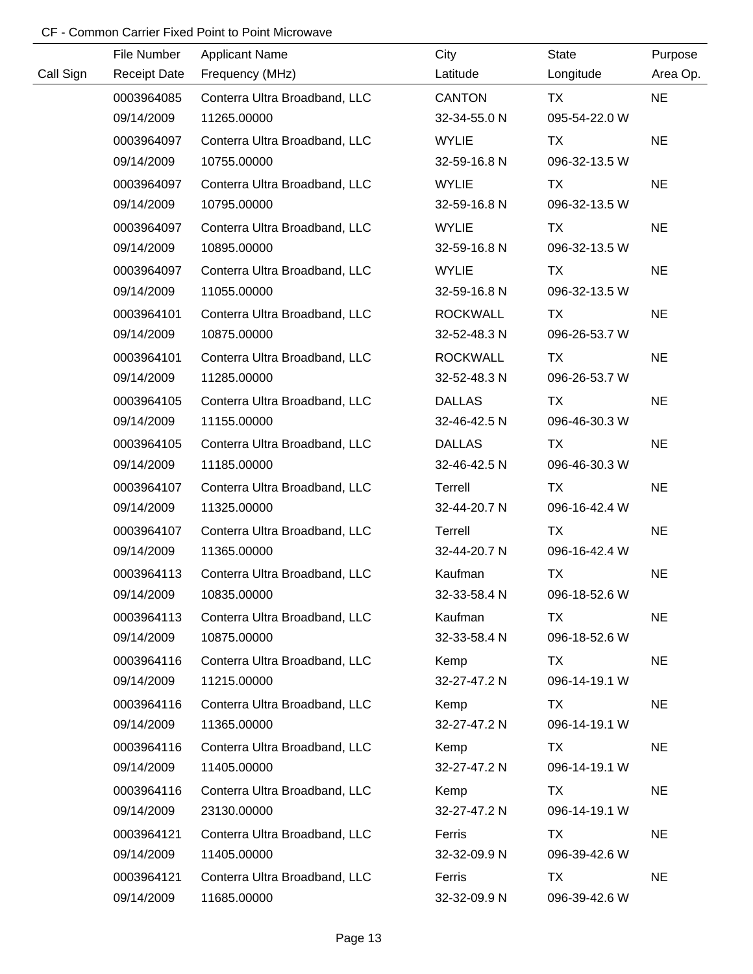|           | File Number         | <b>Applicant Name</b>         | City            | <b>State</b>  | Purpose   |
|-----------|---------------------|-------------------------------|-----------------|---------------|-----------|
| Call Sign | <b>Receipt Date</b> | Frequency (MHz)               | Latitude        | Longitude     | Area Op.  |
|           | 0003964085          | Conterra Ultra Broadband, LLC | <b>CANTON</b>   | <b>TX</b>     | <b>NE</b> |
|           | 09/14/2009          | 11265.00000                   | 32-34-55.0 N    | 095-54-22.0 W |           |
|           | 0003964097          | Conterra Ultra Broadband, LLC | <b>WYLIE</b>    | <b>TX</b>     | <b>NE</b> |
|           | 09/14/2009          | 10755.00000                   | 32-59-16.8 N    | 096-32-13.5 W |           |
|           | 0003964097          | Conterra Ultra Broadband, LLC | <b>WYLIE</b>    | <b>TX</b>     | <b>NE</b> |
|           | 09/14/2009          | 10795.00000                   | 32-59-16.8 N    | 096-32-13.5 W |           |
|           | 0003964097          | Conterra Ultra Broadband, LLC | <b>WYLIE</b>    | <b>TX</b>     | <b>NE</b> |
|           | 09/14/2009          | 10895.00000                   | 32-59-16.8 N    | 096-32-13.5 W |           |
|           | 0003964097          | Conterra Ultra Broadband, LLC | <b>WYLIE</b>    | TX            | <b>NE</b> |
|           | 09/14/2009          | 11055.00000                   | 32-59-16.8 N    | 096-32-13.5 W |           |
|           | 0003964101          | Conterra Ultra Broadband, LLC | <b>ROCKWALL</b> | <b>TX</b>     | <b>NE</b> |
|           | 09/14/2009          | 10875.00000                   | 32-52-48.3 N    | 096-26-53.7 W |           |
|           | 0003964101          | Conterra Ultra Broadband, LLC | <b>ROCKWALL</b> | <b>TX</b>     | <b>NE</b> |
|           | 09/14/2009          | 11285.00000                   | 32-52-48.3 N    | 096-26-53.7 W |           |
|           | 0003964105          | Conterra Ultra Broadband, LLC | <b>DALLAS</b>   | <b>TX</b>     | <b>NE</b> |
|           | 09/14/2009          | 11155.00000                   | 32-46-42.5 N    | 096-46-30.3 W |           |
|           | 0003964105          | Conterra Ultra Broadband, LLC | <b>DALLAS</b>   | <b>TX</b>     | <b>NE</b> |
|           | 09/14/2009          | 11185.00000                   | 32-46-42.5 N    | 096-46-30.3 W |           |
|           | 0003964107          | Conterra Ultra Broadband, LLC | Terrell         | <b>TX</b>     | <b>NE</b> |
|           | 09/14/2009          | 11325.00000                   | 32-44-20.7 N    | 096-16-42.4 W |           |
|           | 0003964107          | Conterra Ultra Broadband, LLC | Terrell         | <b>TX</b>     | <b>NE</b> |
|           | 09/14/2009          | 11365.00000                   | 32-44-20.7 N    | 096-16-42.4 W |           |
|           | 0003964113          | Conterra Ultra Broadband, LLC | Kaufman         | <b>TX</b>     | <b>NE</b> |
|           | 09/14/2009          | 10835.00000                   | 32-33-58.4 N    | 096-18-52.6 W |           |
|           | 0003964113          | Conterra Ultra Broadband, LLC | Kaufman         | TX            | <b>NE</b> |
|           | 09/14/2009          | 10875.00000                   | 32-33-58.4 N    | 096-18-52.6 W |           |
|           | 0003964116          | Conterra Ultra Broadband, LLC | Kemp            | TX            | <b>NE</b> |
|           | 09/14/2009          | 11215.00000                   | 32-27-47.2 N    | 096-14-19.1 W |           |
|           | 0003964116          | Conterra Ultra Broadband, LLC | Kemp            | TX            | <b>NE</b> |
|           | 09/14/2009          | 11365.00000                   | 32-27-47.2 N    | 096-14-19.1 W |           |
|           | 0003964116          | Conterra Ultra Broadband, LLC | Kemp            | TX            | <b>NE</b> |
|           | 09/14/2009          | 11405.00000                   | 32-27-47.2 N    | 096-14-19.1 W |           |
|           | 0003964116          | Conterra Ultra Broadband, LLC | Kemp            | TX            | <b>NE</b> |
|           | 09/14/2009          | 23130.00000                   | 32-27-47.2 N    | 096-14-19.1 W |           |
|           | 0003964121          | Conterra Ultra Broadband, LLC | Ferris          | TX            | <b>NE</b> |
|           | 09/14/2009          | 11405.00000                   | 32-32-09.9 N    | 096-39-42.6 W |           |
|           | 0003964121          | Conterra Ultra Broadband, LLC | Ferris          | TX            | <b>NE</b> |
|           | 09/14/2009          | 11685.00000                   | 32-32-09.9 N    | 096-39-42.6 W |           |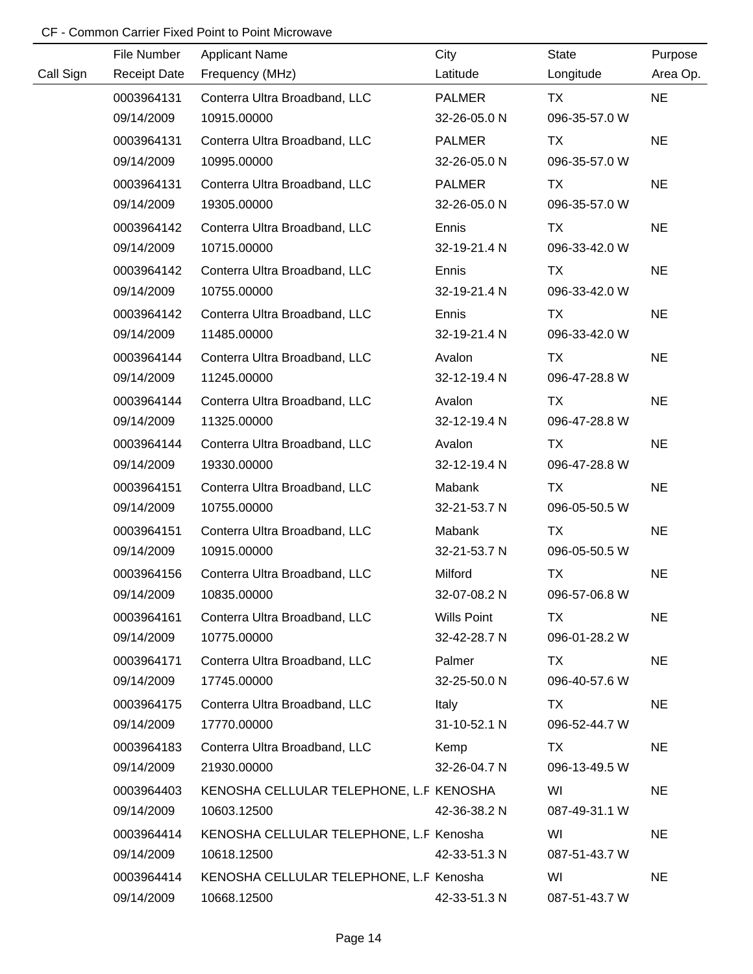|           | File Number         | <b>Applicant Name</b>                   | City          | <b>State</b>  | Purpose   |
|-----------|---------------------|-----------------------------------------|---------------|---------------|-----------|
| Call Sign | <b>Receipt Date</b> | Frequency (MHz)                         | Latitude      | Longitude     | Area Op.  |
|           | 0003964131          | Conterra Ultra Broadband, LLC           | <b>PALMER</b> | TX            | <b>NE</b> |
|           | 09/14/2009          | 10915.00000                             | 32-26-05.0 N  | 096-35-57.0 W |           |
|           | 0003964131          | Conterra Ultra Broadband, LLC           | <b>PALMER</b> | TX            | <b>NE</b> |
|           | 09/14/2009          | 10995.00000                             | 32-26-05.0 N  | 096-35-57.0 W |           |
|           | 0003964131          | Conterra Ultra Broadband, LLC           | <b>PALMER</b> | TX            | <b>NE</b> |
|           | 09/14/2009          | 19305.00000                             | 32-26-05.0 N  | 096-35-57.0 W |           |
|           | 0003964142          | Conterra Ultra Broadband, LLC           | Ennis         | TX            | <b>NE</b> |
|           | 09/14/2009          | 10715.00000                             | 32-19-21.4 N  | 096-33-42.0 W |           |
|           | 0003964142          | Conterra Ultra Broadband, LLC           | Ennis         | <b>TX</b>     | <b>NE</b> |
|           | 09/14/2009          | 10755.00000                             | 32-19-21.4 N  | 096-33-42.0 W |           |
|           | 0003964142          | Conterra Ultra Broadband, LLC           | Ennis         | TX            | <b>NE</b> |
|           | 09/14/2009          | 11485.00000                             | 32-19-21.4 N  | 096-33-42.0 W |           |
|           | 0003964144          | Conterra Ultra Broadband, LLC           | Avalon        | <b>TX</b>     | <b>NE</b> |
|           | 09/14/2009          | 11245.00000                             | 32-12-19.4 N  | 096-47-28.8 W |           |
|           | 0003964144          | Conterra Ultra Broadband, LLC           | Avalon        | TX            | <b>NE</b> |
|           | 09/14/2009          | 11325.00000                             | 32-12-19.4 N  | 096-47-28.8 W |           |
|           | 0003964144          | Conterra Ultra Broadband, LLC           | Avalon        | TX            | <b>NE</b> |
|           | 09/14/2009          | 19330.00000                             | 32-12-19.4 N  | 096-47-28.8 W |           |
|           | 0003964151          | Conterra Ultra Broadband, LLC           | Mabank        | TX            | <b>NE</b> |
|           | 09/14/2009          | 10755.00000                             | 32-21-53.7 N  | 096-05-50.5 W |           |
|           | 0003964151          | Conterra Ultra Broadband, LLC           | Mabank        | TX            | <b>NE</b> |
|           | 09/14/2009          | 10915.00000                             | 32-21-53.7 N  | 096-05-50.5 W |           |
|           | 0003964156          | Conterra Ultra Broadband, LLC           | Milford       | <b>TX</b>     | <b>NE</b> |
|           | 09/14/2009          | 10835.00000                             | 32-07-08.2 N  | 096-57-06.8 W |           |
|           | 0003964161          | Conterra Ultra Broadband, LLC           | Wills Point   | TX.           | <b>NE</b> |
|           | 09/14/2009          | 10775.00000                             | 32-42-28.7 N  | 096-01-28.2 W |           |
|           | 0003964171          | Conterra Ultra Broadband, LLC           | Palmer        | TX.           | <b>NE</b> |
|           | 09/14/2009          | 17745.00000                             | 32-25-50.0 N  | 096-40-57.6 W |           |
|           | 0003964175          | Conterra Ultra Broadband, LLC           | Italy         | TX.           | <b>NE</b> |
|           | 09/14/2009          | 17770.00000                             | 31-10-52.1 N  | 096-52-44.7 W |           |
|           | 0003964183          | Conterra Ultra Broadband, LLC           | Kemp          | TX.           | <b>NE</b> |
|           | 09/14/2009          | 21930.00000                             | 32-26-04.7 N  | 096-13-49.5 W |           |
|           | 0003964403          | KENOSHA CELLULAR TELEPHONE, L.F KENOSHA |               | WI            | <b>NE</b> |
|           | 09/14/2009          | 10603.12500                             | 42-36-38.2 N  | 087-49-31.1 W |           |
|           | 0003964414          | KENOSHA CELLULAR TELEPHONE, L.F Kenosha |               | WI            | <b>NE</b> |
|           | 09/14/2009          | 10618.12500                             | 42-33-51.3 N  | 087-51-43.7 W |           |
|           | 0003964414          | KENOSHA CELLULAR TELEPHONE, L.F Kenosha |               | WI            | <b>NE</b> |
|           | 09/14/2009          | 10668.12500                             | 42-33-51.3 N  | 087-51-43.7 W |           |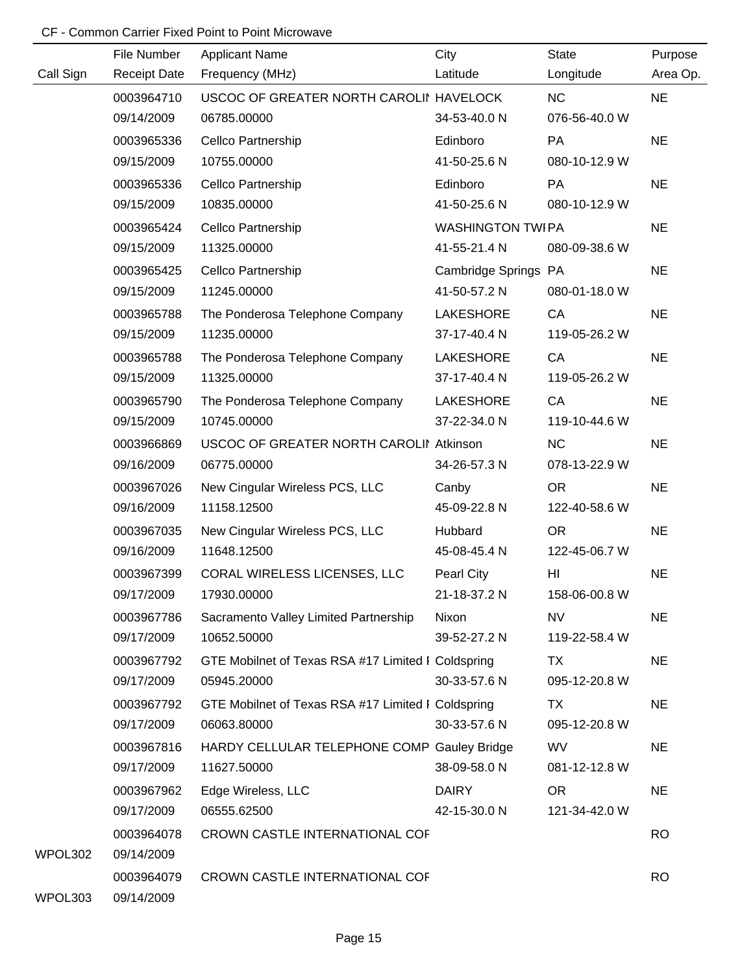|           | File Number              | <b>Applicant Name</b>                              | City                    | <b>State</b>   | Purpose   |
|-----------|--------------------------|----------------------------------------------------|-------------------------|----------------|-----------|
| Call Sign | <b>Receipt Date</b>      | Frequency (MHz)                                    | Latitude                | Longitude      | Area Op.  |
|           | 0003964710               | USCOC OF GREATER NORTH CAROLII HAVELOCK            |                         | <b>NC</b>      | <b>NE</b> |
|           | 09/14/2009               | 06785.00000                                        | 34-53-40.0 N            | 076-56-40.0 W  |           |
|           | 0003965336               | Cellco Partnership                                 | Edinboro                | <b>PA</b>      | <b>NE</b> |
|           | 09/15/2009               | 10755.00000                                        | 41-50-25.6 N            | 080-10-12.9 W  |           |
|           | 0003965336               | Cellco Partnership                                 | Edinboro                | PA             | <b>NE</b> |
|           | 09/15/2009               | 10835.00000                                        | 41-50-25.6 N            | 080-10-12.9 W  |           |
|           | 0003965424               | Cellco Partnership                                 | <b>WASHINGTON TWIPA</b> |                | <b>NE</b> |
|           | 09/15/2009               | 11325.00000                                        | 41-55-21.4 N            | 080-09-38.6 W  |           |
|           | 0003965425               | Cellco Partnership                                 | Cambridge Springs PA    |                | <b>NE</b> |
|           | 09/15/2009               | 11245.00000                                        | 41-50-57.2 N            | 080-01-18.0 W  |           |
|           | 0003965788               | The Ponderosa Telephone Company                    | LAKESHORE               | CA             | <b>NE</b> |
|           | 09/15/2009               | 11235.00000                                        | 37-17-40.4 N            | 119-05-26.2 W  |           |
|           | 0003965788               | The Ponderosa Telephone Company                    | LAKESHORE               | CA             | <b>NE</b> |
|           | 09/15/2009               | 11325.00000                                        | 37-17-40.4 N            | 119-05-26.2 W  |           |
|           | 0003965790               | The Ponderosa Telephone Company                    | <b>LAKESHORE</b>        | CA             | <b>NE</b> |
|           | 09/15/2009               | 10745.00000                                        | 37-22-34.0 N            | 119-10-44.6 W  |           |
|           | 0003966869               | USCOC OF GREATER NORTH CAROLII Atkinson            |                         | <b>NC</b>      | <b>NE</b> |
|           | 09/16/2009               | 06775.00000                                        | 34-26-57.3 N            | 078-13-22.9 W  |           |
|           | 0003967026               | New Cingular Wireless PCS, LLC                     | Canby                   | <b>OR</b>      | <b>NE</b> |
|           | 09/16/2009               | 11158.12500                                        | 45-09-22.8 N            | 122-40-58.6 W  |           |
|           | 0003967035               | New Cingular Wireless PCS, LLC                     | Hubbard                 | <b>OR</b>      | <b>NE</b> |
|           | 09/16/2009               | 11648.12500                                        | 45-08-45.4 N            | 122-45-06.7 W  |           |
|           | 0003967399               | CORAL WIRELESS LICENSES, LLC                       | Pearl City              | H <sub>l</sub> | <b>NE</b> |
|           | 09/17/2009               | 17930.00000                                        | 21-18-37.2 N            | 158-06-00.8 W  |           |
|           | 0003967786               | Sacramento Valley Limited Partnership              | Nixon                   | <b>NV</b>      | <b>NE</b> |
|           | 09/17/2009               | 10652.50000                                        | 39-52-27.2 N            | 119-22-58.4 W  |           |
|           | 0003967792               | GTE Mobilnet of Texas RSA #17 Limited I Coldspring |                         | TX             | <b>NE</b> |
|           | 09/17/2009               | 05945.20000                                        | 30-33-57.6 N            | 095-12-20.8 W  |           |
|           | 0003967792               | GTE Mobilnet of Texas RSA #17 Limited I Coldspring |                         | TX             | <b>NE</b> |
|           | 09/17/2009               | 06063.80000                                        | 30-33-57.6 N            | 095-12-20.8 W  |           |
|           | 0003967816               | HARDY CELLULAR TELEPHONE COMP Gauley Bridge        |                         | <b>WV</b>      | <b>NE</b> |
|           | 09/17/2009               | 11627.50000                                        | 38-09-58.0 N            | 081-12-12.8 W  |           |
|           | 0003967962               | Edge Wireless, LLC                                 | <b>DAIRY</b>            | OR             | <b>NE</b> |
|           | 09/17/2009               | 06555.62500                                        | 42-15-30.0 N            | 121-34-42.0 W  |           |
| WPOL302   | 0003964078<br>09/14/2009 | CROWN CASTLE INTERNATIONAL COF                     |                         |                | <b>RO</b> |
| WPOL303   | 0003964079<br>09/14/2009 | CROWN CASTLE INTERNATIONAL COF                     |                         |                | <b>RO</b> |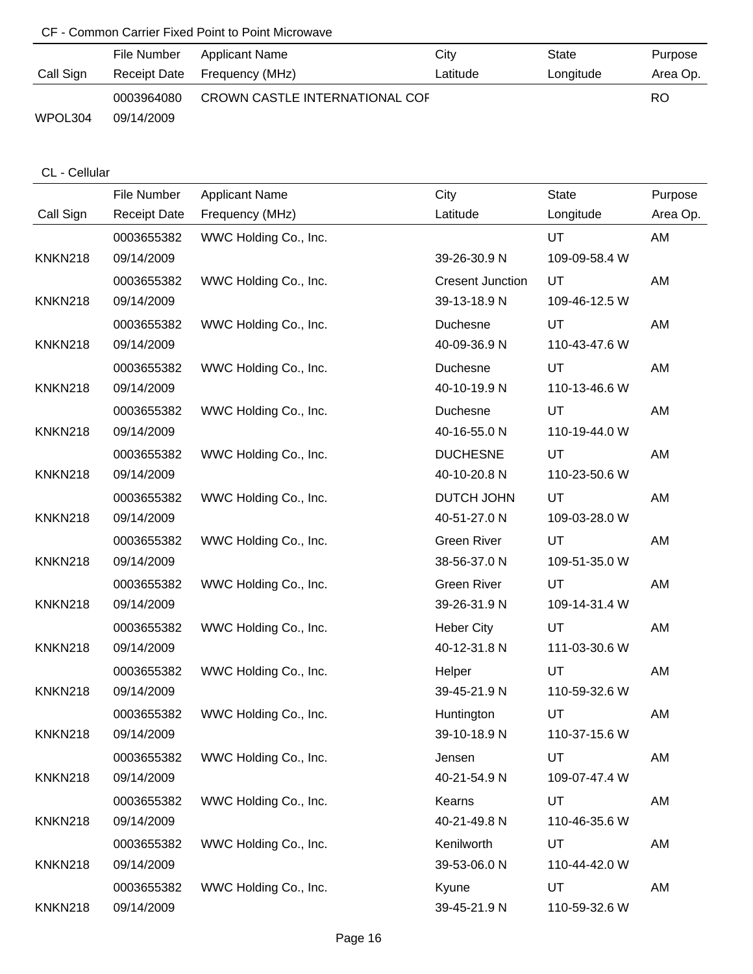|           | File Number | Applicant Name               | City                           | State     | Purpose  |
|-----------|-------------|------------------------------|--------------------------------|-----------|----------|
| Call Sign |             | Receipt Date Frequency (MHz) | Latitude                       | Longitude | Area Op. |
|           | 0003964080  |                              | CROWN CASTLE INTERNATIONAL COF |           | RO.      |
| WPOL304   | 09/14/2009  |                              |                                |           |          |

### CL - Cellular

|                | File Number         | <b>Applicant Name</b> | City                    | <b>State</b>  | Purpose  |
|----------------|---------------------|-----------------------|-------------------------|---------------|----------|
| Call Sign      | <b>Receipt Date</b> | Frequency (MHz)       | Latitude                | Longitude     | Area Op. |
|                | 0003655382          | WWC Holding Co., Inc. |                         | UT            | AM       |
| <b>KNKN218</b> | 09/14/2009          |                       | 39-26-30.9 N            | 109-09-58.4 W |          |
|                | 0003655382          | WWC Holding Co., Inc. | <b>Cresent Junction</b> | UT            | AM       |
| <b>KNKN218</b> | 09/14/2009          |                       | 39-13-18.9 N            | 109-46-12.5 W |          |
|                | 0003655382          | WWC Holding Co., Inc. | Duchesne                | UT            | AM       |
| <b>KNKN218</b> | 09/14/2009          |                       | 40-09-36.9 N            | 110-43-47.6 W |          |
|                | 0003655382          | WWC Holding Co., Inc. | Duchesne                | UT            | AM       |
| <b>KNKN218</b> | 09/14/2009          |                       | 40-10-19.9 N            | 110-13-46.6 W |          |
|                | 0003655382          | WWC Holding Co., Inc. | Duchesne                | UT            | AM       |
| <b>KNKN218</b> | 09/14/2009          |                       | 40-16-55.0 N            | 110-19-44.0 W |          |
|                | 0003655382          | WWC Holding Co., Inc. | <b>DUCHESNE</b>         | UT            | AM       |
| <b>KNKN218</b> | 09/14/2009          |                       | 40-10-20.8 N            | 110-23-50.6 W |          |
|                | 0003655382          | WWC Holding Co., Inc. | DUTCH JOHN              | UT            | AM       |
| <b>KNKN218</b> | 09/14/2009          |                       | 40-51-27.0 N            | 109-03-28.0 W |          |
|                | 0003655382          | WWC Holding Co., Inc. | <b>Green River</b>      | UT            | AM       |
| <b>KNKN218</b> | 09/14/2009          |                       | 38-56-37.0 N            | 109-51-35.0 W |          |
|                | 0003655382          | WWC Holding Co., Inc. | <b>Green River</b>      | UT            | AM       |
| <b>KNKN218</b> | 09/14/2009          |                       | 39-26-31.9 N            | 109-14-31.4 W |          |
|                | 0003655382          | WWC Holding Co., Inc. | <b>Heber City</b>       | UT            | AM       |
| <b>KNKN218</b> | 09/14/2009          |                       | 40-12-31.8 N            | 111-03-30.6 W |          |
|                | 0003655382          | WWC Holding Co., Inc. | Helper                  | UT            | AM       |
| <b>KNKN218</b> | 09/14/2009          |                       | 39-45-21.9 N            | 110-59-32.6 W |          |
|                | 0003655382          | WWC Holding Co., Inc. | Huntington              | UT            | AM       |
| <b>KNKN218</b> | 09/14/2009          |                       | 39-10-18.9 N            | 110-37-15.6 W |          |
|                | 0003655382          | WWC Holding Co., Inc. | Jensen                  | UT            | AM       |
| <b>KNKN218</b> | 09/14/2009          |                       | 40-21-54.9 N            | 109-07-47.4 W |          |
|                | 0003655382          | WWC Holding Co., Inc. | Kearns                  | UT            | AM       |
| <b>KNKN218</b> | 09/14/2009          |                       | 40-21-49.8 N            | 110-46-35.6 W |          |
|                | 0003655382          | WWC Holding Co., Inc. | Kenilworth              | UT            | AM       |
| <b>KNKN218</b> | 09/14/2009          |                       | 39-53-06.0 N            | 110-44-42.0 W |          |
|                | 0003655382          | WWC Holding Co., Inc. | Kyune                   | UT            | AM       |
| <b>KNKN218</b> | 09/14/2009          |                       | 39-45-21.9 N            | 110-59-32.6 W |          |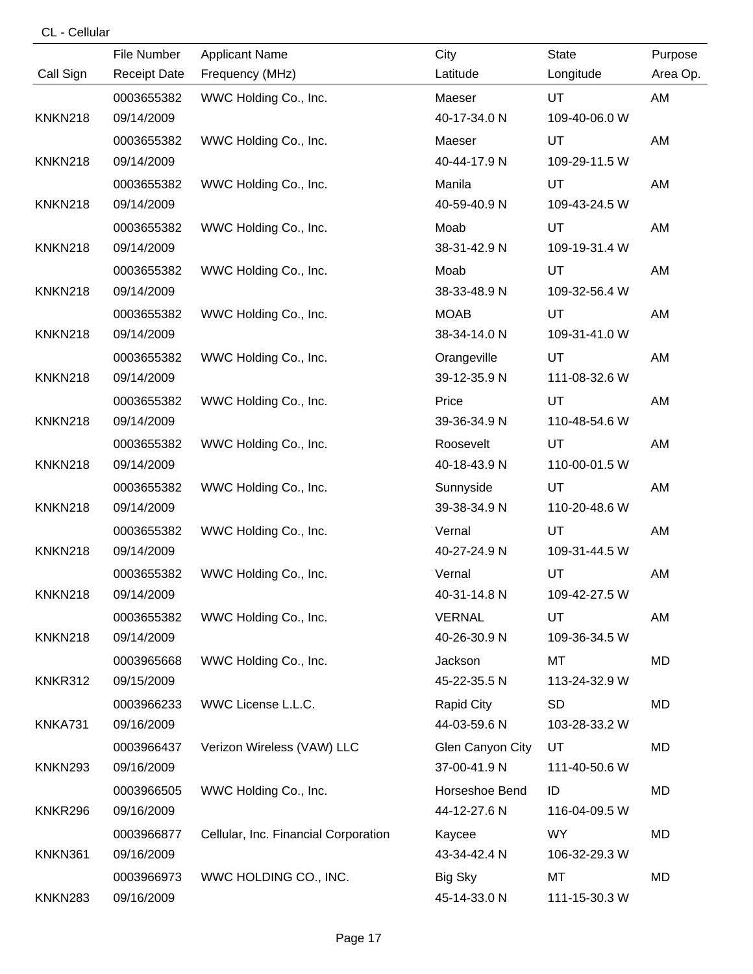### CL - Cellular

|                | File Number         | <b>Applicant Name</b>                | City              | <b>State</b>  | Purpose  |
|----------------|---------------------|--------------------------------------|-------------------|---------------|----------|
| Call Sign      | <b>Receipt Date</b> | Frequency (MHz)                      | Latitude          | Longitude     | Area Op. |
|                | 0003655382          | WWC Holding Co., Inc.                | Maeser            | UT            | AM       |
| <b>KNKN218</b> | 09/14/2009          |                                      | 40-17-34.0 N      | 109-40-06.0 W |          |
|                | 0003655382          | WWC Holding Co., Inc.                | Maeser            | UT            | AM       |
| <b>KNKN218</b> | 09/14/2009          |                                      | 40-44-17.9 N      | 109-29-11.5 W |          |
|                | 0003655382          | WWC Holding Co., Inc.                | Manila            | UT            | AM       |
| <b>KNKN218</b> | 09/14/2009          |                                      | 40-59-40.9 N      | 109-43-24.5 W |          |
|                | 0003655382          | WWC Holding Co., Inc.                | Moab              | UT            | AM       |
| <b>KNKN218</b> | 09/14/2009          |                                      | 38-31-42.9 N      | 109-19-31.4 W |          |
|                | 0003655382          | WWC Holding Co., Inc.                | Moab              | UT            | AM       |
| <b>KNKN218</b> | 09/14/2009          |                                      | 38-33-48.9 N      | 109-32-56.4 W |          |
|                | 0003655382          | WWC Holding Co., Inc.                | <b>MOAB</b>       | UT            | AM       |
| <b>KNKN218</b> | 09/14/2009          |                                      | 38-34-14.0 N      | 109-31-41.0 W |          |
|                | 0003655382          | WWC Holding Co., Inc.                | Orangeville       | UT            | AM       |
| <b>KNKN218</b> | 09/14/2009          |                                      | 39-12-35.9 N      | 111-08-32.6 W |          |
|                | 0003655382          | WWC Holding Co., Inc.                | Price             | <b>UT</b>     | AM       |
| <b>KNKN218</b> | 09/14/2009          |                                      | 39-36-34.9 N      | 110-48-54.6 W |          |
|                | 0003655382          | WWC Holding Co., Inc.                | Roosevelt         | UT            | AM       |
| <b>KNKN218</b> | 09/14/2009          |                                      | 40-18-43.9 N      | 110-00-01.5 W |          |
|                | 0003655382          | WWC Holding Co., Inc.                | Sunnyside         | UT            | AM       |
| <b>KNKN218</b> | 09/14/2009          |                                      | 39-38-34.9 N      | 110-20-48.6 W |          |
|                | 0003655382          | WWC Holding Co., Inc.                | Vernal            | UT            | AM       |
| <b>KNKN218</b> | 09/14/2009          |                                      | 40-27-24.9 N      | 109-31-44.5 W |          |
|                | 0003655382          | WWC Holding Co., Inc.                | Vernal            | UT            | AM       |
| <b>KNKN218</b> | 09/14/2009          |                                      | 40-31-14.8 N      | 109-42-27.5 W |          |
|                | 0003655382          | WWC Holding Co., Inc.                | <b>VERNAL</b>     | UT            | AM       |
| <b>KNKN218</b> | 09/14/2009          |                                      | 40-26-30.9 N      | 109-36-34.5 W |          |
|                | 0003965668          | WWC Holding Co., Inc.                | Jackson           | MT            | MD       |
| KNKR312        | 09/15/2009          |                                      | 45-22-35.5 N      | 113-24-32.9 W |          |
|                | 0003966233          | WWC License L.L.C.                   | <b>Rapid City</b> | <b>SD</b>     | MD       |
| KNKA731        | 09/16/2009          |                                      | 44-03-59.6 N      | 103-28-33.2 W |          |
|                | 0003966437          | Verizon Wireless (VAW) LLC           | Glen Canyon City  | UT            | MD       |
| <b>KNKN293</b> | 09/16/2009          |                                      | 37-00-41.9 N      | 111-40-50.6 W |          |
|                | 0003966505          | WWC Holding Co., Inc.                | Horseshoe Bend    | ID            | MD       |
| KNKR296        | 09/16/2009          |                                      | 44-12-27.6 N      | 116-04-09.5 W |          |
|                | 0003966877          | Cellular, Inc. Financial Corporation | Kaycee            | <b>WY</b>     | MD       |
| KNKN361        | 09/16/2009          |                                      | 43-34-42.4 N      | 106-32-29.3 W |          |
|                | 0003966973          | WWC HOLDING CO., INC.                | <b>Big Sky</b>    | MT            | MD       |
| <b>KNKN283</b> | 09/16/2009          |                                      | 45-14-33.0 N      | 111-15-30.3 W |          |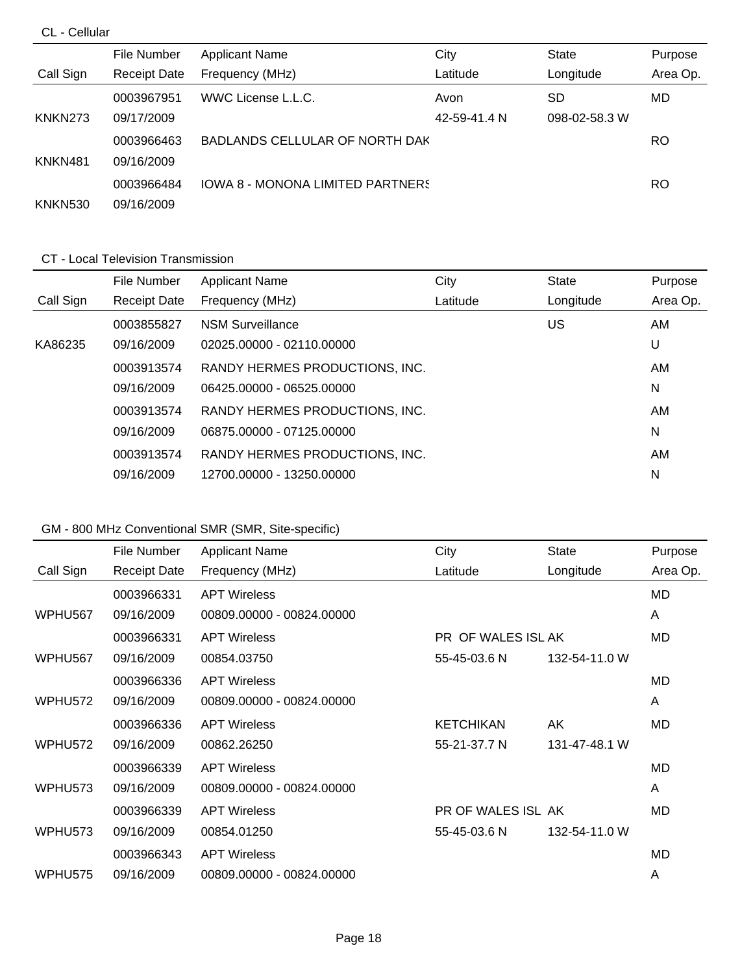### CL - Cellular

|                | File Number         | <b>Applicant Name</b>                   | City         | <b>State</b>  | Purpose  |
|----------------|---------------------|-----------------------------------------|--------------|---------------|----------|
| Call Sign      | <b>Receipt Date</b> | Frequency (MHz)                         | Latitude     | Longitude     | Area Op. |
|                | 0003967951          | WWC License L.L.C.                      | Avon         | <b>SD</b>     | MD.      |
| KNKN273        | 09/17/2009          |                                         | 42-59-41.4 N | 098-02-58.3 W |          |
|                | 0003966463          | BADLANDS CELLULAR OF NORTH DAK          |              |               | RO       |
| KNKN481        | 09/16/2009          |                                         |              |               |          |
|                | 0003966484          | <b>IOWA 8 - MONONA LIMITED PARTNERS</b> |              |               | RO       |
| <b>KNKN530</b> | 09/16/2009          |                                         |              |               |          |

#### CT - Local Television Transmission

|           | File Number         | <b>Applicant Name</b>          | City     | <b>State</b> | Purpose  |
|-----------|---------------------|--------------------------------|----------|--------------|----------|
| Call Sign | <b>Receipt Date</b> | Frequency (MHz)                | Latitude | Longitude    | Area Op. |
|           | 0003855827          | <b>NSM Surveillance</b>        |          | US           | AM.      |
| KA86235   | 09/16/2009          | 02025.00000 - 02110.00000      |          |              | U        |
|           | 0003913574          | RANDY HERMES PRODUCTIONS, INC. |          |              | AM.      |
|           | 09/16/2009          | 06425.00000 - 06525.00000      |          |              | N        |
|           | 0003913574          | RANDY HERMES PRODUCTIONS, INC. |          |              | AM       |
|           | 09/16/2009          | 06875.00000 - 07125.00000      |          |              | N        |
|           | 0003913574          | RANDY HERMES PRODUCTIONS, INC. |          |              | AM       |
|           | 09/16/2009          | 12700.00000 - 13250.00000      |          |              | N        |

# GM - 800 MHz Conventional SMR (SMR, Site-specific)

|                     | File Number         | <b>Applicant Name</b>     | City               | <b>State</b>  | Purpose  |
|---------------------|---------------------|---------------------------|--------------------|---------------|----------|
| Call Sign           | <b>Receipt Date</b> | Frequency (MHz)           | Latitude           | Longitude     | Area Op. |
|                     | 0003966331          | <b>APT Wireless</b>       |                    |               | MD.      |
| WPHU567             | 09/16/2009          | 00809.00000 - 00824.00000 |                    |               | A        |
|                     | 0003966331          | <b>APT Wireless</b>       | PR OF WALES ISL AK |               | MD       |
| WPHU <sub>567</sub> | 09/16/2009          | 00854.03750               | 55-45-03.6 N       | 132-54-11.0 W |          |
|                     | 0003966336          | <b>APT Wireless</b>       |                    |               | MD.      |
| WPHU <sub>572</sub> | 09/16/2009          | 00809.00000 - 00824.00000 |                    |               | A        |
|                     | 0003966336          | <b>APT Wireless</b>       | <b>KETCHIKAN</b>   | AK            | MD       |
| WPHU572             | 09/16/2009          | 00862.26250               | 55-21-37.7 N       | 131-47-48.1 W |          |
|                     | 0003966339          | <b>APT Wireless</b>       |                    |               | MD.      |
| WPHU573             | 09/16/2009          | 00809.00000 - 00824.00000 |                    |               | A        |
|                     | 0003966339          | <b>APT Wireless</b>       | PR OF WALES ISL AK |               | MD       |
| WPHU573             | 09/16/2009          | 00854.01250               | 55-45-03.6 N       | 132-54-11.0 W |          |
|                     | 0003966343          | <b>APT Wireless</b>       |                    |               | MD.      |
| WPHU <sub>575</sub> | 09/16/2009          | 00809.00000 - 00824.00000 |                    |               | A        |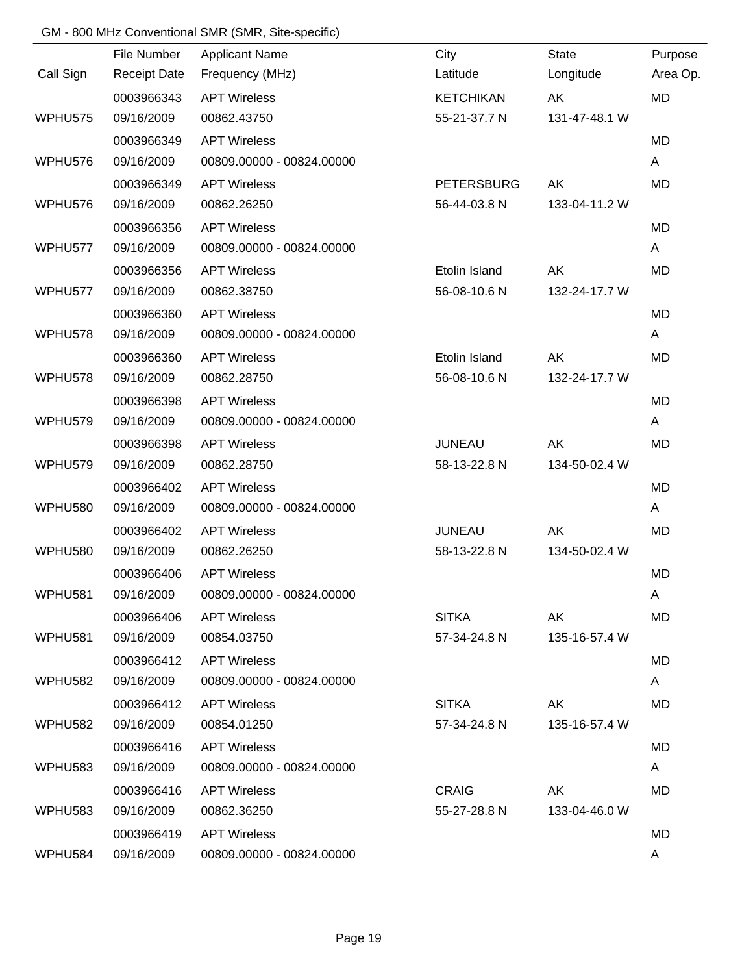### GM - 800 MHz Conventional SMR (SMR, Site-specific)

|                     | File Number         | <b>Applicant Name</b>     | City              | <b>State</b>  | Purpose   |
|---------------------|---------------------|---------------------------|-------------------|---------------|-----------|
| Call Sign           | <b>Receipt Date</b> | Frequency (MHz)           | Latitude          | Longitude     | Area Op.  |
|                     | 0003966343          | <b>APT Wireless</b>       | <b>KETCHIKAN</b>  | AK            | <b>MD</b> |
| WPHU575             | 09/16/2009          | 00862.43750               | 55-21-37.7 N      | 131-47-48.1 W |           |
|                     | 0003966349          | <b>APT Wireless</b>       |                   |               | <b>MD</b> |
| WPHU576             | 09/16/2009          | 00809.00000 - 00824.00000 |                   |               | A         |
|                     | 0003966349          | <b>APT Wireless</b>       | <b>PETERSBURG</b> | AK            | <b>MD</b> |
| WPHU576             | 09/16/2009          | 00862.26250               | 56-44-03.8 N      | 133-04-11.2 W |           |
|                     | 0003966356          | <b>APT Wireless</b>       |                   |               | <b>MD</b> |
| WPHU577             | 09/16/2009          | 00809.00000 - 00824.00000 |                   |               | A         |
|                     | 0003966356          | <b>APT Wireless</b>       | Etolin Island     | AK            | <b>MD</b> |
| WPHU577             | 09/16/2009          | 00862.38750               | 56-08-10.6 N      | 132-24-17.7 W |           |
|                     | 0003966360          | <b>APT Wireless</b>       |                   |               | <b>MD</b> |
| WPHU578             | 09/16/2009          | 00809.00000 - 00824.00000 |                   |               | A         |
|                     | 0003966360          | <b>APT Wireless</b>       | Etolin Island     | AK            | <b>MD</b> |
| WPHU578             | 09/16/2009          | 00862.28750               | 56-08-10.6 N      | 132-24-17.7 W |           |
|                     | 0003966398          | <b>APT Wireless</b>       |                   |               | <b>MD</b> |
| WPHU579             | 09/16/2009          | 00809.00000 - 00824.00000 |                   |               | A         |
|                     | 0003966398          | <b>APT Wireless</b>       | <b>JUNEAU</b>     | AK            | <b>MD</b> |
| WPHU579             | 09/16/2009          | 00862.28750               | 58-13-22.8 N      | 134-50-02.4 W |           |
|                     | 0003966402          | <b>APT Wireless</b>       |                   |               | <b>MD</b> |
| <b>WPHU580</b>      | 09/16/2009          | 00809.00000 - 00824.00000 |                   |               | A         |
|                     | 0003966402          | <b>APT Wireless</b>       | <b>JUNEAU</b>     | AK            | <b>MD</b> |
| <b>WPHU580</b>      | 09/16/2009          | 00862.26250               | 58-13-22.8 N      | 134-50-02.4 W |           |
|                     | 0003966406          | <b>APT Wireless</b>       |                   |               | <b>MD</b> |
| <b>WPHU581</b>      | 09/16/2009          | 00809.00000 - 00824.00000 |                   |               | A         |
|                     | 0003966406          | <b>APT Wireless</b>       | <b>SITKA</b>      | AK            | <b>MD</b> |
| WPHU581             | 09/16/2009          | 00854.03750               | 57-34-24.8 N      | 135-16-57.4 W |           |
|                     | 0003966412          | <b>APT Wireless</b>       |                   |               | MD        |
| WPHU582             | 09/16/2009          | 00809.00000 - 00824.00000 |                   |               | A         |
|                     | 0003966412          | <b>APT Wireless</b>       | <b>SITKA</b>      | AK            | MD        |
| WPHU <sub>582</sub> | 09/16/2009          | 00854.01250               | 57-34-24.8 N      | 135-16-57.4 W |           |
|                     | 0003966416          | <b>APT Wireless</b>       |                   |               | MD        |
| WPHU583             | 09/16/2009          | 00809.00000 - 00824.00000 |                   |               | A         |
|                     | 0003966416          | <b>APT Wireless</b>       | <b>CRAIG</b>      | AK            | MD        |
| WPHU583             | 09/16/2009          | 00862.36250               | 55-27-28.8 N      | 133-04-46.0 W |           |
|                     | 0003966419          | <b>APT Wireless</b>       |                   |               | MD        |
| WPHU584             | 09/16/2009          | 00809.00000 - 00824.00000 |                   |               | A         |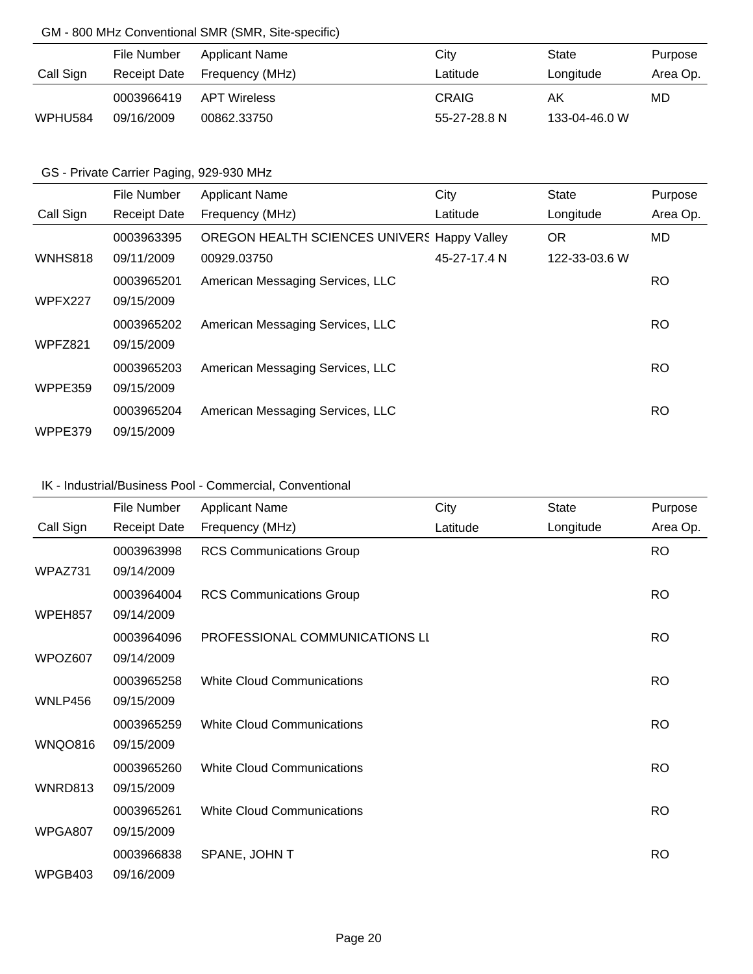### GM - 800 MHz Conventional SMR (SMR, Site-specific)

|           | File Number  | Applicant Name      | City         | State         | Purpose  |
|-----------|--------------|---------------------|--------------|---------------|----------|
| Call Sign | Receipt Date | Frequency (MHz)     | Latitude     | Longitude     | Area Op. |
|           | 0003966419   | <b>APT Wireless</b> | <b>CRAIG</b> | AK            | MD       |
| WPHU584   | 09/16/2009   | 00862.33750         | 55-27-28.8 N | 133-04-46.0 W |          |

### GS - Private Carrier Paging, 929-930 MHz

|                | File Number         | <b>Applicant Name</b>                       | City         | <b>State</b>  | Purpose   |
|----------------|---------------------|---------------------------------------------|--------------|---------------|-----------|
| Call Sign      | <b>Receipt Date</b> | Frequency (MHz)                             | Latitude     | Longitude     | Area Op.  |
|                | 0003963395          | OREGON HEALTH SCIENCES UNIVERS Happy Valley |              | <b>OR</b>     | MD.       |
| <b>WNHS818</b> | 09/11/2009          | 00929.03750                                 | 45-27-17.4 N | 122-33-03.6 W |           |
|                | 0003965201          | American Messaging Services, LLC            |              |               | RO.       |
| WPFX227        | 09/15/2009          |                                             |              |               |           |
|                | 0003965202          | American Messaging Services, LLC            |              |               | <b>RO</b> |
| WPFZ821        | 09/15/2009          |                                             |              |               |           |
|                | 0003965203          | American Messaging Services, LLC            |              |               | RO.       |
| WPPE359        | 09/15/2009          |                                             |              |               |           |
|                | 0003965204          | American Messaging Services, LLC            |              |               | <b>RO</b> |
| WPPE379        | 09/15/2009          |                                             |              |               |           |

### IK - Industrial/Business Pool - Commercial, Conventional

|                | File Number         | <b>Applicant Name</b>             | City     | <b>State</b> | Purpose   |
|----------------|---------------------|-----------------------------------|----------|--------------|-----------|
| Call Sign      | <b>Receipt Date</b> | Frequency (MHz)                   | Latitude | Longitude    | Area Op.  |
|                | 0003963998          | <b>RCS Communications Group</b>   |          |              | <b>RO</b> |
| WPAZ731        | 09/14/2009          |                                   |          |              |           |
|                | 0003964004          | <b>RCS Communications Group</b>   |          |              | <b>RO</b> |
| WPEH857        | 09/14/2009          |                                   |          |              |           |
|                | 0003964096          | PROFESSIONAL COMMUNICATIONS LI    |          |              | <b>RO</b> |
| WPOZ607        | 09/14/2009          |                                   |          |              |           |
|                | 0003965258          | <b>White Cloud Communications</b> |          |              | <b>RO</b> |
| WNLP456        | 09/15/2009          |                                   |          |              |           |
|                | 0003965259          | <b>White Cloud Communications</b> |          |              | <b>RO</b> |
| <b>WNQO816</b> | 09/15/2009          |                                   |          |              |           |
|                | 0003965260          | <b>White Cloud Communications</b> |          |              | <b>RO</b> |
| WNRD813        | 09/15/2009          |                                   |          |              |           |
|                | 0003965261          | <b>White Cloud Communications</b> |          |              | <b>RO</b> |
| WPGA807        | 09/15/2009          |                                   |          |              |           |
|                | 0003966838          | SPANE, JOHN T                     |          |              | <b>RO</b> |
| WPGB403        | 09/16/2009          |                                   |          |              |           |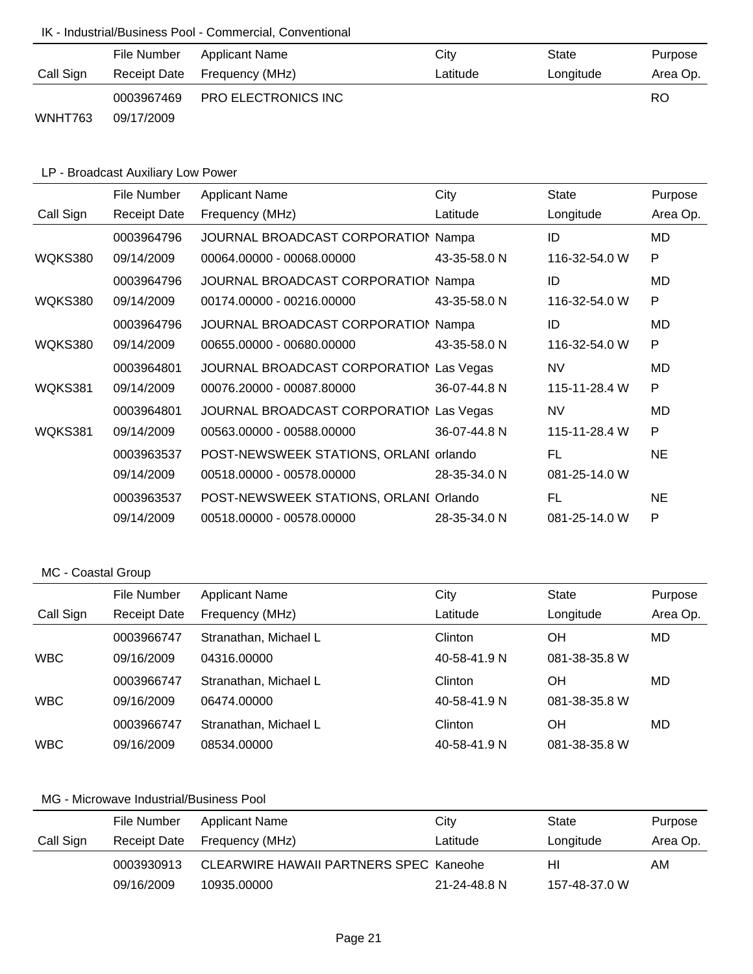### IK - Industrial/Business Pool - Commercial, Conventional

|           | File Number | Applicant Name               | City     | State     | Purpose   |
|-----------|-------------|------------------------------|----------|-----------|-----------|
| Call Sign |             | Receipt Date Frequency (MHz) | Latitude | Longitude | Area Op.  |
|           | 0003967469  | <b>PRO ELECTRONICS INC</b>   |          |           | <b>RO</b> |
| WNHT763   | 09/17/2009  |                              |          |           |           |

# LP - Broadcast Auxiliary Low Power

|           | File Number         | <b>Applicant Name</b>                   | City         | <b>State</b>  | Purpose  |
|-----------|---------------------|-----------------------------------------|--------------|---------------|----------|
| Call Sign | <b>Receipt Date</b> | Frequency (MHz)                         | Latitude     | Longitude     | Area Op. |
|           | 0003964796          | JOURNAL BROADCAST CORPORATION Nampa     |              | ID            | MD       |
| WQKS380   | 09/14/2009          | 00064.00000 - 00068.00000               | 43-35-58.0 N | 116-32-54.0 W | P        |
|           | 0003964796          | JOURNAL BROADCAST CORPORATION Nampa     |              | ID            | MD       |
| WQKS380   | 09/14/2009          | 00174.00000 - 00216.00000               | 43-35-58.0 N | 116-32-54.0 W | P        |
|           | 0003964796          | JOURNAL BROADCAST CORPORATION Nampa     |              | ID            | MD       |
| WQKS380   | 09/14/2009          | 00655.00000 - 00680.00000               | 43-35-58.0 N | 116-32-54.0 W | P        |
|           | 0003964801          | JOURNAL BROADCAST CORPORATION Las Vegas |              | <b>NV</b>     | MD       |
| WQKS381   | 09/14/2009          | 00076.20000 - 00087.80000               | 36-07-44.8 N | 115-11-28.4 W | P        |
|           | 0003964801          | JOURNAL BROADCAST CORPORATION Las Vegas |              | <b>NV</b>     | MD       |
| WQKS381   | 09/14/2009          | 00563.00000 - 00588.00000               | 36-07-44.8 N | 115-11-28.4 W | P        |
|           | 0003963537          | POST-NEWSWEEK STATIONS, ORLANI orlando  |              | FL            | NE.      |
|           | 09/14/2009          | 00518.00000 - 00578.00000               | 28-35-34.0 N | 081-25-14.0 W |          |
|           | 0003963537          | POST-NEWSWEEK STATIONS, ORLANI Orlando  |              | FL            | NE.      |
|           | 09/14/2009          | 00518.00000 - 00578.00000               | 28-35-34.0 N | 081-25-14.0 W | P        |

### MC - Coastal Group

|            | File Number         | <b>Applicant Name</b> | City         | State         | Purpose  |
|------------|---------------------|-----------------------|--------------|---------------|----------|
| Call Sign  | <b>Receipt Date</b> | Frequency (MHz)       | Latitude     | Longitude     | Area Op. |
|            | 0003966747          | Stranathan, Michael L | Clinton      | OH            | MD       |
| <b>WBC</b> | 09/16/2009          | 04316.00000           | 40-58-41.9 N | 081-38-35.8 W |          |
|            | 0003966747          | Stranathan, Michael L | Clinton      | OH            | MD       |
| <b>WBC</b> | 09/16/2009          | 06474.00000           | 40-58-41.9 N | 081-38-35.8 W |          |
|            | 0003966747          | Stranathan, Michael L | Clinton      | OH            | MD       |
| <b>WBC</b> | 09/16/2009          | 08534.00000           | 40-58-41.9 N | 081-38-35.8 W |          |

|           | File Number  | Applicant Name                                | City         | State         | Purpose  |
|-----------|--------------|-----------------------------------------------|--------------|---------------|----------|
| Call Sign | Receipt Date | Frequency (MHz)                               | Latitude     | Longitude     | Area Op. |
|           | 0003930913   | <b>CLEARWIRE HAWAII PARTNERS SPEC Kaneohe</b> |              | нı            | AM.      |
|           | 09/16/2009   | 10935.00000                                   | 21-24-48.8 N | 157-48-37.0 W |          |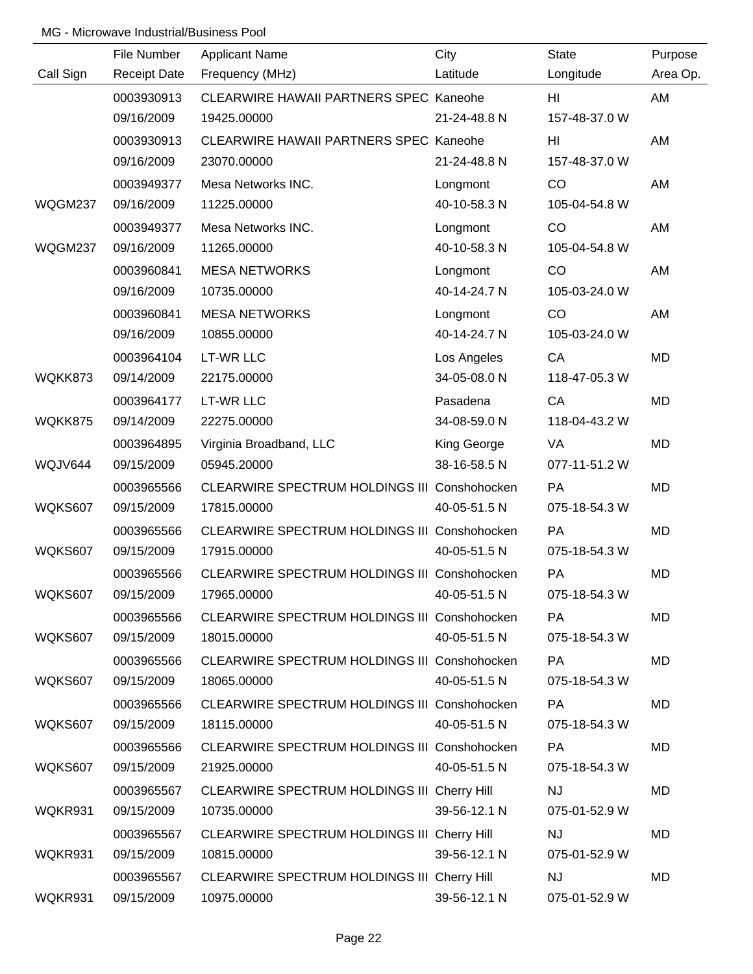|           | File Number         | <b>Applicant Name</b>                        | City         | <b>State</b>  | Purpose   |
|-----------|---------------------|----------------------------------------------|--------------|---------------|-----------|
| Call Sign | <b>Receipt Date</b> | Frequency (MHz)                              | Latitude     | Longitude     | Area Op.  |
|           | 0003930913          | CLEARWIRE HAWAII PARTNERS SPEC Kaneohe       |              | HI.           | AM        |
|           | 09/16/2009          | 19425.00000                                  | 21-24-48.8 N | 157-48-37.0 W |           |
|           | 0003930913          | CLEARWIRE HAWAII PARTNERS SPEC Kaneohe       |              | HI            | AM        |
|           | 09/16/2009          | 23070.00000                                  | 21-24-48.8 N | 157-48-37.0 W |           |
|           | 0003949377          | Mesa Networks INC.                           | Longmont     | CO            | AM        |
| WQGM237   | 09/16/2009          | 11225.00000                                  | 40-10-58.3 N | 105-04-54.8 W |           |
|           | 0003949377          | Mesa Networks INC.                           | Longmont     | CO            | AM        |
| WQGM237   | 09/16/2009          | 11265.00000                                  | 40-10-58.3 N | 105-04-54.8 W |           |
|           | 0003960841          | <b>MESA NETWORKS</b>                         | Longmont     | CO            | AM        |
|           | 09/16/2009          | 10735.00000                                  | 40-14-24.7 N | 105-03-24.0 W |           |
|           | 0003960841          | <b>MESA NETWORKS</b>                         | Longmont     | CO            | AM        |
|           | 09/16/2009          | 10855.00000                                  | 40-14-24.7 N | 105-03-24.0 W |           |
|           | 0003964104          | <b>LT-WR LLC</b>                             | Los Angeles  | CA            | MD        |
| WQKK873   | 09/14/2009          | 22175.00000                                  | 34-05-08.0 N | 118-47-05.3 W |           |
|           | 0003964177          | <b>LT-WR LLC</b>                             | Pasadena     | CA            | MD        |
| WQKK875   | 09/14/2009          | 22275.00000                                  | 34-08-59.0 N | 118-04-43.2 W |           |
|           | 0003964895          | Virginia Broadband, LLC                      | King George  | VA            | MD        |
| WQJV644   | 09/15/2009          | 05945.20000                                  | 38-16-58.5 N | 077-11-51.2 W |           |
|           | 0003965566          | CLEARWIRE SPECTRUM HOLDINGS III Conshohocken |              | PA            | <b>MD</b> |
| WQKS607   | 09/15/2009          | 17815.00000                                  | 40-05-51.5 N | 075-18-54.3 W |           |
|           | 0003965566          | CLEARWIRE SPECTRUM HOLDINGS III Conshohocken |              | PA            | MD        |
| WQKS607   | 09/15/2009          | 17915.00000                                  | 40-05-51.5 N | 075-18-54.3 W |           |
|           | 0003965566          | CLEARWIRE SPECTRUM HOLDINGS III Conshohocken |              | PA            | MD        |
| WQKS607   | 09/15/2009          | 17965.00000                                  | 40-05-51.5 N | 075-18-54.3 W |           |
|           | 0003965566          | CLEARWIRE SPECTRUM HOLDINGS III Conshohocken |              | PA            | MD        |
| WQKS607   | 09/15/2009          | 18015.00000                                  | 40-05-51.5 N | 075-18-54.3 W |           |
|           | 0003965566          | CLEARWIRE SPECTRUM HOLDINGS III Conshohocken |              | <b>PA</b>     | MD        |
| WQKS607   | 09/15/2009          | 18065.00000                                  | 40-05-51.5 N | 075-18-54.3 W |           |
|           | 0003965566          | CLEARWIRE SPECTRUM HOLDINGS III Conshohocken |              | <b>PA</b>     | MD        |
| WQKS607   | 09/15/2009          | 18115.00000                                  | 40-05-51.5 N | 075-18-54.3 W |           |
|           | 0003965566          | CLEARWIRE SPECTRUM HOLDINGS III Conshohocken |              | <b>PA</b>     | MD        |
| WQKS607   | 09/15/2009          | 21925.00000                                  | 40-05-51.5 N | 075-18-54.3 W |           |
|           | 0003965567          | CLEARWIRE SPECTRUM HOLDINGS III Cherry Hill  |              | <b>NJ</b>     | MD        |
| WQKR931   | 09/15/2009          | 10735.00000                                  | 39-56-12.1 N | 075-01-52.9 W |           |
|           | 0003965567          | CLEARWIRE SPECTRUM HOLDINGS III Cherry Hill  |              | <b>NJ</b>     | MD        |
| WQKR931   | 09/15/2009          | 10815.00000                                  | 39-56-12.1 N | 075-01-52.9 W |           |
|           | 0003965567          | CLEARWIRE SPECTRUM HOLDINGS III Cherry Hill  |              | <b>NJ</b>     | MD        |
| WQKR931   | 09/15/2009          | 10975.00000                                  | 39-56-12.1 N | 075-01-52.9 W |           |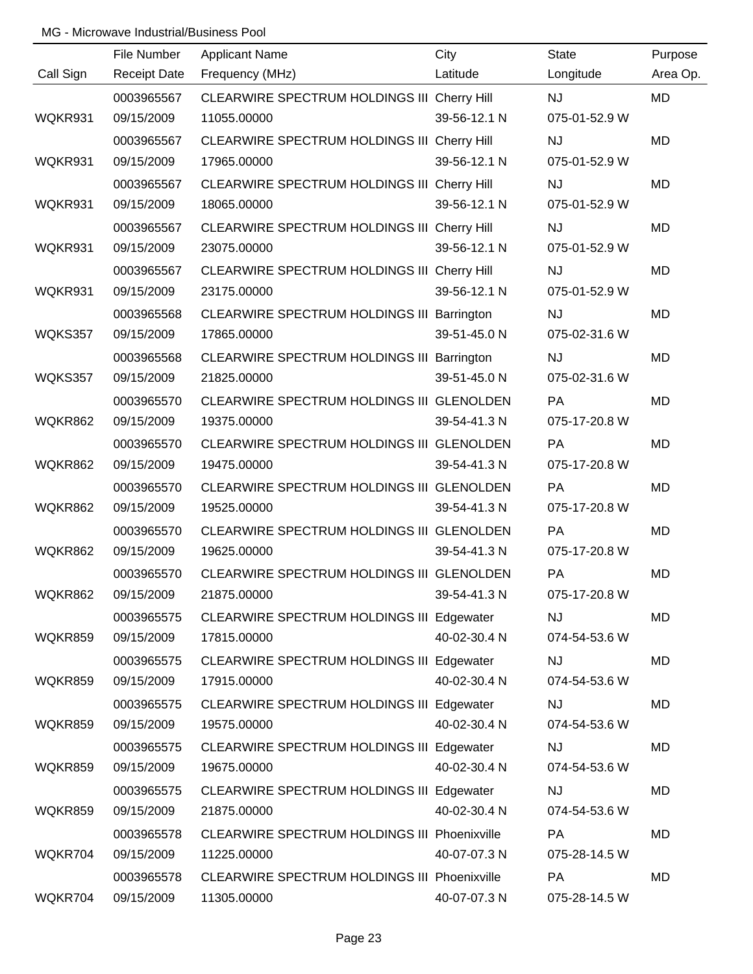|                | File Number         | <b>Applicant Name</b>                            | City         | <b>State</b>  | Purpose   |
|----------------|---------------------|--------------------------------------------------|--------------|---------------|-----------|
| Call Sign      | <b>Receipt Date</b> | Frequency (MHz)                                  | Latitude     | Longitude     | Area Op.  |
|                | 0003965567          | CLEARWIRE SPECTRUM HOLDINGS III Cherry Hill      |              | NJ            | MD        |
| WQKR931        | 09/15/2009          | 11055.00000                                      | 39-56-12.1 N | 075-01-52.9 W |           |
|                | 0003965567          | CLEARWIRE SPECTRUM HOLDINGS III Cherry Hill      |              | <b>NJ</b>     | <b>MD</b> |
| WQKR931        | 09/15/2009          | 17965.00000                                      | 39-56-12.1 N | 075-01-52.9 W |           |
|                | 0003965567          | CLEARWIRE SPECTRUM HOLDINGS III Cherry Hill      |              | <b>NJ</b>     | <b>MD</b> |
| WQKR931        | 09/15/2009          | 18065.00000                                      | 39-56-12.1 N | 075-01-52.9 W |           |
|                | 0003965567          | CLEARWIRE SPECTRUM HOLDINGS III Cherry Hill      |              | <b>NJ</b>     | <b>MD</b> |
| WQKR931        | 09/15/2009          | 23075.00000                                      | 39-56-12.1 N | 075-01-52.9 W |           |
|                | 0003965567          | CLEARWIRE SPECTRUM HOLDINGS III Cherry Hill      |              | <b>NJ</b>     | MD        |
| WQKR931        | 09/15/2009          | 23175.00000                                      | 39-56-12.1 N | 075-01-52.9 W |           |
|                | 0003965568          | CLEARWIRE SPECTRUM HOLDINGS III Barrington       |              | <b>NJ</b>     | MD        |
| WQKS357        | 09/15/2009          | 17865.00000                                      | 39-51-45.0 N | 075-02-31.6 W |           |
|                | 0003965568          | CLEARWIRE SPECTRUM HOLDINGS III Barrington       |              | <b>NJ</b>     | MD        |
| WQKS357        | 09/15/2009          | 21825.00000                                      | 39-51-45.0 N | 075-02-31.6 W |           |
|                | 0003965570          | CLEARWIRE SPECTRUM HOLDINGS III GLENOLDEN        |              | PA            | <b>MD</b> |
| <b>WQKR862</b> | 09/15/2009          | 19375.00000                                      | 39-54-41.3 N | 075-17-20.8 W |           |
|                | 0003965570          | CLEARWIRE SPECTRUM HOLDINGS III GLENOLDEN        |              | PA            | MD        |
| <b>WQKR862</b> | 09/15/2009          | 19475.00000                                      | 39-54-41.3 N | 075-17-20.8 W |           |
|                | 0003965570          | CLEARWIRE SPECTRUM HOLDINGS III GLENOLDEN        |              | PA            | <b>MD</b> |
| <b>WQKR862</b> | 09/15/2009          | 19525.00000                                      | 39-54-41.3 N | 075-17-20.8 W |           |
|                | 0003965570          | CLEARWIRE SPECTRUM HOLDINGS III GLENOLDEN        |              | PA            | MD        |
| <b>WQKR862</b> | 09/15/2009          | 19625.00000                                      | 39-54-41.3 N | 075-17-20.8 W |           |
|                | 0003965570          | CLEARWIRE SPECTRUM HOLDINGS III GLENOLDEN        |              | PA            | MD        |
| WQKR862        | 09/15/2009          | 21875.00000                                      | 39-54-41.3 N | 075-17-20.8 W |           |
|                | 0003965575          | CLEARWIRE SPECTRUM HOLDINGS III Edgewater        |              | <b>NJ</b>     | MD        |
| WQKR859        | 09/15/2009          | 17815.00000                                      | 40-02-30.4 N | 074-54-53.6 W |           |
|                | 0003965575          | <b>CLEARWIRE SPECTRUM HOLDINGS III Edgewater</b> |              | <b>NJ</b>     | MD        |
| WQKR859        | 09/15/2009          | 17915.00000                                      | 40-02-30.4 N | 074-54-53.6 W |           |
|                | 0003965575          | CLEARWIRE SPECTRUM HOLDINGS III Edgewater        |              | <b>NJ</b>     | MD        |
| WQKR859        | 09/15/2009          | 19575.00000                                      | 40-02-30.4 N | 074-54-53.6 W |           |
|                | 0003965575          | CLEARWIRE SPECTRUM HOLDINGS III Edgewater        |              | <b>NJ</b>     | MD        |
| WQKR859        | 09/15/2009          | 19675.00000                                      | 40-02-30.4 N | 074-54-53.6 W |           |
|                | 0003965575          | CLEARWIRE SPECTRUM HOLDINGS III Edgewater        |              | <b>NJ</b>     | MD        |
| WQKR859        | 09/15/2009          | 21875.00000                                      | 40-02-30.4 N | 074-54-53.6 W |           |
|                | 0003965578          | CLEARWIRE SPECTRUM HOLDINGS III Phoenixville     |              | <b>PA</b>     | MD        |
| WQKR704        | 09/15/2009          | 11225.00000                                      | 40-07-07.3 N | 075-28-14.5 W |           |
|                | 0003965578          | CLEARWIRE SPECTRUM HOLDINGS III Phoenixville     |              | PA            | MD        |
| WQKR704        | 09/15/2009          | 11305.00000                                      | 40-07-07.3 N | 075-28-14.5 W |           |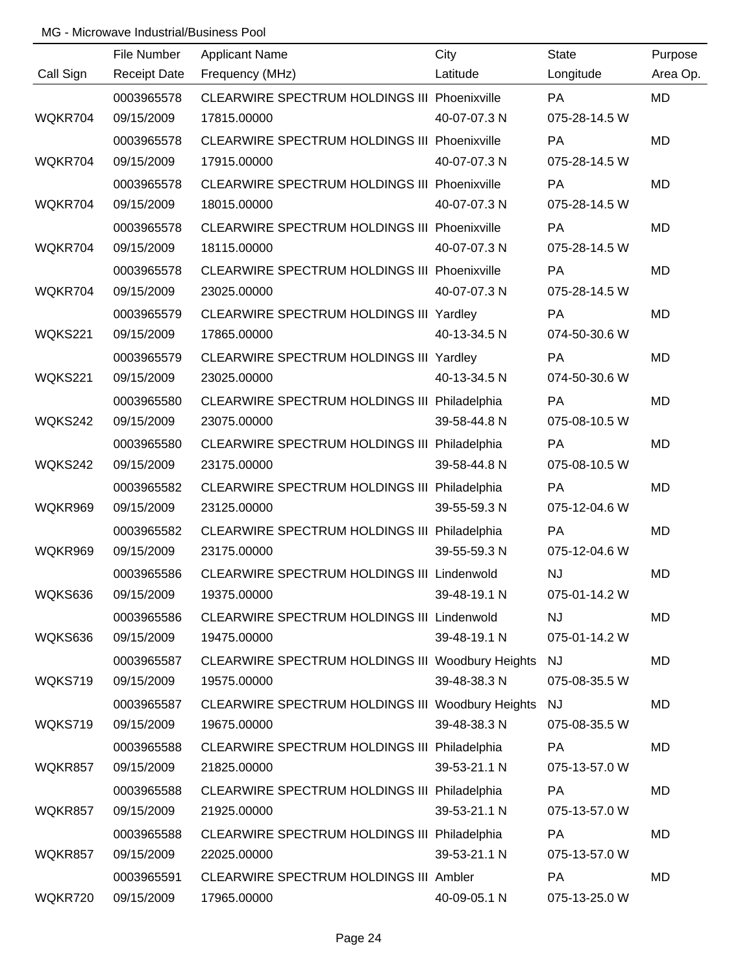|           | File Number         | <b>Applicant Name</b>                               | City         | <b>State</b>  | Purpose   |
|-----------|---------------------|-----------------------------------------------------|--------------|---------------|-----------|
| Call Sign | <b>Receipt Date</b> | Frequency (MHz)                                     | Latitude     | Longitude     | Area Op.  |
|           | 0003965578          | <b>CLEARWIRE SPECTRUM HOLDINGS III Phoenixville</b> |              | PA            | <b>MD</b> |
| WQKR704   | 09/15/2009          | 17815.00000                                         | 40-07-07.3 N | 075-28-14.5 W |           |
|           | 0003965578          | CLEARWIRE SPECTRUM HOLDINGS III Phoenixville        |              | PA            | <b>MD</b> |
| WQKR704   | 09/15/2009          | 17915.00000                                         | 40-07-07.3 N | 075-28-14.5 W |           |
|           | 0003965578          | CLEARWIRE SPECTRUM HOLDINGS III Phoenixville        |              | <b>PA</b>     | <b>MD</b> |
| WQKR704   | 09/15/2009          | 18015.00000                                         | 40-07-07.3 N | 075-28-14.5 W |           |
|           | 0003965578          | CLEARWIRE SPECTRUM HOLDINGS III Phoenixville        |              | PA            | <b>MD</b> |
| WQKR704   | 09/15/2009          | 18115.00000                                         | 40-07-07.3 N | 075-28-14.5 W |           |
|           | 0003965578          | CLEARWIRE SPECTRUM HOLDINGS III Phoenixville        |              | PA            | <b>MD</b> |
| WQKR704   | 09/15/2009          | 23025.00000                                         | 40-07-07.3 N | 075-28-14.5 W |           |
|           | 0003965579          | CLEARWIRE SPECTRUM HOLDINGS III Yardley             |              | PA            | MD        |
| WQKS221   | 09/15/2009          | 17865.00000                                         | 40-13-34.5 N | 074-50-30.6 W |           |
|           | 0003965579          | CLEARWIRE SPECTRUM HOLDINGS III Yardley             |              | <b>PA</b>     | MD        |
| WQKS221   | 09/15/2009          | 23025.00000                                         | 40-13-34.5 N | 074-50-30.6 W |           |
|           | 0003965580          | CLEARWIRE SPECTRUM HOLDINGS III Philadelphia        |              | PA            | MD        |
| WQKS242   | 09/15/2009          | 23075.00000                                         | 39-58-44.8 N | 075-08-10.5 W |           |
|           | 0003965580          | <b>CLEARWIRE SPECTRUM HOLDINGS III Philadelphia</b> |              | PA            | <b>MD</b> |
| WQKS242   | 09/15/2009          | 23175.00000                                         | 39-58-44.8 N | 075-08-10.5 W |           |
|           | 0003965582          | CLEARWIRE SPECTRUM HOLDINGS III Philadelphia        |              | PA            | MD        |
| WQKR969   | 09/15/2009          | 23125.00000                                         | 39-55-59.3 N | 075-12-04.6 W |           |
|           | 0003965582          | CLEARWIRE SPECTRUM HOLDINGS III Philadelphia        |              | PA            | MD        |
| WQKR969   | 09/15/2009          | 23175.00000                                         | 39-55-59.3 N | 075-12-04.6 W |           |
|           | 0003965586          | CLEARWIRE SPECTRUM HOLDINGS III Lindenwold          |              | <b>NJ</b>     | <b>MD</b> |
| WQKS636   | 09/15/2009          | 19375.00000                                         | 39-48-19.1 N | 075-01-14.2 W |           |
|           | 0003965586          | CLEARWIRE SPECTRUM HOLDINGS III Lindenwold          |              | <b>NJ</b>     | MD        |
| WQKS636   | 09/15/2009          | 19475.00000                                         | 39-48-19.1 N | 075-01-14.2 W |           |
|           | 0003965587          | CLEARWIRE SPECTRUM HOLDINGS III Woodbury Heights NJ |              |               | MD        |
| WQKS719   | 09/15/2009          | 19575.00000                                         | 39-48-38.3 N | 075-08-35.5 W |           |
|           | 0003965587          | CLEARWIRE SPECTRUM HOLDINGS III Woodbury Heights NJ |              |               | MD        |
| WQKS719   | 09/15/2009          | 19675.00000                                         | 39-48-38.3 N | 075-08-35.5 W |           |
|           | 0003965588          | CLEARWIRE SPECTRUM HOLDINGS III Philadelphia        |              | <b>PA</b>     | MD        |
| WQKR857   | 09/15/2009          | 21825.00000                                         | 39-53-21.1 N | 075-13-57.0 W |           |
|           | 0003965588          | CLEARWIRE SPECTRUM HOLDINGS III Philadelphia        |              | <b>PA</b>     | MD        |
| WQKR857   | 09/15/2009          | 21925.00000                                         | 39-53-21.1 N | 075-13-57.0 W |           |
|           | 0003965588          | CLEARWIRE SPECTRUM HOLDINGS III Philadelphia        |              | PA            | MD        |
| WQKR857   | 09/15/2009          | 22025.00000                                         | 39-53-21.1 N | 075-13-57.0 W |           |
|           | 0003965591          | <b>CLEARWIRE SPECTRUM HOLDINGS III Ambler</b>       |              | <b>PA</b>     | MD        |
| WQKR720   | 09/15/2009          | 17965.00000                                         | 40-09-05.1 N | 075-13-25.0 W |           |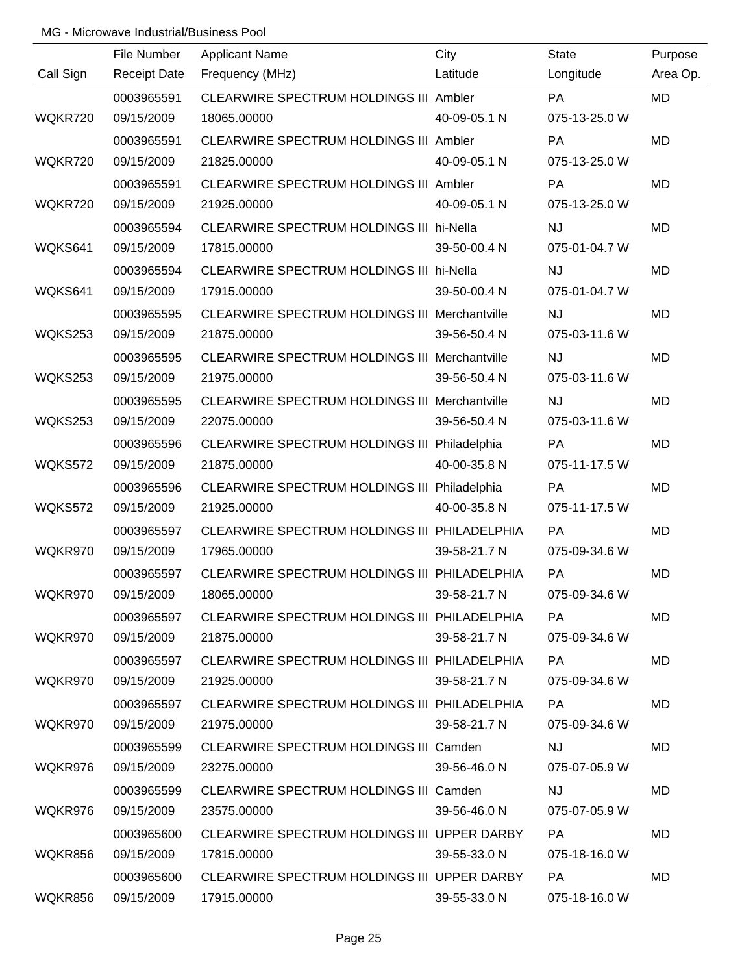|           | File Number         | <b>Applicant Name</b>                                | City         | <b>State</b>  | Purpose   |
|-----------|---------------------|------------------------------------------------------|--------------|---------------|-----------|
| Call Sign | <b>Receipt Date</b> | Frequency (MHz)                                      | Latitude     | Longitude     | Area Op.  |
|           | 0003965591          | CLEARWIRE SPECTRUM HOLDINGS III Ambler               |              | PA            | <b>MD</b> |
| WQKR720   | 09/15/2009          | 18065.00000                                          | 40-09-05.1 N | 075-13-25.0 W |           |
|           | 0003965591          | CLEARWIRE SPECTRUM HOLDINGS III Ambler               |              | PA            | <b>MD</b> |
| WQKR720   | 09/15/2009          | 21825.00000                                          | 40-09-05.1 N | 075-13-25.0 W |           |
|           | 0003965591          | CLEARWIRE SPECTRUM HOLDINGS III Ambler               |              | <b>PA</b>     | <b>MD</b> |
| WQKR720   | 09/15/2009          | 21925.00000                                          | 40-09-05.1 N | 075-13-25.0 W |           |
|           | 0003965594          | CLEARWIRE SPECTRUM HOLDINGS III hi-Nella             |              | <b>NJ</b>     | <b>MD</b> |
| WQKS641   | 09/15/2009          | 17815.00000                                          | 39-50-00.4 N | 075-01-04.7 W |           |
|           | 0003965594          | CLEARWIRE SPECTRUM HOLDINGS III hi-Nella             |              | <b>NJ</b>     | <b>MD</b> |
| WQKS641   | 09/15/2009          | 17915.00000                                          | 39-50-00.4 N | 075-01-04.7 W |           |
|           | 0003965595          | <b>CLEARWIRE SPECTRUM HOLDINGS III Merchantville</b> |              | <b>NJ</b>     | <b>MD</b> |
| WQKS253   | 09/15/2009          | 21875.00000                                          | 39-56-50.4 N | 075-03-11.6 W |           |
|           | 0003965595          | <b>CLEARWIRE SPECTRUM HOLDINGS III Merchantville</b> |              | <b>NJ</b>     | <b>MD</b> |
| WQKS253   | 09/15/2009          | 21975.00000                                          | 39-56-50.4 N | 075-03-11.6 W |           |
|           | 0003965595          | <b>CLEARWIRE SPECTRUM HOLDINGS III Merchantville</b> |              | <b>NJ</b>     | <b>MD</b> |
| WQKS253   | 09/15/2009          | 22075.00000                                          | 39-56-50.4 N | 075-03-11.6 W |           |
|           | 0003965596          | CLEARWIRE SPECTRUM HOLDINGS III Philadelphia         |              | <b>PA</b>     | <b>MD</b> |
| WQKS572   | 09/15/2009          | 21875.00000                                          | 40-00-35.8 N | 075-11-17.5 W |           |
|           | 0003965596          | <b>CLEARWIRE SPECTRUM HOLDINGS III Philadelphia</b>  |              | PA            | <b>MD</b> |
| WQKS572   | 09/15/2009          | 21925.00000                                          | 40-00-35.8 N | 075-11-17.5 W |           |
|           | 0003965597          | CLEARWIRE SPECTRUM HOLDINGS III PHILADELPHIA         |              | PA            | <b>MD</b> |
| WQKR970   | 09/15/2009          | 17965.00000                                          | 39-58-21.7 N | 075-09-34.6 W |           |
|           | 0003965597          | CLEARWIRE SPECTRUM HOLDINGS III PHILADELPHIA         |              | PA            | <b>MD</b> |
| WQKR970   | 09/15/2009          | 18065.00000                                          | 39-58-21.7 N | 075-09-34.6 W |           |
|           | 0003965597          | CLEARWIRE SPECTRUM HOLDINGS III PHILADELPHIA         |              | PA.           | MD        |
| WQKR970   | 09/15/2009          | 21875.00000                                          | 39-58-21.7 N | 075-09-34.6 W |           |
|           | 0003965597          | CLEARWIRE SPECTRUM HOLDINGS III PHILADELPHIA         |              | <b>PA</b>     | MD        |
| WQKR970   | 09/15/2009          | 21925.00000                                          | 39-58-21.7 N | 075-09-34.6 W |           |
|           | 0003965597          | CLEARWIRE SPECTRUM HOLDINGS III PHILADELPHIA         |              | PA.           | MD        |
| WQKR970   | 09/15/2009          | 21975.00000                                          | 39-58-21.7 N | 075-09-34.6 W |           |
|           | 0003965599          | CLEARWIRE SPECTRUM HOLDINGS III Camden               |              | NJ.           | MD        |
| WQKR976   | 09/15/2009          | 23275.00000                                          | 39-56-46.0 N | 075-07-05.9 W |           |
|           | 0003965599          | CLEARWIRE SPECTRUM HOLDINGS III Camden               |              | <b>NJ</b>     | MD        |
| WQKR976   | 09/15/2009          | 23575.00000                                          | 39-56-46.0 N | 075-07-05.9 W |           |
|           | 0003965600          | CLEARWIRE SPECTRUM HOLDINGS III UPPER DARBY          |              | PA.           | MD.       |
| WQKR856   | 09/15/2009          | 17815.00000                                          | 39-55-33.0 N | 075-18-16.0 W |           |
|           | 0003965600          | CLEARWIRE SPECTRUM HOLDINGS III UPPER DARBY          |              | PA.           | MD        |
| WQKR856   | 09/15/2009          | 17915.00000                                          | 39-55-33.0 N | 075-18-16.0 W |           |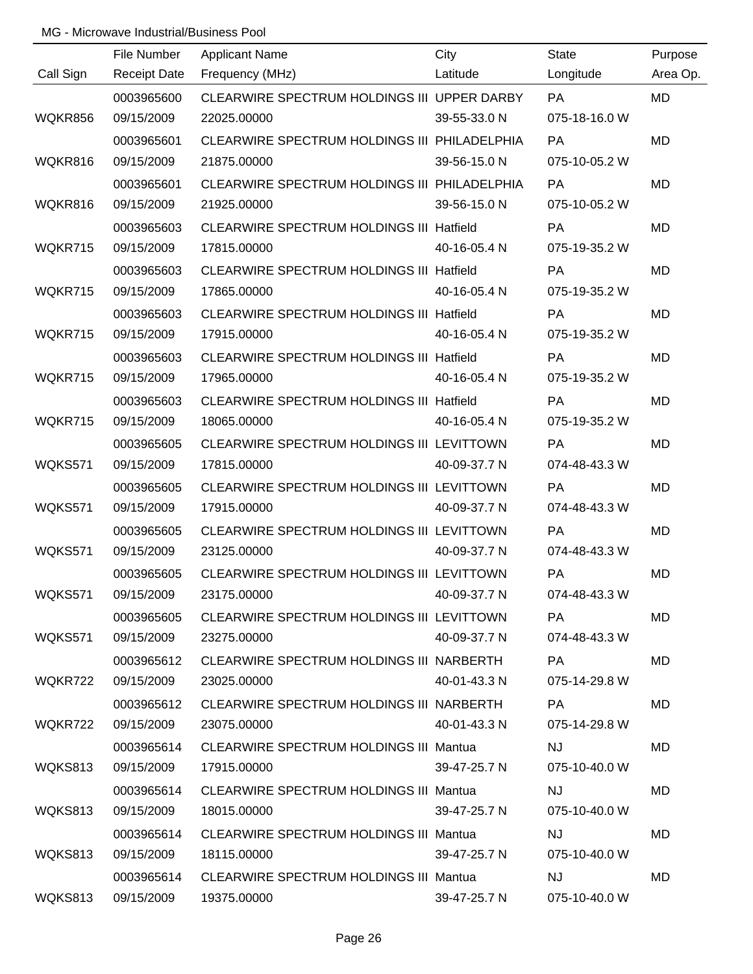|           | File Number         | <b>Applicant Name</b>                         | City         | <b>State</b>  | Purpose   |
|-----------|---------------------|-----------------------------------------------|--------------|---------------|-----------|
| Call Sign | <b>Receipt Date</b> | Frequency (MHz)                               | Latitude     | Longitude     | Area Op.  |
|           | 0003965600          | CLEARWIRE SPECTRUM HOLDINGS III UPPER DARBY   |              | PA            | <b>MD</b> |
| WQKR856   | 09/15/2009          | 22025.00000                                   | 39-55-33.0 N | 075-18-16.0 W |           |
|           | 0003965601          | CLEARWIRE SPECTRUM HOLDINGS III PHILADELPHIA  |              | PA            | <b>MD</b> |
| WQKR816   | 09/15/2009          | 21875.00000                                   | 39-56-15.0 N | 075-10-05.2 W |           |
|           | 0003965601          | CLEARWIRE SPECTRUM HOLDINGS III PHILADELPHIA  |              | <b>PA</b>     | <b>MD</b> |
| WQKR816   | 09/15/2009          | 21925.00000                                   | 39-56-15.0 N | 075-10-05.2 W |           |
|           | 0003965603          | CLEARWIRE SPECTRUM HOLDINGS III Hatfield      |              | PA            | <b>MD</b> |
| WQKR715   | 09/15/2009          | 17815.00000                                   | 40-16-05.4 N | 075-19-35.2 W |           |
|           | 0003965603          | CLEARWIRE SPECTRUM HOLDINGS III Hatfield      |              | PA            | MD        |
| WQKR715   | 09/15/2009          | 17865.00000                                   | 40-16-05.4 N | 075-19-35.2 W |           |
|           | 0003965603          | CLEARWIRE SPECTRUM HOLDINGS III Hatfield      |              | PA            | <b>MD</b> |
| WQKR715   | 09/15/2009          | 17915.00000                                   | 40-16-05.4 N | 075-19-35.2 W |           |
|           | 0003965603          | CLEARWIRE SPECTRUM HOLDINGS III Hatfield      |              | <b>PA</b>     | MD        |
| WQKR715   | 09/15/2009          | 17965.00000                                   | 40-16-05.4 N | 075-19-35.2 W |           |
|           | 0003965603          | CLEARWIRE SPECTRUM HOLDINGS III Hatfield      |              | PA            | <b>MD</b> |
| WQKR715   | 09/15/2009          | 18065.00000                                   | 40-16-05.4 N | 075-19-35.2 W |           |
|           | 0003965605          | CLEARWIRE SPECTRUM HOLDINGS III LEVITTOWN     |              | PA            | MD        |
| WQKS571   | 09/15/2009          | 17815.00000                                   | 40-09-37.7 N | 074-48-43.3 W |           |
|           | 0003965605          | CLEARWIRE SPECTRUM HOLDINGS III LEVITTOWN     |              | PA            | <b>MD</b> |
| WQKS571   | 09/15/2009          | 17915.00000                                   | 40-09-37.7 N | 074-48-43.3 W |           |
|           | 0003965605          | CLEARWIRE SPECTRUM HOLDINGS III LEVITTOWN     |              | PA            | MD        |
| WQKS571   | 09/15/2009          | 23125.00000                                   | 40-09-37.7 N | 074-48-43.3 W |           |
|           | 0003965605          | CLEARWIRE SPECTRUM HOLDINGS III LEVITTOWN     |              | PA            | MD        |
| WQKS571   | 09/15/2009          | 23175.00000                                   | 40-09-37.7 N | 074-48-43.3 W |           |
|           | 0003965605          | CLEARWIRE SPECTRUM HOLDINGS III LEVITTOWN     |              | <b>PA</b>     | MD        |
| WQKS571   | 09/15/2009          | 23275.00000                                   | 40-09-37.7 N | 074-48-43.3 W |           |
|           | 0003965612          | CLEARWIRE SPECTRUM HOLDINGS III NARBERTH      |              | PA.           | MD        |
| WQKR722   | 09/15/2009          | 23025.00000                                   | 40-01-43.3 N | 075-14-29.8 W |           |
|           | 0003965612          | CLEARWIRE SPECTRUM HOLDINGS III NARBERTH      |              | <b>PA</b>     | MD        |
| WQKR722   | 09/15/2009          | 23075.00000                                   | 40-01-43.3 N | 075-14-29.8 W |           |
|           | 0003965614          | <b>CLEARWIRE SPECTRUM HOLDINGS III Mantua</b> |              | NJ.           | MD        |
| WQKS813   | 09/15/2009          | 17915.00000                                   | 39-47-25.7 N | 075-10-40.0 W |           |
|           | 0003965614          | <b>CLEARWIRE SPECTRUM HOLDINGS III Mantua</b> |              | <b>NJ</b>     | MD        |
| WQKS813   | 09/15/2009          | 18015.00000                                   | 39-47-25.7 N | 075-10-40.0 W |           |
|           | 0003965614          | <b>CLEARWIRE SPECTRUM HOLDINGS III Mantua</b> |              | <b>NJ</b>     | MD        |
| WQKS813   | 09/15/2009          | 18115.00000                                   | 39-47-25.7 N | 075-10-40.0 W |           |
|           | 0003965614          | CLEARWIRE SPECTRUM HOLDINGS III Mantua        |              | <b>NJ</b>     | MD        |
| WQKS813   | 09/15/2009          | 19375.00000                                   | 39-47-25.7 N | 075-10-40.0 W |           |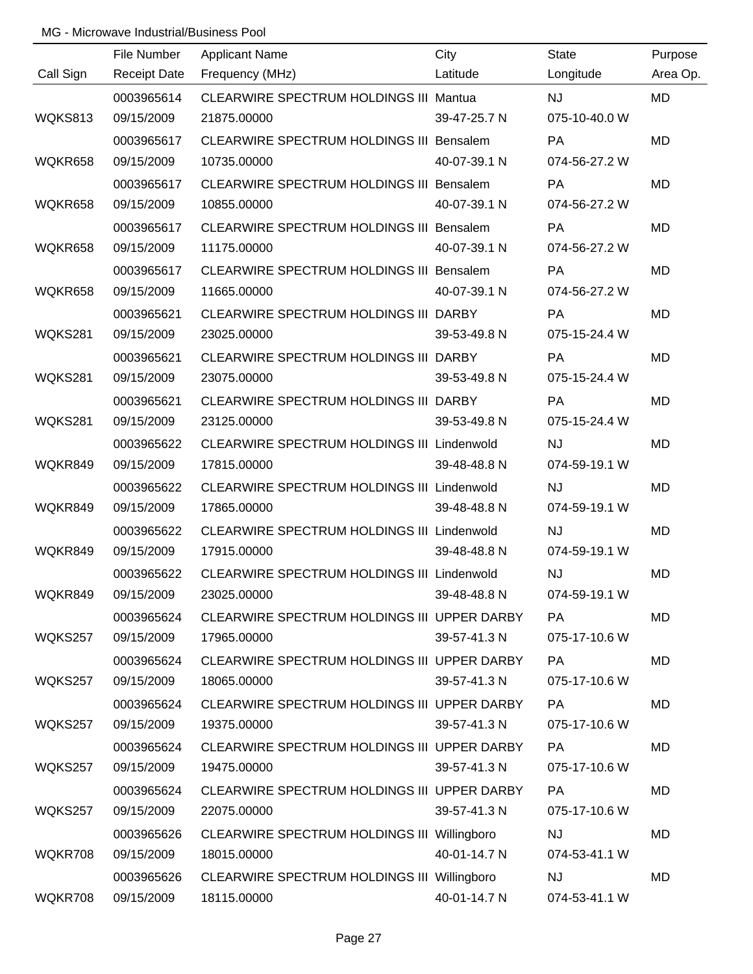|           | File Number         | <b>Applicant Name</b>                           | City         | <b>State</b>  | Purpose   |
|-----------|---------------------|-------------------------------------------------|--------------|---------------|-----------|
| Call Sign | <b>Receipt Date</b> | Frequency (MHz)                                 | Latitude     | Longitude     | Area Op.  |
|           | 0003965614          | <b>CLEARWIRE SPECTRUM HOLDINGS III Mantua</b>   |              | NJ            | <b>MD</b> |
| WQKS813   | 09/15/2009          | 21875.00000                                     | 39-47-25.7 N | 075-10-40.0 W |           |
|           | 0003965617          | <b>CLEARWIRE SPECTRUM HOLDINGS III Bensalem</b> |              | PA            | <b>MD</b> |
| WQKR658   | 09/15/2009          | 10735.00000                                     | 40-07-39.1 N | 074-56-27.2 W |           |
|           | 0003965617          | <b>CLEARWIRE SPECTRUM HOLDINGS III Bensalem</b> |              | <b>PA</b>     | <b>MD</b> |
| WQKR658   | 09/15/2009          | 10855.00000                                     | 40-07-39.1 N | 074-56-27.2 W |           |
|           | 0003965617          | <b>CLEARWIRE SPECTRUM HOLDINGS III Bensalem</b> |              | PA            | <b>MD</b> |
| WQKR658   | 09/15/2009          | 11175.00000                                     | 40-07-39.1 N | 074-56-27.2 W |           |
|           | 0003965617          | CLEARWIRE SPECTRUM HOLDINGS III Bensalem        |              | PA            | MD        |
| WQKR658   | 09/15/2009          | 11665.00000                                     | 40-07-39.1 N | 074-56-27.2 W |           |
|           | 0003965621          | CLEARWIRE SPECTRUM HOLDINGS III DARBY           |              | PA            | <b>MD</b> |
| WQKS281   | 09/15/2009          | 23025.00000                                     | 39-53-49.8 N | 075-15-24.4 W |           |
|           | 0003965621          | CLEARWIRE SPECTRUM HOLDINGS III DARBY           |              | PA            | MD        |
| WQKS281   | 09/15/2009          | 23075.00000                                     | 39-53-49.8 N | 075-15-24.4 W |           |
|           | 0003965621          | CLEARWIRE SPECTRUM HOLDINGS III DARBY           |              | PA            | <b>MD</b> |
| WQKS281   | 09/15/2009          | 23125.00000                                     | 39-53-49.8 N | 075-15-24.4 W |           |
|           | 0003965622          | CLEARWIRE SPECTRUM HOLDINGS III Lindenwold      |              | <b>NJ</b>     | MD        |
| WQKR849   | 09/15/2009          | 17815.00000                                     | 39-48-48.8 N | 074-59-19.1 W |           |
|           | 0003965622          | CLEARWIRE SPECTRUM HOLDINGS III Lindenwold      |              | <b>NJ</b>     | <b>MD</b> |
| WQKR849   | 09/15/2009          | 17865.00000                                     | 39-48-48.8 N | 074-59-19.1 W |           |
|           | 0003965622          | CLEARWIRE SPECTRUM HOLDINGS III Lindenwold      |              | NJ            | MD        |
| WQKR849   | 09/15/2009          | 17915.00000                                     | 39-48-48.8 N | 074-59-19.1 W |           |
|           | 0003965622          | CLEARWIRE SPECTRUM HOLDINGS III Lindenwold      |              | NJ            | MD        |
| WQKR849   | 09/15/2009          | 23025.00000                                     | 39-48-48.8 N | 074-59-19.1 W |           |
|           | 0003965624          | CLEARWIRE SPECTRUM HOLDINGS III UPPER DARBY     |              | <b>PA</b>     | MD        |
| WQKS257   | 09/15/2009          | 17965.00000                                     | 39-57-41.3 N | 075-17-10.6 W |           |
|           | 0003965624          | CLEARWIRE SPECTRUM HOLDINGS III UPPER DARBY     |              | <b>PA</b>     | MD        |
| WQKS257   | 09/15/2009          | 18065.00000                                     | 39-57-41.3 N | 075-17-10.6 W |           |
|           | 0003965624          | CLEARWIRE SPECTRUM HOLDINGS III UPPER DARBY     |              | <b>PA</b>     | <b>MD</b> |
| WQKS257   | 09/15/2009          | 19375.00000                                     | 39-57-41.3 N | 075-17-10.6 W |           |
|           | 0003965624          | CLEARWIRE SPECTRUM HOLDINGS III UPPER DARBY     |              | <b>PA</b>     | MD        |
| WQKS257   | 09/15/2009          | 19475.00000                                     | 39-57-41.3 N | 075-17-10.6 W |           |
|           | 0003965624          | CLEARWIRE SPECTRUM HOLDINGS III UPPER DARBY     |              | <b>PA</b>     | MD        |
| WQKS257   | 09/15/2009          | 22075.00000                                     | 39-57-41.3 N | 075-17-10.6 W |           |
|           | 0003965626          | CLEARWIRE SPECTRUM HOLDINGS III Willingboro     |              | <b>NJ</b>     | MD        |
| WQKR708   | 09/15/2009          | 18015.00000                                     | 40-01-14.7 N | 074-53-41.1 W |           |
|           | 0003965626          | CLEARWIRE SPECTRUM HOLDINGS III Willingboro     |              | <b>NJ</b>     | <b>MD</b> |
| WQKR708   | 09/15/2009          | 18115.00000                                     | 40-01-14.7 N | 074-53-41.1 W |           |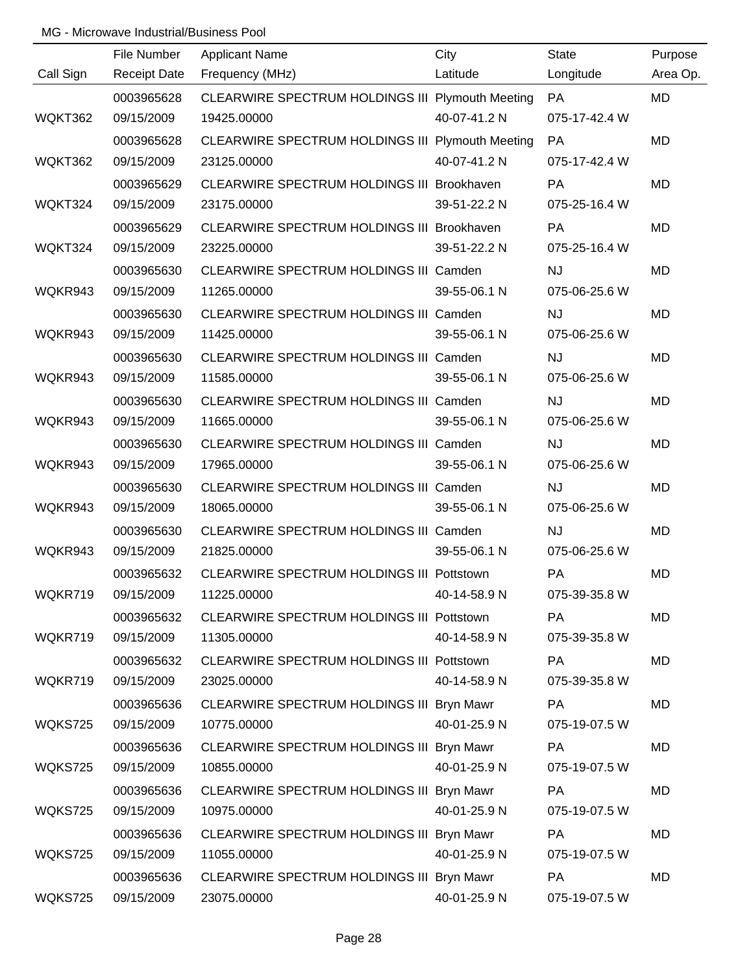|           | File Number         | <b>Applicant Name</b>                            | City         | <b>State</b>  | Purpose   |
|-----------|---------------------|--------------------------------------------------|--------------|---------------|-----------|
| Call Sign | <b>Receipt Date</b> | Frequency (MHz)                                  | Latitude     | Longitude     | Area Op.  |
|           | 0003965628          | CLEARWIRE SPECTRUM HOLDINGS III Plymouth Meeting |              | PA            | <b>MD</b> |
| WQKT362   | 09/15/2009          | 19425.00000                                      | 40-07-41.2 N | 075-17-42.4 W |           |
|           | 0003965628          | CLEARWIRE SPECTRUM HOLDINGS III Plymouth Meeting |              | PA            | <b>MD</b> |
| WQKT362   | 09/15/2009          | 23125.00000                                      | 40-07-41.2 N | 075-17-42.4 W |           |
|           | 0003965629          | CLEARWIRE SPECTRUM HOLDINGS III Brookhaven       |              | <b>PA</b>     | <b>MD</b> |
| WQKT324   | 09/15/2009          | 23175.00000                                      | 39-51-22.2 N | 075-25-16.4 W |           |
|           | 0003965629          | CLEARWIRE SPECTRUM HOLDINGS III Brookhaven       |              | PA            | <b>MD</b> |
| WQKT324   | 09/15/2009          | 23225.00000                                      | 39-51-22.2 N | 075-25-16.4 W |           |
|           | 0003965630          | CLEARWIRE SPECTRUM HOLDINGS III Camden           |              | <b>NJ</b>     | <b>MD</b> |
| WQKR943   | 09/15/2009          | 11265.00000                                      | 39-55-06.1 N | 075-06-25.6 W |           |
|           | 0003965630          | CLEARWIRE SPECTRUM HOLDINGS III Camden           |              | <b>NJ</b>     | <b>MD</b> |
| WQKR943   | 09/15/2009          | 11425.00000                                      | 39-55-06.1 N | 075-06-25.6 W |           |
|           | 0003965630          | CLEARWIRE SPECTRUM HOLDINGS III Camden           |              | <b>NJ</b>     | <b>MD</b> |
| WQKR943   | 09/15/2009          | 11585.00000                                      | 39-55-06.1 N | 075-06-25.6 W |           |
|           | 0003965630          | CLEARWIRE SPECTRUM HOLDINGS III Camden           |              | <b>NJ</b>     | <b>MD</b> |
| WQKR943   | 09/15/2009          | 11665.00000                                      | 39-55-06.1 N | 075-06-25.6 W |           |
|           | 0003965630          | CLEARWIRE SPECTRUM HOLDINGS III Camden           |              | <b>NJ</b>     | <b>MD</b> |
| WQKR943   | 09/15/2009          | 17965.00000                                      | 39-55-06.1 N | 075-06-25.6 W |           |
|           | 0003965630          | CLEARWIRE SPECTRUM HOLDINGS III Camden           |              | <b>NJ</b>     | <b>MD</b> |
| WQKR943   | 09/15/2009          | 18065.00000                                      | 39-55-06.1 N | 075-06-25.6 W |           |
|           | 0003965630          | CLEARWIRE SPECTRUM HOLDINGS III Camden           |              | <b>NJ</b>     | <b>MD</b> |
| WQKR943   | 09/15/2009          | 21825.00000                                      | 39-55-06.1 N | 075-06-25.6 W |           |
|           | 0003965632          | CLEARWIRE SPECTRUM HOLDINGS III Pottstown        |              | PA            | <b>MD</b> |
| WQKR719   | 09/15/2009          | 11225.00000                                      | 40-14-58.9 N | 075-39-35.8 W |           |
|           | 0003965632          | CLEARWIRE SPECTRUM HOLDINGS III Pottstown        |              | PA            | MD        |
| WQKR719   | 09/15/2009          | 11305.00000                                      | 40-14-58.9 N | 075-39-35.8 W |           |
|           | 0003965632          | <b>CLEARWIRE SPECTRUM HOLDINGS III Pottstown</b> |              | <b>PA</b>     | MD        |
| WQKR719   | 09/15/2009          | 23025.00000                                      | 40-14-58.9 N | 075-39-35.8 W |           |
|           | 0003965636          | CLEARWIRE SPECTRUM HOLDINGS III Bryn Mawr        |              | <b>PA</b>     | MD        |
| WQKS725   | 09/15/2009          | 10775.00000                                      | 40-01-25.9 N | 075-19-07.5 W |           |
|           | 0003965636          | CLEARWIRE SPECTRUM HOLDINGS III Bryn Mawr        |              | <b>PA</b>     | MD        |
| WQKS725   | 09/15/2009          | 10855.00000                                      | 40-01-25.9 N | 075-19-07.5 W |           |
|           | 0003965636          | CLEARWIRE SPECTRUM HOLDINGS III Bryn Mawr        |              | <b>PA</b>     | MD        |
| WQKS725   | 09/15/2009          | 10975.00000                                      | 40-01-25.9 N | 075-19-07.5 W |           |
|           | 0003965636          | CLEARWIRE SPECTRUM HOLDINGS III Bryn Mawr        |              | <b>PA</b>     | MD        |
| WQKS725   | 09/15/2009          | 11055.00000                                      | 40-01-25.9 N | 075-19-07.5 W |           |
|           | 0003965636          | CLEARWIRE SPECTRUM HOLDINGS III Bryn Mawr        |              | PA            | MD        |
| WQKS725   | 09/15/2009          | 23075.00000                                      | 40-01-25.9 N | 075-19-07.5 W |           |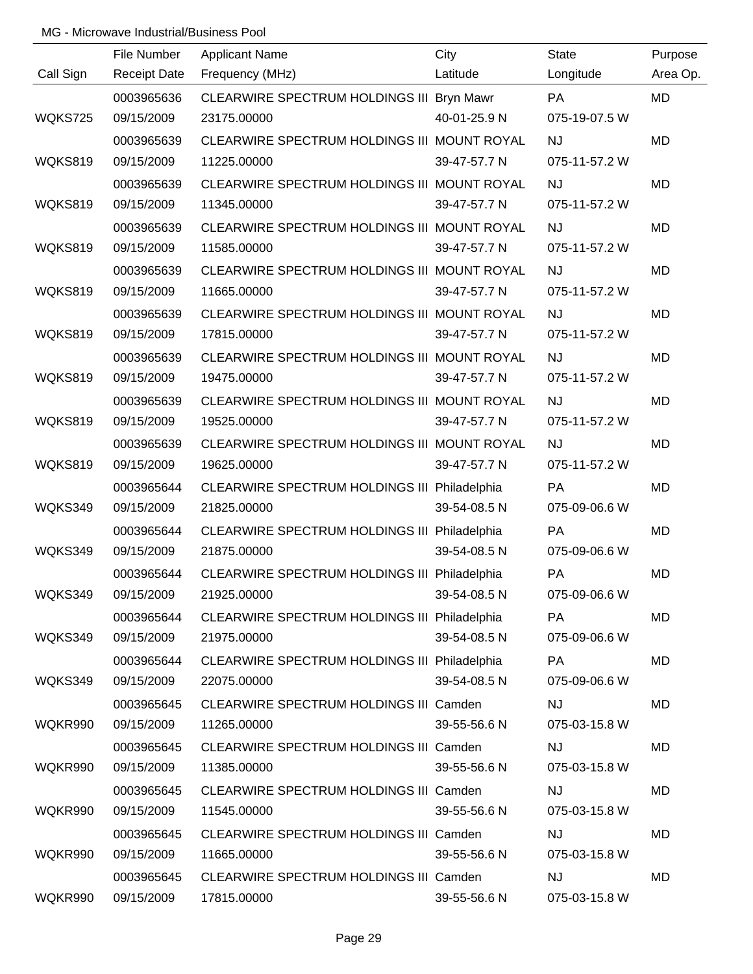|           | File Number         | Applicant Name                                | City         | <b>State</b>  | Purpose   |
|-----------|---------------------|-----------------------------------------------|--------------|---------------|-----------|
| Call Sign | <b>Receipt Date</b> | Frequency (MHz)                               | Latitude     | Longitude     | Area Op.  |
|           | 0003965636          | CLEARWIRE SPECTRUM HOLDINGS III Bryn Mawr     |              | PA            | MD        |
| WQKS725   | 09/15/2009          | 23175.00000                                   | 40-01-25.9 N | 075-19-07.5 W |           |
|           | 0003965639          | CLEARWIRE SPECTRUM HOLDINGS III MOUNT ROYAL   |              | <b>NJ</b>     | <b>MD</b> |
| WQKS819   | 09/15/2009          | 11225.00000                                   | 39-47-57.7 N | 075-11-57.2 W |           |
|           | 0003965639          | CLEARWIRE SPECTRUM HOLDINGS III MOUNT ROYAL   |              | <b>NJ</b>     | <b>MD</b> |
| WQKS819   | 09/15/2009          | 11345.00000                                   | 39-47-57.7 N | 075-11-57.2 W |           |
|           | 0003965639          | CLEARWIRE SPECTRUM HOLDINGS III MOUNT ROYAL   |              | <b>NJ</b>     | <b>MD</b> |
| WQKS819   | 09/15/2009          | 11585.00000                                   | 39-47-57.7 N | 075-11-57.2 W |           |
|           | 0003965639          | CLEARWIRE SPECTRUM HOLDINGS III MOUNT ROYAL   |              | NJ            | MD        |
| WQKS819   | 09/15/2009          | 11665.00000                                   | 39-47-57.7 N | 075-11-57.2 W |           |
|           | 0003965639          | CLEARWIRE SPECTRUM HOLDINGS III MOUNT ROYAL   |              | <b>NJ</b>     | <b>MD</b> |
| WQKS819   | 09/15/2009          | 17815.00000                                   | 39-47-57.7 N | 075-11-57.2 W |           |
|           | 0003965639          | CLEARWIRE SPECTRUM HOLDINGS III MOUNT ROYAL   |              | <b>NJ</b>     | MD        |
| WQKS819   | 09/15/2009          | 19475.00000                                   | 39-47-57.7 N | 075-11-57.2 W |           |
|           | 0003965639          | CLEARWIRE SPECTRUM HOLDINGS III MOUNT ROYAL   |              | <b>NJ</b>     | MD        |
| WQKS819   | 09/15/2009          | 19525.00000                                   | 39-47-57.7 N | 075-11-57.2 W |           |
|           | 0003965639          | CLEARWIRE SPECTRUM HOLDINGS III MOUNT ROYAL   |              | <b>NJ</b>     | MD        |
| WQKS819   | 09/15/2009          | 19625.00000                                   | 39-47-57.7 N | 075-11-57.2 W |           |
|           | 0003965644          | CLEARWIRE SPECTRUM HOLDINGS III Philadelphia  |              | PA            | <b>MD</b> |
| WQKS349   | 09/15/2009          | 21825.00000                                   | 39-54-08.5 N | 075-09-06.6 W |           |
|           | 0003965644          | CLEARWIRE SPECTRUM HOLDINGS III Philadelphia  |              | PA            | MD        |
| WQKS349   | 09/15/2009          | 21875.00000                                   | 39-54-08.5 N | 075-09-06.6 W |           |
|           | 0003965644          | CLEARWIRE SPECTRUM HOLDINGS III Philadelphia  |              | PA            | MD        |
| WQKS349   | 09/15/2009          | 21925.00000                                   | 39-54-08.5 N | 075-09-06.6 W |           |
|           | 0003965644          | CLEARWIRE SPECTRUM HOLDINGS III Philadelphia  |              | <b>PA</b>     | MD        |
| WQKS349   | 09/15/2009          | 21975.00000                                   | 39-54-08.5 N | 075-09-06.6 W |           |
|           | 0003965644          | CLEARWIRE SPECTRUM HOLDINGS III Philadelphia  |              | <b>PA</b>     | MD        |
| WQKS349   | 09/15/2009          | 22075.00000                                   | 39-54-08.5 N | 075-09-06.6 W |           |
|           | 0003965645          | CLEARWIRE SPECTRUM HOLDINGS III Camden        |              | <b>NJ</b>     | MD        |
| WQKR990   | 09/15/2009          | 11265.00000                                   | 39-55-56.6 N | 075-03-15.8 W |           |
|           | 0003965645          | CLEARWIRE SPECTRUM HOLDINGS III Camden        |              | NJ            | MD        |
| WQKR990   | 09/15/2009          | 11385.00000                                   | 39-55-56.6 N | 075-03-15.8 W |           |
|           | 0003965645          | CLEARWIRE SPECTRUM HOLDINGS III Camden        |              | <b>NJ</b>     | MD        |
| WQKR990   | 09/15/2009          | 11545.00000                                   | 39-55-56.6 N | 075-03-15.8 W |           |
|           | 0003965645          | CLEARWIRE SPECTRUM HOLDINGS III Camden        |              | <b>NJ</b>     | MD        |
| WQKR990   | 09/15/2009          | 11665.00000                                   | 39-55-56.6 N | 075-03-15.8 W |           |
|           | 0003965645          | <b>CLEARWIRE SPECTRUM HOLDINGS III Camden</b> |              | <b>NJ</b>     | MD        |
| WQKR990   | 09/15/2009          | 17815.00000                                   | 39-55-56.6 N | 075-03-15.8 W |           |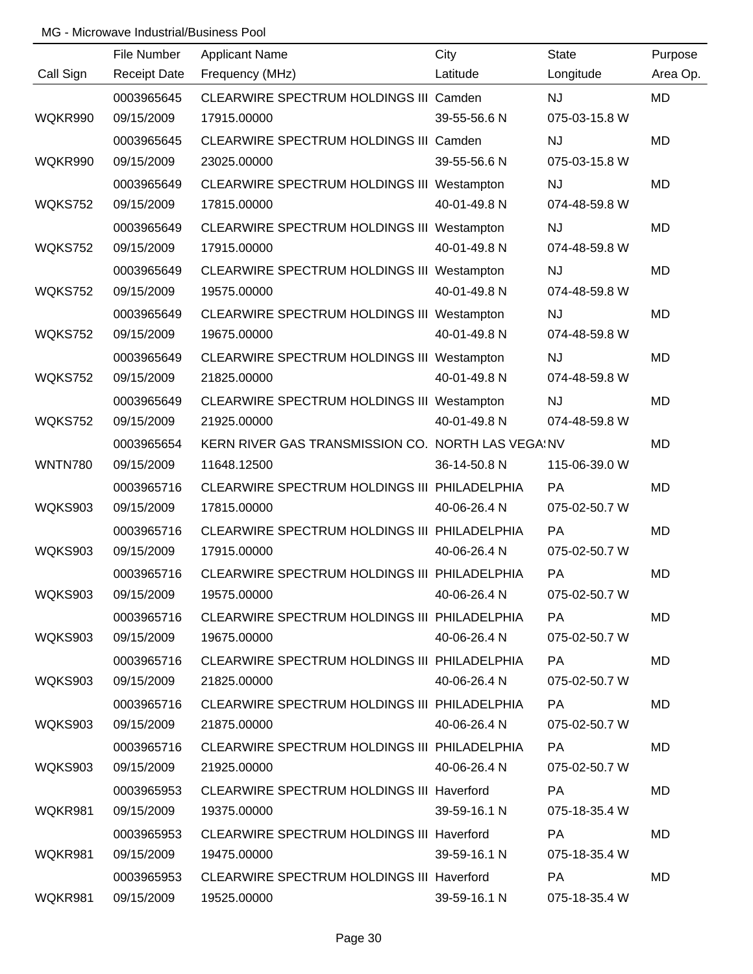|                | File Number         | Applicant Name                                    | City         | <b>State</b>  | Purpose   |
|----------------|---------------------|---------------------------------------------------|--------------|---------------|-----------|
| Call Sign      | <b>Receipt Date</b> | Frequency (MHz)                                   | Latitude     | Longitude     | Area Op.  |
|                | 0003965645          | CLEARWIRE SPECTRUM HOLDINGS III Camden            |              | NJ            | MD        |
| WQKR990        | 09/15/2009          | 17915.00000                                       | 39-55-56.6 N | 075-03-15.8 W |           |
|                | 0003965645          | CLEARWIRE SPECTRUM HOLDINGS III Camden            |              | <b>NJ</b>     | <b>MD</b> |
| WQKR990        | 09/15/2009          | 23025.00000                                       | 39-55-56.6 N | 075-03-15.8 W |           |
|                | 0003965649          | CLEARWIRE SPECTRUM HOLDINGS III Westampton        |              | <b>NJ</b>     | <b>MD</b> |
| WQKS752        | 09/15/2009          | 17815.00000                                       | 40-01-49.8 N | 074-48-59.8 W |           |
|                | 0003965649          | CLEARWIRE SPECTRUM HOLDINGS III Westampton        |              | <b>NJ</b>     | <b>MD</b> |
| WQKS752        | 09/15/2009          | 17915.00000                                       | 40-01-49.8 N | 074-48-59.8 W |           |
|                | 0003965649          | CLEARWIRE SPECTRUM HOLDINGS III Westampton        |              | <b>NJ</b>     | MD        |
| WQKS752        | 09/15/2009          | 19575.00000                                       | 40-01-49.8 N | 074-48-59.8 W |           |
|                | 0003965649          | CLEARWIRE SPECTRUM HOLDINGS III Westampton        |              | <b>NJ</b>     | <b>MD</b> |
| WQKS752        | 09/15/2009          | 19675.00000                                       | 40-01-49.8 N | 074-48-59.8 W |           |
|                | 0003965649          | CLEARWIRE SPECTRUM HOLDINGS III Westampton        |              | <b>NJ</b>     | MD        |
| WQKS752        | 09/15/2009          | 21825.00000                                       | 40-01-49.8 N | 074-48-59.8 W |           |
|                | 0003965649          | CLEARWIRE SPECTRUM HOLDINGS III Westampton        |              | <b>NJ</b>     | <b>MD</b> |
| WQKS752        | 09/15/2009          | 21925.00000                                       | 40-01-49.8 N | 074-48-59.8 W |           |
|                | 0003965654          | KERN RIVER GAS TRANSMISSION CO. NORTH LAS VEGAINV |              |               | MD        |
| <b>WNTN780</b> | 09/15/2009          | 11648.12500                                       | 36-14-50.8 N | 115-06-39.0 W |           |
|                | 0003965716          | CLEARWIRE SPECTRUM HOLDINGS III PHILADELPHIA      |              | PA            | <b>MD</b> |
| <b>WQKS903</b> | 09/15/2009          | 17815.00000                                       | 40-06-26.4 N | 075-02-50.7 W |           |
|                | 0003965716          | CLEARWIRE SPECTRUM HOLDINGS III PHILADELPHIA      |              | PA            | MD        |
| WQKS903        | 09/15/2009          | 17915.00000                                       | 40-06-26.4 N | 075-02-50.7 W |           |
|                | 0003965716          | CLEARWIRE SPECTRUM HOLDINGS III PHILADELPHIA      |              | PA            | MD        |
| WQKS903        | 09/15/2009          | 19575.00000                                       | 40-06-26.4 N | 075-02-50.7 W |           |
|                | 0003965716          | CLEARWIRE SPECTRUM HOLDINGS III PHILADELPHIA      |              | <b>PA</b>     | MD        |
| WQKS903        | 09/15/2009          | 19675.00000                                       | 40-06-26.4 N | 075-02-50.7 W |           |
|                | 0003965716          | CLEARWIRE SPECTRUM HOLDINGS III PHILADELPHIA      |              | PA            | MD        |
| WQKS903        | 09/15/2009          | 21825.00000                                       | 40-06-26.4 N | 075-02-50.7 W |           |
|                | 0003965716          | CLEARWIRE SPECTRUM HOLDINGS III PHILADELPHIA      |              | <b>PA</b>     | MD        |
| WQKS903        | 09/15/2009          | 21875.00000                                       | 40-06-26.4 N | 075-02-50.7 W |           |
|                | 0003965716          | CLEARWIRE SPECTRUM HOLDINGS III PHILADELPHIA      |              | <b>PA</b>     | MD        |
| WQKS903        | 09/15/2009          | 21925.00000                                       | 40-06-26.4 N | 075-02-50.7 W |           |
|                | 0003965953          | CLEARWIRE SPECTRUM HOLDINGS III Haverford         |              | <b>PA</b>     | MD        |
| WQKR981        | 09/15/2009          | 19375.00000                                       | 39-59-16.1 N | 075-18-35.4 W |           |
|                | 0003965953          | CLEARWIRE SPECTRUM HOLDINGS III Haverford         |              | <b>PA</b>     | MD        |
| WQKR981        | 09/15/2009          | 19475.00000                                       | 39-59-16.1 N | 075-18-35.4 W |           |
|                | 0003965953          | CLEARWIRE SPECTRUM HOLDINGS III Haverford         |              | PA            | MD        |
| WQKR981        | 09/15/2009          | 19525.00000                                       | 39-59-16.1 N | 075-18-35.4 W |           |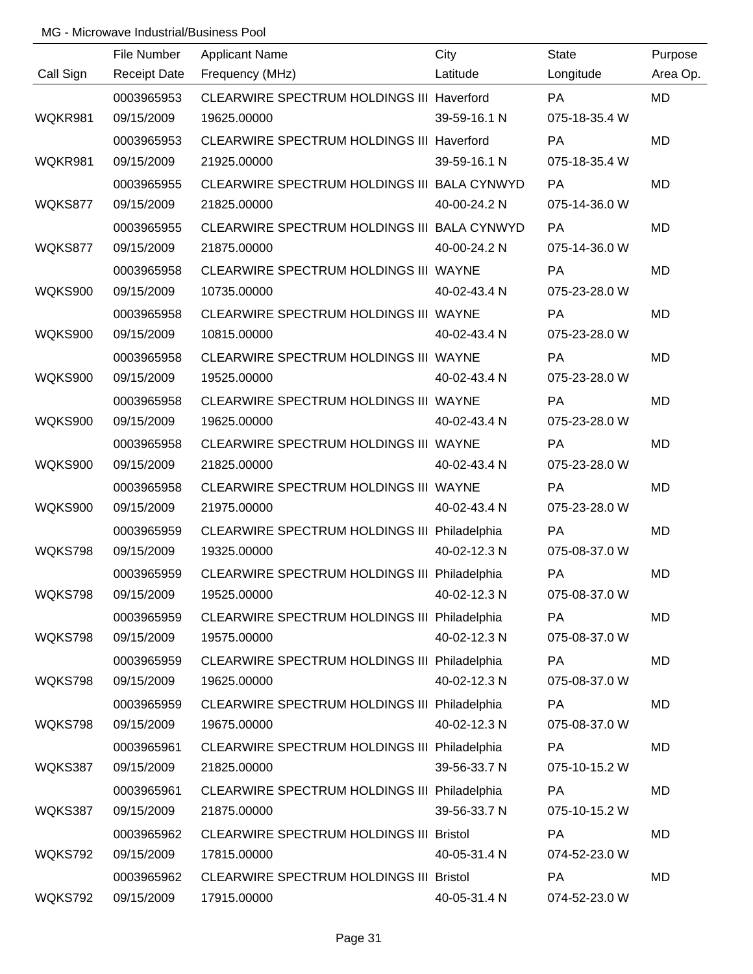|                | File Number         | <b>Applicant Name</b>                          | City         | <b>State</b>  | Purpose   |
|----------------|---------------------|------------------------------------------------|--------------|---------------|-----------|
| Call Sign      | <b>Receipt Date</b> | Frequency (MHz)                                | Latitude     | Longitude     | Area Op.  |
|                | 0003965953          | CLEARWIRE SPECTRUM HOLDINGS III Haverford      |              | PA            | <b>MD</b> |
| WQKR981        | 09/15/2009          | 19625.00000                                    | 39-59-16.1 N | 075-18-35.4 W |           |
|                | 0003965953          | CLEARWIRE SPECTRUM HOLDINGS III Haverford      |              | PA            | <b>MD</b> |
| WQKR981        | 09/15/2009          | 21925.00000                                    | 39-59-16.1 N | 075-18-35.4 W |           |
|                | 0003965955          | CLEARWIRE SPECTRUM HOLDINGS III BALA CYNWYD    |              | <b>PA</b>     | <b>MD</b> |
| WQKS877        | 09/15/2009          | 21825.00000                                    | 40-00-24.2 N | 075-14-36.0 W |           |
|                | 0003965955          | CLEARWIRE SPECTRUM HOLDINGS III BALA CYNWYD    |              | PA            | <b>MD</b> |
| WQKS877        | 09/15/2009          | 21875.00000                                    | 40-00-24.2 N | 075-14-36.0 W |           |
|                | 0003965958          | CLEARWIRE SPECTRUM HOLDINGS III WAYNE          |              | PA            | MD        |
| <b>WQKS900</b> | 09/15/2009          | 10735.00000                                    | 40-02-43.4 N | 075-23-28.0 W |           |
|                | 0003965958          | CLEARWIRE SPECTRUM HOLDINGS III WAYNE          |              | PA            | <b>MD</b> |
| <b>WQKS900</b> | 09/15/2009          | 10815.00000                                    | 40-02-43.4 N | 075-23-28.0 W |           |
|                | 0003965958          | CLEARWIRE SPECTRUM HOLDINGS III WAYNE          |              | PA            | MD        |
| WQKS900        | 09/15/2009          | 19525.00000                                    | 40-02-43.4 N | 075-23-28.0 W |           |
|                | 0003965958          | CLEARWIRE SPECTRUM HOLDINGS III WAYNE          |              | PA            | MD        |
| WQKS900        | 09/15/2009          | 19625.00000                                    | 40-02-43.4 N | 075-23-28.0 W |           |
|                | 0003965958          | CLEARWIRE SPECTRUM HOLDINGS III WAYNE          |              | PA            | MD        |
| WQKS900        | 09/15/2009          | 21825.00000                                    | 40-02-43.4 N | 075-23-28.0 W |           |
|                | 0003965958          | CLEARWIRE SPECTRUM HOLDINGS III WAYNE          |              | PA            | <b>MD</b> |
| <b>WQKS900</b> | 09/15/2009          | 21975.00000                                    | 40-02-43.4 N | 075-23-28.0 W |           |
|                | 0003965959          | CLEARWIRE SPECTRUM HOLDINGS III Philadelphia   |              | PA            | MD        |
| WQKS798        | 09/15/2009          | 19325.00000                                    | 40-02-12.3 N | 075-08-37.0 W |           |
|                | 0003965959          | CLEARWIRE SPECTRUM HOLDINGS III Philadelphia   |              | PA            | MD        |
| WQKS798        | 09/15/2009          | 19525.00000                                    | 40-02-12.3 N | 075-08-37.0 W |           |
|                | 0003965959          | CLEARWIRE SPECTRUM HOLDINGS III Philadelphia   |              | PA            | MD        |
| WQKS798        | 09/15/2009          | 19575.00000                                    | 40-02-12.3 N | 075-08-37.0 W |           |
|                | 0003965959          | CLEARWIRE SPECTRUM HOLDINGS III Philadelphia   |              | PA            | MD        |
| WQKS798        | 09/15/2009          | 19625.00000                                    | 40-02-12.3 N | 075-08-37.0 W |           |
|                | 0003965959          | CLEARWIRE SPECTRUM HOLDINGS III Philadelphia   |              | PA            | MD        |
| WQKS798        | 09/15/2009          | 19675.00000                                    | 40-02-12.3 N | 075-08-37.0 W |           |
|                | 0003965961          | CLEARWIRE SPECTRUM HOLDINGS III Philadelphia   |              | <b>PA</b>     | MD        |
| WQKS387        | 09/15/2009          | 21825.00000                                    | 39-56-33.7 N | 075-10-15.2 W |           |
|                | 0003965961          | CLEARWIRE SPECTRUM HOLDINGS III Philadelphia   |              | PA            | MD        |
| WQKS387        | 09/15/2009          | 21875.00000                                    | 39-56-33.7 N | 075-10-15.2 W |           |
|                | 0003965962          | <b>CLEARWIRE SPECTRUM HOLDINGS III Bristol</b> |              | <b>PA</b>     | MD        |
| WQKS792        | 09/15/2009          | 17815.00000                                    | 40-05-31.4 N | 074-52-23.0 W |           |
|                | 0003965962          | CLEARWIRE SPECTRUM HOLDINGS III Bristol        |              | PA            | MD        |
| WQKS792        | 09/15/2009          | 17915.00000                                    | 40-05-31.4 N | 074-52-23.0 W |           |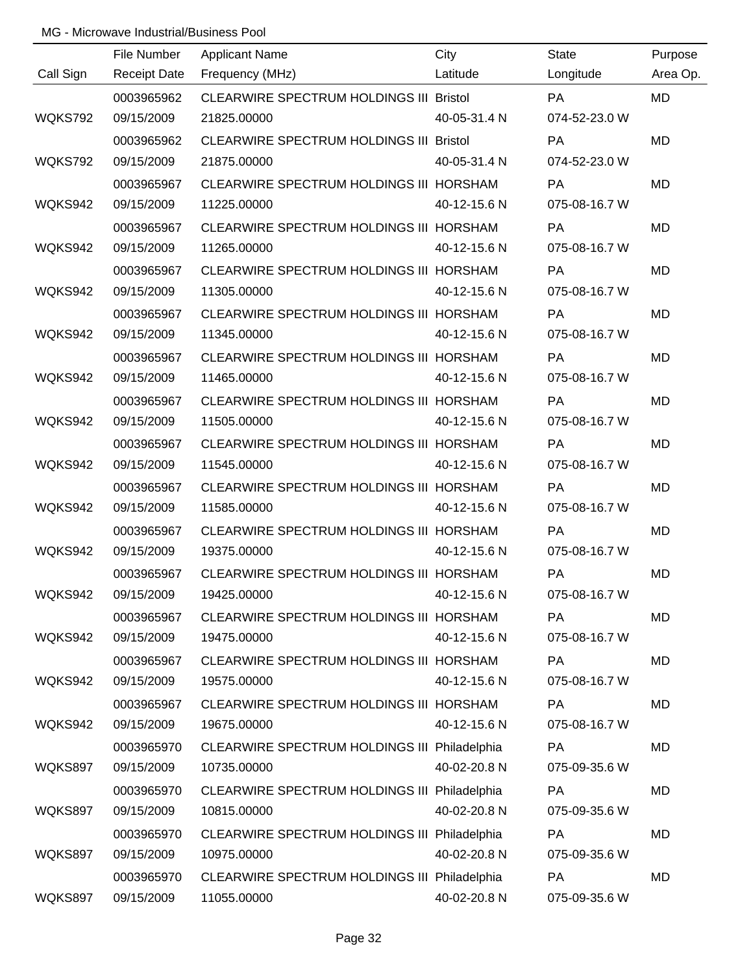|           | File Number         | <b>Applicant Name</b>                          | City         | <b>State</b>  | Purpose   |
|-----------|---------------------|------------------------------------------------|--------------|---------------|-----------|
| Call Sign | <b>Receipt Date</b> | Frequency (MHz)                                | Latitude     | Longitude     | Area Op.  |
|           | 0003965962          | <b>CLEARWIRE SPECTRUM HOLDINGS III Bristol</b> |              | PA            | <b>MD</b> |
| WQKS792   | 09/15/2009          | 21825.00000                                    | 40-05-31.4 N | 074-52-23.0 W |           |
|           | 0003965962          | <b>CLEARWIRE SPECTRUM HOLDINGS III Bristol</b> |              | PA            | <b>MD</b> |
| WQKS792   | 09/15/2009          | 21875.00000                                    | 40-05-31.4 N | 074-52-23.0 W |           |
|           | 0003965967          | CLEARWIRE SPECTRUM HOLDINGS III HORSHAM        |              | <b>PA</b>     | <b>MD</b> |
| WQKS942   | 09/15/2009          | 11225.00000                                    | 40-12-15.6 N | 075-08-16.7 W |           |
|           | 0003965967          | CLEARWIRE SPECTRUM HOLDINGS III HORSHAM        |              | PA            | <b>MD</b> |
| WQKS942   | 09/15/2009          | 11265.00000                                    | 40-12-15.6 N | 075-08-16.7 W |           |
|           | 0003965967          | CLEARWIRE SPECTRUM HOLDINGS III HORSHAM        |              | PA            | MD        |
| WQKS942   | 09/15/2009          | 11305.00000                                    | 40-12-15.6 N | 075-08-16.7 W |           |
|           | 0003965967          | CLEARWIRE SPECTRUM HOLDINGS III HORSHAM        |              | PA            | <b>MD</b> |
| WQKS942   | 09/15/2009          | 11345.00000                                    | 40-12-15.6 N | 075-08-16.7 W |           |
|           | 0003965967          | CLEARWIRE SPECTRUM HOLDINGS III HORSHAM        |              | PA            | MD        |
| WQKS942   | 09/15/2009          | 11465.00000                                    | 40-12-15.6 N | 075-08-16.7 W |           |
|           | 0003965967          | CLEARWIRE SPECTRUM HOLDINGS III HORSHAM        |              | PA            | <b>MD</b> |
| WQKS942   | 09/15/2009          | 11505.00000                                    | 40-12-15.6 N | 075-08-16.7 W |           |
|           | 0003965967          | CLEARWIRE SPECTRUM HOLDINGS III HORSHAM        |              | <b>PA</b>     | MD        |
| WQKS942   | 09/15/2009          | 11545.00000                                    | 40-12-15.6 N | 075-08-16.7 W |           |
|           | 0003965967          | CLEARWIRE SPECTRUM HOLDINGS III HORSHAM        |              | PA            | <b>MD</b> |
| WQKS942   | 09/15/2009          | 11585.00000                                    | 40-12-15.6 N | 075-08-16.7 W |           |
|           | 0003965967          | CLEARWIRE SPECTRUM HOLDINGS III HORSHAM        |              | PA            | MD        |
| WQKS942   | 09/15/2009          | 19375.00000                                    | 40-12-15.6 N | 075-08-16.7 W |           |
|           | 0003965967          | CLEARWIRE SPECTRUM HOLDINGS III HORSHAM        |              | PA            | MD        |
| WQKS942   | 09/15/2009          | 19425.00000                                    | 40-12-15.6 N | 075-08-16.7 W |           |
|           | 0003965967          | CLEARWIRE SPECTRUM HOLDINGS III HORSHAM        |              | PA            | MD        |
| WQKS942   | 09/15/2009          | 19475.00000                                    | 40-12-15.6 N | 075-08-16.7 W |           |
|           | 0003965967          | CLEARWIRE SPECTRUM HOLDINGS III HORSHAM        |              | <b>PA</b>     | MD        |
| WQKS942   | 09/15/2009          | 19575.00000                                    | 40-12-15.6 N | 075-08-16.7 W |           |
|           | 0003965967          | CLEARWIRE SPECTRUM HOLDINGS III HORSHAM        |              | PA            | MD        |
| WQKS942   | 09/15/2009          | 19675.00000                                    | 40-12-15.6 N | 075-08-16.7 W |           |
|           | 0003965970          | CLEARWIRE SPECTRUM HOLDINGS III Philadelphia   |              | <b>PA</b>     | MD        |
| WQKS897   | 09/15/2009          | 10735.00000                                    | 40-02-20.8 N | 075-09-35.6 W |           |
|           | 0003965970          | CLEARWIRE SPECTRUM HOLDINGS III Philadelphia   |              | PA            | MD        |
| WQKS897   | 09/15/2009          | 10815.00000                                    | 40-02-20.8 N | 075-09-35.6 W |           |
|           | 0003965970          | CLEARWIRE SPECTRUM HOLDINGS III Philadelphia   |              | <b>PA</b>     | MD        |
| WQKS897   | 09/15/2009          | 10975.00000                                    | 40-02-20.8 N | 075-09-35.6 W |           |
|           | 0003965970          | CLEARWIRE SPECTRUM HOLDINGS III Philadelphia   |              | PA            | MD        |
| WQKS897   | 09/15/2009          | 11055.00000                                    | 40-02-20.8 N | 075-09-35.6 W |           |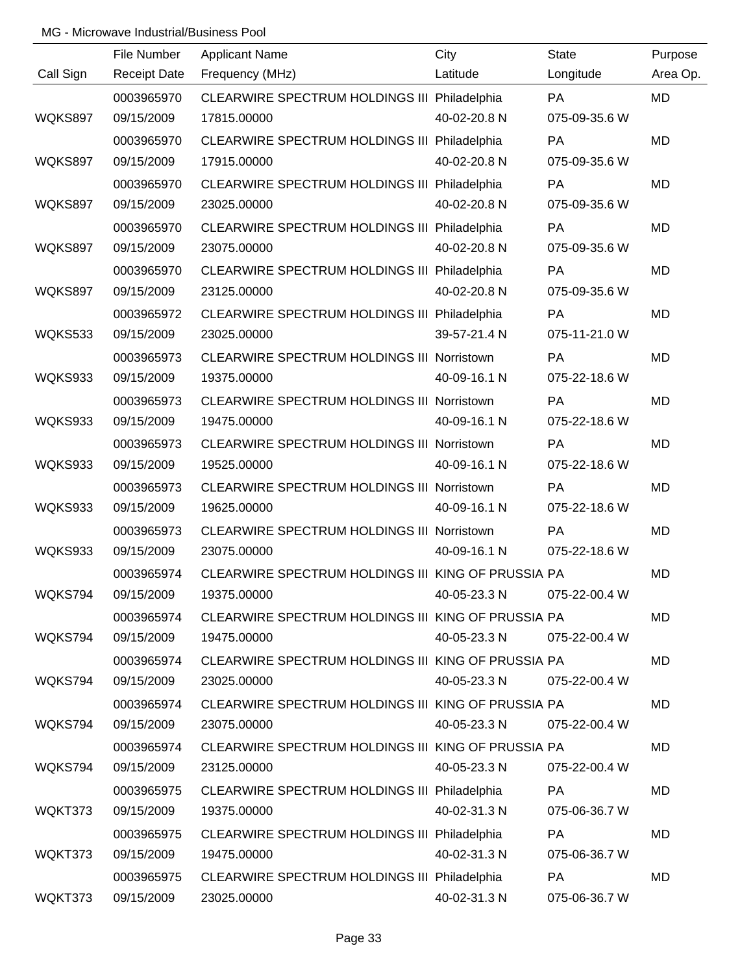|           | File Number         | <b>Applicant Name</b>                              | City         | <b>State</b>  | Purpose   |
|-----------|---------------------|----------------------------------------------------|--------------|---------------|-----------|
| Call Sign | <b>Receipt Date</b> | Frequency (MHz)                                    | Latitude     | Longitude     | Area Op.  |
|           | 0003965970          | CLEARWIRE SPECTRUM HOLDINGS III Philadelphia       |              | PA            | MD        |
| WQKS897   | 09/15/2009          | 17815.00000                                        | 40-02-20.8 N | 075-09-35.6 W |           |
|           | 0003965970          | CLEARWIRE SPECTRUM HOLDINGS III Philadelphia       |              | PA            | <b>MD</b> |
| WQKS897   | 09/15/2009          | 17915.00000                                        | 40-02-20.8 N | 075-09-35.6 W |           |
|           | 0003965970          | CLEARWIRE SPECTRUM HOLDINGS III Philadelphia       |              | <b>PA</b>     | <b>MD</b> |
| WQKS897   | 09/15/2009          | 23025.00000                                        | 40-02-20.8 N | 075-09-35.6 W |           |
|           | 0003965970          | CLEARWIRE SPECTRUM HOLDINGS III Philadelphia       |              | PA            | <b>MD</b> |
| WQKS897   | 09/15/2009          | 23075.00000                                        | 40-02-20.8 N | 075-09-35.6 W |           |
|           | 0003965970          | CLEARWIRE SPECTRUM HOLDINGS III Philadelphia       |              | PA            | MD        |
| WQKS897   | 09/15/2009          | 23125.00000                                        | 40-02-20.8 N | 075-09-35.6 W |           |
|           | 0003965972          | CLEARWIRE SPECTRUM HOLDINGS III Philadelphia       |              | PA            | <b>MD</b> |
| WQKS533   | 09/15/2009          | 23025.00000                                        | 39-57-21.4 N | 075-11-21.0 W |           |
|           | 0003965973          | CLEARWIRE SPECTRUM HOLDINGS III Norristown         |              | PA            | MD        |
| WQKS933   | 09/15/2009          | 19375.00000                                        | 40-09-16.1 N | 075-22-18.6 W |           |
|           | 0003965973          | CLEARWIRE SPECTRUM HOLDINGS III Norristown         |              | PA            | MD        |
| WQKS933   | 09/15/2009          | 19475.00000                                        | 40-09-16.1 N | 075-22-18.6 W |           |
|           | 0003965973          | CLEARWIRE SPECTRUM HOLDINGS III Norristown         |              | <b>PA</b>     | MD        |
| WQKS933   | 09/15/2009          | 19525.00000                                        | 40-09-16.1 N | 075-22-18.6 W |           |
|           | 0003965973          | CLEARWIRE SPECTRUM HOLDINGS III Norristown         |              | PA            | <b>MD</b> |
| WQKS933   | 09/15/2009          | 19625.00000                                        | 40-09-16.1 N | 075-22-18.6 W |           |
|           | 0003965973          | CLEARWIRE SPECTRUM HOLDINGS III Norristown         |              | PA            | MD        |
| WQKS933   | 09/15/2009          | 23075.00000                                        | 40-09-16.1 N | 075-22-18.6 W |           |
|           | 0003965974          | CLEARWIRE SPECTRUM HOLDINGS III KING OF PRUSSIA PA |              |               | MD        |
| WQKS794   | 09/15/2009          | 19375.00000                                        | 40-05-23.3 N | 075-22-00.4 W |           |
|           | 0003965974          | CLEARWIRE SPECTRUM HOLDINGS III KING OF PRUSSIA PA |              |               | MD        |
| WQKS794   | 09/15/2009          | 19475.00000                                        | 40-05-23.3 N | 075-22-00.4 W |           |
|           | 0003965974          | CLEARWIRE SPECTRUM HOLDINGS III KING OF PRUSSIA PA |              |               | MD        |
| WQKS794   | 09/15/2009          | 23025.00000                                        | 40-05-23.3 N | 075-22-00.4 W |           |
|           | 0003965974          | CLEARWIRE SPECTRUM HOLDINGS III KING OF PRUSSIA PA |              |               | <b>MD</b> |
| WQKS794   | 09/15/2009          | 23075.00000                                        | 40-05-23.3 N | 075-22-00.4 W |           |
|           | 0003965974          | CLEARWIRE SPECTRUM HOLDINGS III KING OF PRUSSIA PA |              |               | MD        |
| WQKS794   | 09/15/2009          | 23125.00000                                        | 40-05-23.3 N | 075-22-00.4 W |           |
|           | 0003965975          | CLEARWIRE SPECTRUM HOLDINGS III Philadelphia       |              | <b>PA</b>     | MD        |
| WQKT373   | 09/15/2009          | 19375.00000                                        | 40-02-31.3 N | 075-06-36.7 W |           |
|           | 0003965975          | CLEARWIRE SPECTRUM HOLDINGS III Philadelphia       |              | <b>PA</b>     | MD        |
| WQKT373   | 09/15/2009          | 19475.00000                                        | 40-02-31.3 N | 075-06-36.7 W |           |
|           | 0003965975          | CLEARWIRE SPECTRUM HOLDINGS III Philadelphia       |              | <b>PA</b>     | <b>MD</b> |
| WQKT373   | 09/15/2009          | 23025.00000                                        | 40-02-31.3 N | 075-06-36.7 W |           |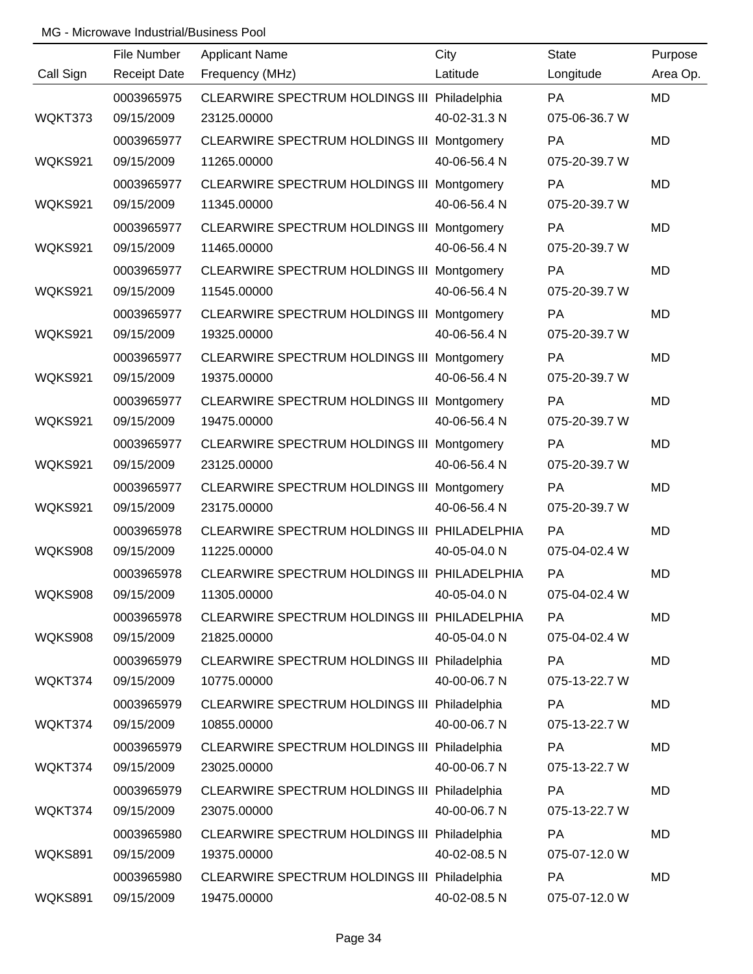|                | File Number         | <b>Applicant Name</b>                        | City         | <b>State</b>  | Purpose   |
|----------------|---------------------|----------------------------------------------|--------------|---------------|-----------|
| Call Sign      | <b>Receipt Date</b> | Frequency (MHz)                              | Latitude     | Longitude     | Area Op.  |
|                | 0003965975          | CLEARWIRE SPECTRUM HOLDINGS III Philadelphia |              | <b>PA</b>     | <b>MD</b> |
| WQKT373        | 09/15/2009          | 23125.00000                                  | 40-02-31.3 N | 075-06-36.7 W |           |
|                | 0003965977          | CLEARWIRE SPECTRUM HOLDINGS III Montgomery   |              | <b>PA</b>     | <b>MD</b> |
| WQKS921        | 09/15/2009          | 11265.00000                                  | 40-06-56.4 N | 075-20-39.7 W |           |
|                | 0003965977          | CLEARWIRE SPECTRUM HOLDINGS III Montgomery   |              | <b>PA</b>     | <b>MD</b> |
| WQKS921        | 09/15/2009          | 11345.00000                                  | 40-06-56.4 N | 075-20-39.7 W |           |
|                | 0003965977          | CLEARWIRE SPECTRUM HOLDINGS III Montgomery   |              | <b>PA</b>     | <b>MD</b> |
| WQKS921        | 09/15/2009          | 11465.00000                                  | 40-06-56.4 N | 075-20-39.7 W |           |
|                | 0003965977          | CLEARWIRE SPECTRUM HOLDINGS III Montgomery   |              | <b>PA</b>     | MD        |
| WQKS921        | 09/15/2009          | 11545.00000                                  | 40-06-56.4 N | 075-20-39.7 W |           |
|                | 0003965977          | CLEARWIRE SPECTRUM HOLDINGS III Montgomery   |              | PA            | <b>MD</b> |
| WQKS921        | 09/15/2009          | 19325.00000                                  | 40-06-56.4 N | 075-20-39.7 W |           |
|                | 0003965977          | CLEARWIRE SPECTRUM HOLDINGS III Montgomery   |              | <b>PA</b>     | MD        |
| WQKS921        | 09/15/2009          | 19375.00000                                  | 40-06-56.4 N | 075-20-39.7 W |           |
|                | 0003965977          | CLEARWIRE SPECTRUM HOLDINGS III Montgomery   |              | PA            | MD        |
| WQKS921        | 09/15/2009          | 19475.00000                                  | 40-06-56.4 N | 075-20-39.7 W |           |
|                | 0003965977          | CLEARWIRE SPECTRUM HOLDINGS III Montgomery   |              | <b>PA</b>     | MD        |
| WQKS921        | 09/15/2009          | 23125.00000                                  | 40-06-56.4 N | 075-20-39.7 W |           |
|                | 0003965977          | CLEARWIRE SPECTRUM HOLDINGS III Montgomery   |              | <b>PA</b>     | <b>MD</b> |
| WQKS921        | 09/15/2009          | 23175.00000                                  | 40-06-56.4 N | 075-20-39.7 W |           |
|                | 0003965978          | CLEARWIRE SPECTRUM HOLDINGS III PHILADELPHIA |              | PA            | MD        |
| WQKS908        | 09/15/2009          | 11225.00000                                  | 40-05-04.0 N | 075-04-02.4 W |           |
|                | 0003965978          | CLEARWIRE SPECTRUM HOLDINGS III PHILADELPHIA |              | PA            | MD        |
| <b>WQKS908</b> | 09/15/2009          | 11305.00000                                  | 40-05-04.0 N | 075-04-02.4 W |           |
|                | 0003965978          | CLEARWIRE SPECTRUM HOLDINGS III PHILADELPHIA |              | <b>PA</b>     | MD        |
| WQKS908        | 09/15/2009          | 21825.00000                                  | 40-05-04.0 N | 075-04-02.4 W |           |
|                | 0003965979          | CLEARWIRE SPECTRUM HOLDINGS III Philadelphia |              | PA            | MD        |
| WQKT374        | 09/15/2009          | 10775.00000                                  | 40-00-06.7 N | 075-13-22.7 W |           |
|                | 0003965979          | CLEARWIRE SPECTRUM HOLDINGS III Philadelphia |              | PA            | MD        |
| WQKT374        | 09/15/2009          | 10855.00000                                  | 40-00-06.7 N | 075-13-22.7 W |           |
|                | 0003965979          | CLEARWIRE SPECTRUM HOLDINGS III Philadelphia |              | <b>PA</b>     | MD        |
| WQKT374        | 09/15/2009          | 23025.00000                                  | 40-00-06.7 N | 075-13-22.7 W |           |
|                | 0003965979          | CLEARWIRE SPECTRUM HOLDINGS III Philadelphia |              | PA            | MD        |
| WQKT374        | 09/15/2009          | 23075.00000                                  | 40-00-06.7 N | 075-13-22.7 W |           |
|                | 0003965980          | CLEARWIRE SPECTRUM HOLDINGS III Philadelphia |              | <b>PA</b>     | MD        |
| WQKS891        | 09/15/2009          | 19375.00000                                  | 40-02-08.5 N | 075-07-12.0 W |           |
|                | 0003965980          | CLEARWIRE SPECTRUM HOLDINGS III Philadelphia |              | PA            | MD        |
| WQKS891        | 09/15/2009          | 19475.00000                                  | 40-02-08.5 N | 075-07-12.0 W |           |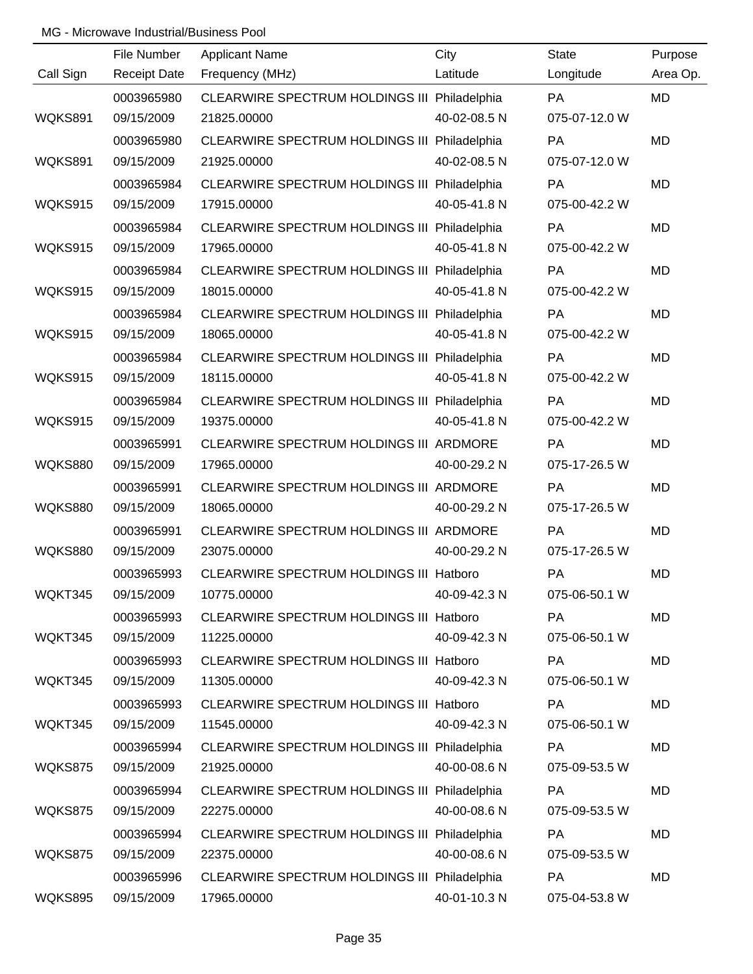|                | File Number         | <b>Applicant Name</b>                          | City         | <b>State</b>  | Purpose   |
|----------------|---------------------|------------------------------------------------|--------------|---------------|-----------|
| Call Sign      | <b>Receipt Date</b> | Frequency (MHz)                                | Latitude     | Longitude     | Area Op.  |
|                | 0003965980          | CLEARWIRE SPECTRUM HOLDINGS III Philadelphia   |              | <b>PA</b>     | <b>MD</b> |
| WQKS891        | 09/15/2009          | 21825.00000                                    | 40-02-08.5 N | 075-07-12.0 W |           |
|                | 0003965980          | CLEARWIRE SPECTRUM HOLDINGS III Philadelphia   |              | PA            | <b>MD</b> |
| WQKS891        | 09/15/2009          | 21925.00000                                    | 40-02-08.5 N | 075-07-12.0 W |           |
|                | 0003965984          | CLEARWIRE SPECTRUM HOLDINGS III Philadelphia   |              | <b>PA</b>     | <b>MD</b> |
| WQKS915        | 09/15/2009          | 17915.00000                                    | 40-05-41.8 N | 075-00-42.2 W |           |
|                | 0003965984          | CLEARWIRE SPECTRUM HOLDINGS III Philadelphia   |              | PA            | <b>MD</b> |
| WQKS915        | 09/15/2009          | 17965.00000                                    | 40-05-41.8 N | 075-00-42.2 W |           |
|                | 0003965984          | CLEARWIRE SPECTRUM HOLDINGS III Philadelphia   |              | PA            | MD        |
| WQKS915        | 09/15/2009          | 18015.00000                                    | 40-05-41.8 N | 075-00-42.2 W |           |
|                | 0003965984          | CLEARWIRE SPECTRUM HOLDINGS III Philadelphia   |              | PA            | MD        |
| WQKS915        | 09/15/2009          | 18065.00000                                    | 40-05-41.8 N | 075-00-42.2 W |           |
|                | 0003965984          | CLEARWIRE SPECTRUM HOLDINGS III Philadelphia   |              | PA            | MD        |
| WQKS915        | 09/15/2009          | 18115.00000                                    | 40-05-41.8 N | 075-00-42.2 W |           |
|                | 0003965984          | CLEARWIRE SPECTRUM HOLDINGS III Philadelphia   |              | PA            | MD        |
| WQKS915        | 09/15/2009          | 19375.00000                                    | 40-05-41.8 N | 075-00-42.2 W |           |
|                | 0003965991          | CLEARWIRE SPECTRUM HOLDINGS III ARDMORE        |              | PA            | MD        |
| <b>WQKS880</b> | 09/15/2009          | 17965.00000                                    | 40-00-29.2 N | 075-17-26.5 W |           |
|                | 0003965991          | CLEARWIRE SPECTRUM HOLDINGS III ARDMORE        |              | PA            | MD        |
| <b>WQKS880</b> | 09/15/2009          | 18065.00000                                    | 40-00-29.2 N | 075-17-26.5 W |           |
|                | 0003965991          | CLEARWIRE SPECTRUM HOLDINGS III ARDMORE        |              | PA            | MD        |
| <b>WQKS880</b> | 09/15/2009          | 23075.00000                                    | 40-00-29.2 N | 075-17-26.5 W |           |
|                | 0003965993          | CLEARWIRE SPECTRUM HOLDINGS III Hatboro        |              | PA            | <b>MD</b> |
| WQKT345        | 09/15/2009          | 10775.00000                                    | 40-09-42.3 N | 075-06-50.1 W |           |
|                | 0003965993          | CLEARWIRE SPECTRUM HOLDINGS III Hatboro        |              | PA            | MD        |
| WQKT345        | 09/15/2009          | 11225.00000                                    | 40-09-42.3 N | 075-06-50.1 W |           |
|                | 0003965993          | <b>CLEARWIRE SPECTRUM HOLDINGS III Hatboro</b> |              | <b>PA</b>     | MD        |
| WQKT345        | 09/15/2009          | 11305.00000                                    | 40-09-42.3 N | 075-06-50.1 W |           |
|                | 0003965993          | <b>CLEARWIRE SPECTRUM HOLDINGS III Hatboro</b> |              | <b>PA</b>     | MD        |
| WQKT345        | 09/15/2009          | 11545.00000                                    | 40-09-42.3 N | 075-06-50.1 W |           |
|                | 0003965994          | CLEARWIRE SPECTRUM HOLDINGS III Philadelphia   |              | <b>PA</b>     | MD        |
| WQKS875        | 09/15/2009          | 21925.00000                                    | 40-00-08.6 N | 075-09-53.5 W |           |
|                | 0003965994          | CLEARWIRE SPECTRUM HOLDINGS III Philadelphia   |              | <b>PA</b>     | MD        |
| WQKS875        | 09/15/2009          | 22275.00000                                    | 40-00-08.6 N | 075-09-53.5 W |           |
|                | 0003965994          | CLEARWIRE SPECTRUM HOLDINGS III Philadelphia   |              | <b>PA</b>     | MD        |
| WQKS875        | 09/15/2009          | 22375.00000                                    | 40-00-08.6 N | 075-09-53.5 W |           |
|                | 0003965996          | CLEARWIRE SPECTRUM HOLDINGS III Philadelphia   |              | <b>PA</b>     | MD        |
| <b>WQKS895</b> | 09/15/2009          | 17965.00000                                    | 40-01-10.3 N | 075-04-53.8 W |           |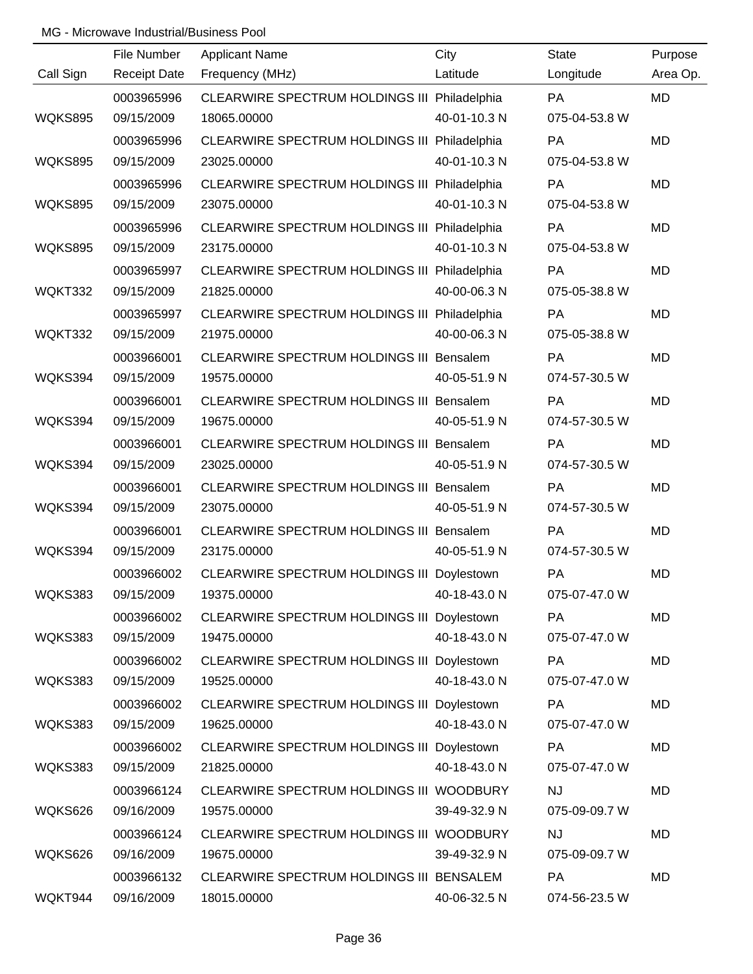|                | File Number         | <b>Applicant Name</b>                           | City         | <b>State</b>  | Purpose   |
|----------------|---------------------|-------------------------------------------------|--------------|---------------|-----------|
| Call Sign      | <b>Receipt Date</b> | Frequency (MHz)                                 | Latitude     | Longitude     | Area Op.  |
|                | 0003965996          | CLEARWIRE SPECTRUM HOLDINGS III Philadelphia    |              | <b>PA</b>     | <b>MD</b> |
| <b>WQKS895</b> | 09/15/2009          | 18065.00000                                     | 40-01-10.3 N | 075-04-53.8 W |           |
|                | 0003965996          | CLEARWIRE SPECTRUM HOLDINGS III Philadelphia    |              | <b>PA</b>     | <b>MD</b> |
| <b>WQKS895</b> | 09/15/2009          | 23025.00000                                     | 40-01-10.3 N | 075-04-53.8 W |           |
|                | 0003965996          | CLEARWIRE SPECTRUM HOLDINGS III Philadelphia    |              | <b>PA</b>     | <b>MD</b> |
| WQKS895        | 09/15/2009          | 23075.00000                                     | 40-01-10.3 N | 075-04-53.8 W |           |
|                | 0003965996          | CLEARWIRE SPECTRUM HOLDINGS III Philadelphia    |              | PA            | <b>MD</b> |
| <b>WQKS895</b> | 09/15/2009          | 23175.00000                                     | 40-01-10.3 N | 075-04-53.8 W |           |
|                | 0003965997          | CLEARWIRE SPECTRUM HOLDINGS III Philadelphia    |              | <b>PA</b>     | <b>MD</b> |
| WQKT332        | 09/15/2009          | 21825.00000                                     | 40-00-06.3 N | 075-05-38.8 W |           |
|                | 0003965997          | CLEARWIRE SPECTRUM HOLDINGS III Philadelphia    |              | PA            | <b>MD</b> |
| WQKT332        | 09/15/2009          | 21975.00000                                     | 40-00-06.3 N | 075-05-38.8 W |           |
|                | 0003966001          | CLEARWIRE SPECTRUM HOLDINGS III Bensalem        |              | <b>PA</b>     | <b>MD</b> |
| WQKS394        | 09/15/2009          | 19575.00000                                     | 40-05-51.9 N | 074-57-30.5 W |           |
|                | 0003966001          | <b>CLEARWIRE SPECTRUM HOLDINGS III Bensalem</b> |              | PA            | <b>MD</b> |
| WQKS394        | 09/15/2009          | 19675.00000                                     | 40-05-51.9 N | 074-57-30.5 W |           |
|                | 0003966001          | <b>CLEARWIRE SPECTRUM HOLDINGS III Bensalem</b> |              | <b>PA</b>     | <b>MD</b> |
| WQKS394        | 09/15/2009          | 23025.00000                                     | 40-05-51.9 N | 074-57-30.5 W |           |
|                | 0003966001          | <b>CLEARWIRE SPECTRUM HOLDINGS III Bensalem</b> |              | PA            | <b>MD</b> |
| WQKS394        | 09/15/2009          | 23075.00000                                     | 40-05-51.9 N | 074-57-30.5 W |           |
|                | 0003966001          | CLEARWIRE SPECTRUM HOLDINGS III Bensalem        |              | PA            | <b>MD</b> |
| WQKS394        | 09/15/2009          | 23175.00000                                     | 40-05-51.9 N | 074-57-30.5 W |           |
|                | 0003966002          | CLEARWIRE SPECTRUM HOLDINGS III Doylestown      |              | PA            | <b>MD</b> |
| WQKS383        | 09/15/2009          | 19375.00000                                     | 40-18-43.0 N | 075-07-47.0 W |           |
|                | 0003966002          | CLEARWIRE SPECTRUM HOLDINGS III Doylestown      |              | PA            | <b>MD</b> |
| WQKS383        | 09/15/2009          | 19475.00000                                     | 40-18-43.0 N | 075-07-47.0 W |           |
|                | 0003966002          | CLEARWIRE SPECTRUM HOLDINGS III Doylestown      |              | PA            | <b>MD</b> |
| WQKS383        | 09/15/2009          | 19525.00000                                     | 40-18-43.0 N | 075-07-47.0 W |           |
|                | 0003966002          | CLEARWIRE SPECTRUM HOLDINGS III Doylestown      |              | PA            | <b>MD</b> |
| WQKS383        | 09/15/2009          | 19625.00000                                     | 40-18-43.0 N | 075-07-47.0 W |           |
|                | 0003966002          | CLEARWIRE SPECTRUM HOLDINGS III Doylestown      |              | PA            | <b>MD</b> |
| WQKS383        | 09/15/2009          | 21825.00000                                     | 40-18-43.0 N | 075-07-47.0 W |           |
|                | 0003966124          | CLEARWIRE SPECTRUM HOLDINGS III WOODBURY        |              | <b>NJ</b>     | <b>MD</b> |
| WQKS626        | 09/16/2009          | 19575.00000                                     | 39-49-32.9 N | 075-09-09.7 W |           |
|                | 0003966124          | CLEARWIRE SPECTRUM HOLDINGS III WOODBURY        |              | <b>NJ</b>     | <b>MD</b> |
| WQKS626        | 09/16/2009          | 19675.00000                                     | 39-49-32.9 N | 075-09-09.7 W |           |
|                | 0003966132          | CLEARWIRE SPECTRUM HOLDINGS III BENSALEM        |              | PA            | <b>MD</b> |
| WQKT944        | 09/16/2009          | 18015.00000                                     | 40-06-32.5 N | 074-56-23.5 W |           |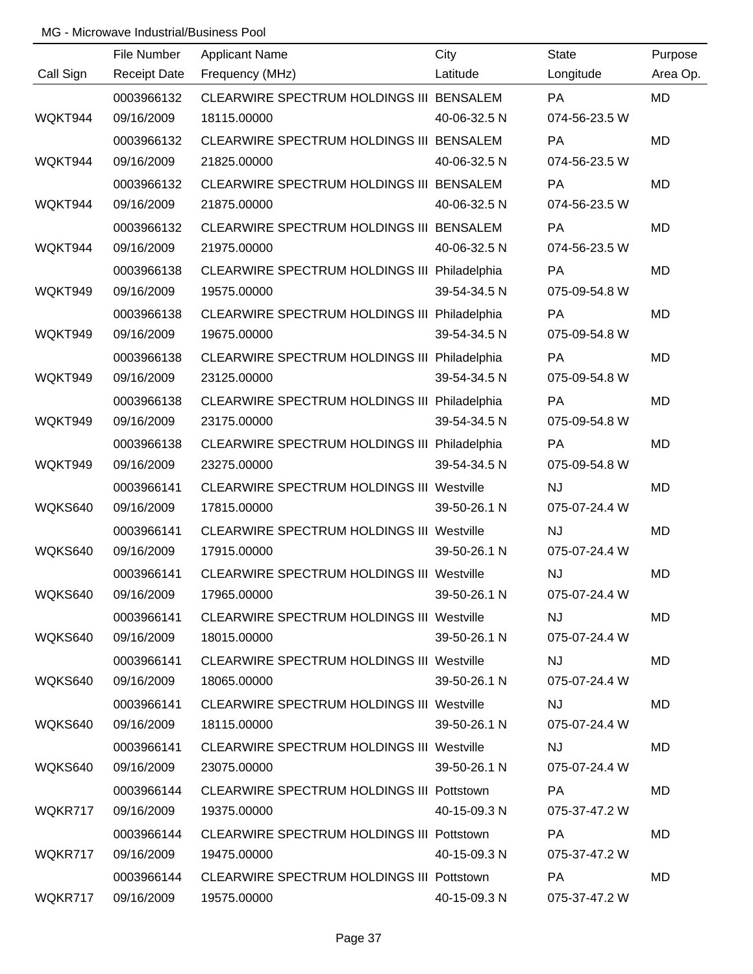|           | File Number         | <b>Applicant Name</b>                            | City         | <b>State</b>  | Purpose   |
|-----------|---------------------|--------------------------------------------------|--------------|---------------|-----------|
| Call Sign | <b>Receipt Date</b> | Frequency (MHz)                                  | Latitude     | Longitude     | Area Op.  |
|           | 0003966132          | CLEARWIRE SPECTRUM HOLDINGS III BENSALEM         |              | PA            | <b>MD</b> |
| WQKT944   | 09/16/2009          | 18115.00000                                      | 40-06-32.5 N | 074-56-23.5 W |           |
|           | 0003966132          | CLEARWIRE SPECTRUM HOLDINGS III BENSALEM         |              | <b>PA</b>     | <b>MD</b> |
| WQKT944   | 09/16/2009          | 21825.00000                                      | 40-06-32.5 N | 074-56-23.5 W |           |
|           | 0003966132          | CLEARWIRE SPECTRUM HOLDINGS III BENSALEM         |              | <b>PA</b>     | <b>MD</b> |
| WQKT944   | 09/16/2009          | 21875.00000                                      | 40-06-32.5 N | 074-56-23.5 W |           |
|           | 0003966132          | CLEARWIRE SPECTRUM HOLDINGS III BENSALEM         |              | PA            | <b>MD</b> |
| WQKT944   | 09/16/2009          | 21975.00000                                      | 40-06-32.5 N | 074-56-23.5 W |           |
|           | 0003966138          | CLEARWIRE SPECTRUM HOLDINGS III Philadelphia     |              | <b>PA</b>     | <b>MD</b> |
| WQKT949   | 09/16/2009          | 19575.00000                                      | 39-54-34.5 N | 075-09-54.8 W |           |
|           | 0003966138          | CLEARWIRE SPECTRUM HOLDINGS III Philadelphia     |              | PA            | <b>MD</b> |
| WQKT949   | 09/16/2009          | 19675.00000                                      | 39-54-34.5 N | 075-09-54.8 W |           |
|           | 0003966138          | CLEARWIRE SPECTRUM HOLDINGS III Philadelphia     |              | <b>PA</b>     | <b>MD</b> |
| WQKT949   | 09/16/2009          | 23125.00000                                      | 39-54-34.5 N | 075-09-54.8 W |           |
|           | 0003966138          | CLEARWIRE SPECTRUM HOLDINGS III Philadelphia     |              | PA            | <b>MD</b> |
| WQKT949   | 09/16/2009          | 23175.00000                                      | 39-54-34.5 N | 075-09-54.8 W |           |
|           | 0003966138          | CLEARWIRE SPECTRUM HOLDINGS III Philadelphia     |              | <b>PA</b>     | <b>MD</b> |
| WQKT949   | 09/16/2009          | 23275.00000                                      | 39-54-34.5 N | 075-09-54.8 W |           |
|           | 0003966141          | <b>CLEARWIRE SPECTRUM HOLDINGS III Westville</b> |              | <b>NJ</b>     | <b>MD</b> |
| WQKS640   | 09/16/2009          | 17815.00000                                      | 39-50-26.1 N | 075-07-24.4 W |           |
|           | 0003966141          | <b>CLEARWIRE SPECTRUM HOLDINGS III Westville</b> |              | <b>NJ</b>     | <b>MD</b> |
| WQKS640   | 09/16/2009          | 17915.00000                                      | 39-50-26.1 N | 075-07-24.4 W |           |
|           | 0003966141          | <b>CLEARWIRE SPECTRUM HOLDINGS III Westville</b> |              | <b>NJ</b>     | <b>MD</b> |
| WQKS640   | 09/16/2009          | 17965.00000                                      | 39-50-26.1 N | 075-07-24.4 W |           |
|           | 0003966141          | CLEARWIRE SPECTRUM HOLDINGS III Westville        |              | <b>NJ</b>     | MD        |
| WQKS640   | 09/16/2009          | 18015.00000                                      | 39-50-26.1 N | 075-07-24.4 W |           |
|           | 0003966141          | <b>CLEARWIRE SPECTRUM HOLDINGS III Westville</b> |              | <b>NJ</b>     | MD        |
| WQKS640   | 09/16/2009          | 18065.00000                                      | 39-50-26.1 N | 075-07-24.4 W |           |
|           | 0003966141          | <b>CLEARWIRE SPECTRUM HOLDINGS III Westville</b> |              | <b>NJ</b>     | MD        |
| WQKS640   | 09/16/2009          | 18115.00000                                      | 39-50-26.1 N | 075-07-24.4 W |           |
|           | 0003966141          | <b>CLEARWIRE SPECTRUM HOLDINGS III Westville</b> |              | NJ.           | MD        |
| WQKS640   | 09/16/2009          | 23075.00000                                      | 39-50-26.1 N | 075-07-24.4 W |           |
|           | 0003966144          | CLEARWIRE SPECTRUM HOLDINGS III Pottstown        |              | <b>PA</b>     | MD        |
| WQKR717   | 09/16/2009          | 19375.00000                                      | 40-15-09.3 N | 075-37-47.2 W |           |
|           | 0003966144          | CLEARWIRE SPECTRUM HOLDINGS III Pottstown        |              | PA            | MD        |
| WQKR717   | 09/16/2009          | 19475.00000                                      | 40-15-09.3 N | 075-37-47.2 W |           |
|           | 0003966144          | CLEARWIRE SPECTRUM HOLDINGS III Pottstown        |              | PA            | MD        |
| WQKR717   | 09/16/2009          | 19575.00000                                      | 40-15-09.3 N | 075-37-47.2 W |           |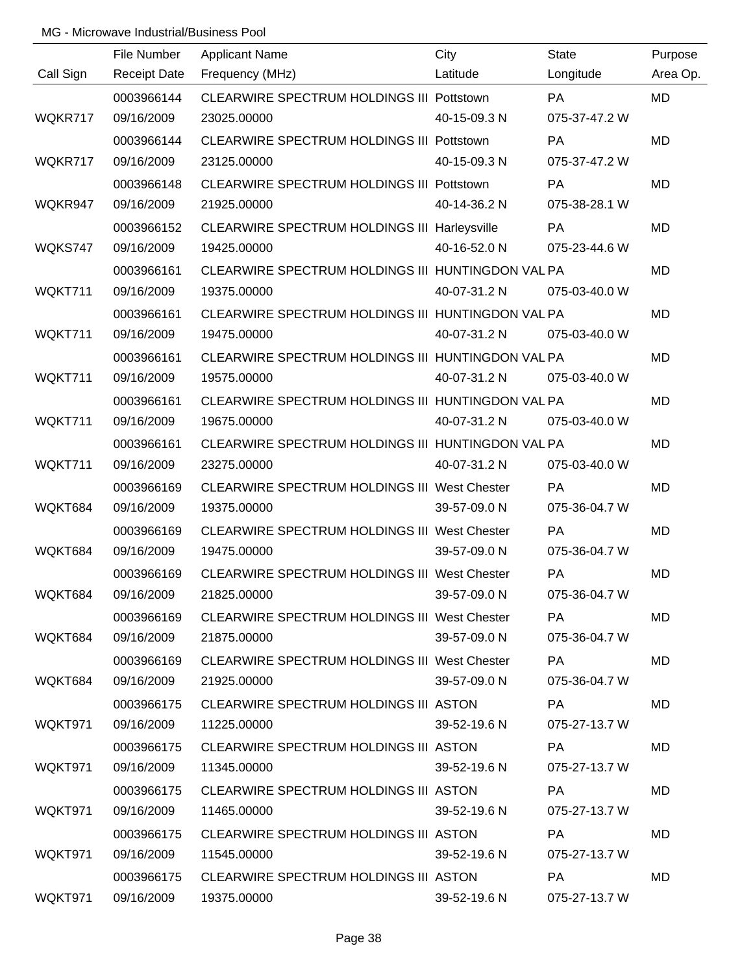|           | File Number         | <b>Applicant Name</b>                             | City         | <b>State</b>  | Purpose   |
|-----------|---------------------|---------------------------------------------------|--------------|---------------|-----------|
| Call Sign | <b>Receipt Date</b> | Frequency (MHz)                                   | Latitude     | Longitude     | Area Op.  |
|           | 0003966144          | CLEARWIRE SPECTRUM HOLDINGS III Pottstown         |              | PA            | <b>MD</b> |
| WQKR717   | 09/16/2009          | 23025.00000                                       | 40-15-09.3 N | 075-37-47.2 W |           |
|           | 0003966144          | CLEARWIRE SPECTRUM HOLDINGS III Pottstown         |              | PA            | <b>MD</b> |
| WQKR717   | 09/16/2009          | 23125.00000                                       | 40-15-09.3 N | 075-37-47.2 W |           |
|           | 0003966148          | CLEARWIRE SPECTRUM HOLDINGS III Pottstown         |              | <b>PA</b>     | <b>MD</b> |
| WQKR947   | 09/16/2009          | 21925.00000                                       | 40-14-36.2 N | 075-38-28.1 W |           |
|           | 0003966152          | CLEARWIRE SPECTRUM HOLDINGS III Harleysville      |              | PA            | <b>MD</b> |
| WQKS747   | 09/16/2009          | 19425.00000                                       | 40-16-52.0 N | 075-23-44.6 W |           |
|           | 0003966161          | CLEARWIRE SPECTRUM HOLDINGS III HUNTINGDON VAL PA |              |               | <b>MD</b> |
| WQKT711   | 09/16/2009          | 19375.00000                                       | 40-07-31.2 N | 075-03-40.0 W |           |
|           | 0003966161          | CLEARWIRE SPECTRUM HOLDINGS III HUNTINGDON VAL PA |              |               | <b>MD</b> |
| WQKT711   | 09/16/2009          | 19475.00000                                       | 40-07-31.2 N | 075-03-40.0 W |           |
|           | 0003966161          | CLEARWIRE SPECTRUM HOLDINGS III HUNTINGDON VAL PA |              |               | <b>MD</b> |
| WQKT711   | 09/16/2009          | 19575.00000                                       | 40-07-31.2 N | 075-03-40.0 W |           |
|           | 0003966161          | CLEARWIRE SPECTRUM HOLDINGS III HUNTINGDON VAL PA |              |               | <b>MD</b> |
| WQKT711   | 09/16/2009          | 19675.00000                                       | 40-07-31.2 N | 075-03-40.0 W |           |
|           | 0003966161          | CLEARWIRE SPECTRUM HOLDINGS III HUNTINGDON VAL PA |              |               | <b>MD</b> |
| WQKT711   | 09/16/2009          | 23275.00000                                       | 40-07-31.2 N | 075-03-40.0 W |           |
|           | 0003966169          | CLEARWIRE SPECTRUM HOLDINGS III West Chester      |              | PA            | <b>MD</b> |
| WQKT684   | 09/16/2009          | 19375.00000                                       | 39-57-09.0 N | 075-36-04.7 W |           |
|           | 0003966169          | CLEARWIRE SPECTRUM HOLDINGS III West Chester      |              | PA            | <b>MD</b> |
| WQKT684   | 09/16/2009          | 19475.00000                                       | 39-57-09.0 N | 075-36-04.7 W |           |
|           | 0003966169          | CLEARWIRE SPECTRUM HOLDINGS III West Chester      |              | PA            | <b>MD</b> |
| WQKT684   | 09/16/2009          | 21825.00000                                       | 39-57-09.0 N | 075-36-04.7 W |           |
|           | 0003966169          | CLEARWIRE SPECTRUM HOLDINGS III West Chester      |              | <b>PA</b>     | MD        |
| WQKT684   | 09/16/2009          | 21875.00000                                       | 39-57-09.0 N | 075-36-04.7 W |           |
|           | 0003966169          | CLEARWIRE SPECTRUM HOLDINGS III West Chester      |              | PA            | MD        |
| WQKT684   | 09/16/2009          | 21925.00000                                       | 39-57-09.0 N | 075-36-04.7 W |           |
|           | 0003966175          | CLEARWIRE SPECTRUM HOLDINGS III ASTON             |              | <b>PA</b>     | MD        |
| WQKT971   | 09/16/2009          | 11225.00000                                       | 39-52-19.6 N | 075-27-13.7 W |           |
|           | 0003966175          | CLEARWIRE SPECTRUM HOLDINGS III ASTON             |              | PA            | MD        |
| WQKT971   | 09/16/2009          | 11345.00000                                       | 39-52-19.6 N | 075-27-13.7 W |           |
|           | 0003966175          | CLEARWIRE SPECTRUM HOLDINGS III ASTON             |              | <b>PA</b>     | MD        |
| WQKT971   | 09/16/2009          | 11465.00000                                       | 39-52-19.6 N | 075-27-13.7 W |           |
|           | 0003966175          | CLEARWIRE SPECTRUM HOLDINGS III ASTON             |              | <b>PA</b>     | MD        |
| WQKT971   | 09/16/2009          | 11545.00000                                       | 39-52-19.6 N | 075-27-13.7 W |           |
|           | 0003966175          | CLEARWIRE SPECTRUM HOLDINGS III ASTON             |              | <b>PA</b>     | MD        |
| WQKT971   | 09/16/2009          | 19375.00000                                       | 39-52-19.6 N | 075-27-13.7 W |           |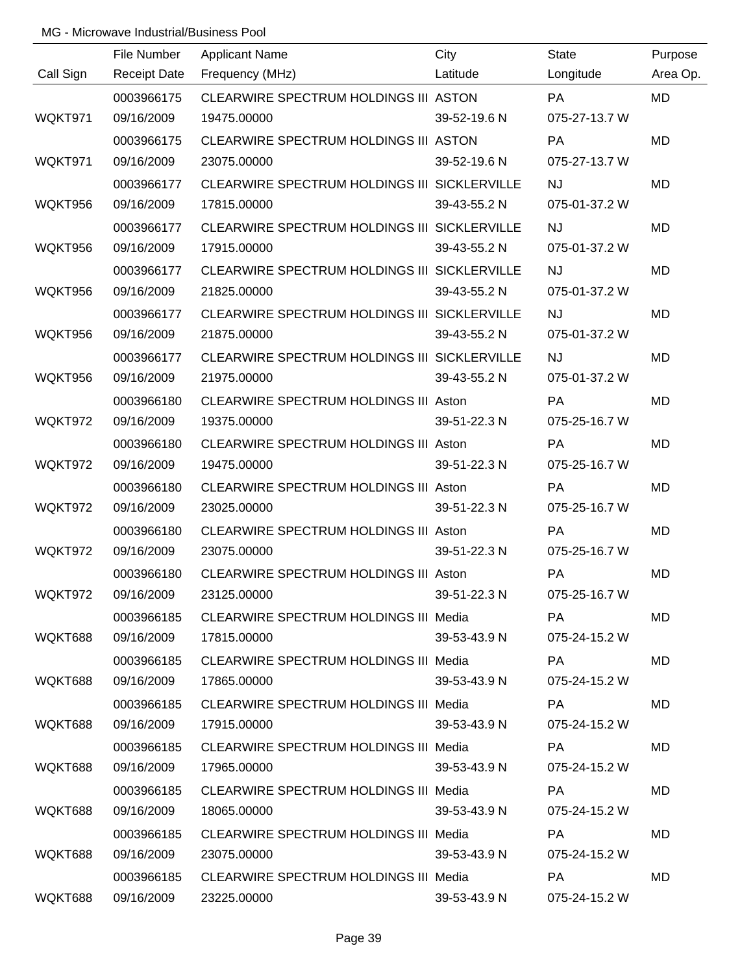|           | File Number         | <b>Applicant Name</b>                        | City         | <b>State</b>  | Purpose   |
|-----------|---------------------|----------------------------------------------|--------------|---------------|-----------|
| Call Sign | <b>Receipt Date</b> | Frequency (MHz)                              | Latitude     | Longitude     | Area Op.  |
|           | 0003966175          | CLEARWIRE SPECTRUM HOLDINGS III ASTON        |              | PA            | <b>MD</b> |
| WQKT971   | 09/16/2009          | 19475.00000                                  | 39-52-19.6 N | 075-27-13.7 W |           |
|           | 0003966175          | CLEARWIRE SPECTRUM HOLDINGS III ASTON        |              | PA            | <b>MD</b> |
| WQKT971   | 09/16/2009          | 23075.00000                                  | 39-52-19.6 N | 075-27-13.7 W |           |
|           | 0003966177          | CLEARWIRE SPECTRUM HOLDINGS III SICKLERVILLE |              | <b>NJ</b>     | <b>MD</b> |
| WQKT956   | 09/16/2009          | 17815.00000                                  | 39-43-55.2 N | 075-01-37.2 W |           |
|           | 0003966177          | CLEARWIRE SPECTRUM HOLDINGS III SICKLERVILLE |              | <b>NJ</b>     | <b>MD</b> |
| WQKT956   | 09/16/2009          | 17915.00000                                  | 39-43-55.2 N | 075-01-37.2 W |           |
|           | 0003966177          | CLEARWIRE SPECTRUM HOLDINGS III SICKLERVILLE |              | <b>NJ</b>     | MD        |
| WQKT956   | 09/16/2009          | 21825.00000                                  | 39-43-55.2 N | 075-01-37.2 W |           |
|           | 0003966177          | CLEARWIRE SPECTRUM HOLDINGS III SICKLERVILLE |              | <b>NJ</b>     | <b>MD</b> |
| WQKT956   | 09/16/2009          | 21875.00000                                  | 39-43-55.2 N | 075-01-37.2 W |           |
|           | 0003966177          | CLEARWIRE SPECTRUM HOLDINGS III SICKLERVILLE |              | <b>NJ</b>     | MD        |
| WQKT956   | 09/16/2009          | 21975.00000                                  | 39-43-55.2 N | 075-01-37.2 W |           |
|           | 0003966180          | CLEARWIRE SPECTRUM HOLDINGS III Aston        |              | PA            | <b>MD</b> |
| WQKT972   | 09/16/2009          | 19375.00000                                  | 39-51-22.3 N | 075-25-16.7 W |           |
|           | 0003966180          | CLEARWIRE SPECTRUM HOLDINGS III Aston        |              | PA            | MD        |
| WQKT972   | 09/16/2009          | 19475.00000                                  | 39-51-22.3 N | 075-25-16.7 W |           |
|           | 0003966180          | CLEARWIRE SPECTRUM HOLDINGS III Aston        |              | PA            | <b>MD</b> |
| WQKT972   | 09/16/2009          | 23025.00000                                  | 39-51-22.3 N | 075-25-16.7 W |           |
|           | 0003966180          | CLEARWIRE SPECTRUM HOLDINGS III Aston        |              | PA            | MD        |
| WQKT972   | 09/16/2009          | 23075.00000                                  | 39-51-22.3 N | 075-25-16.7 W |           |
|           | 0003966180          | <b>CLEARWIRE SPECTRUM HOLDINGS III Aston</b> |              | PA            | MD        |
| WQKT972   | 09/16/2009          | 23125.00000                                  | 39-51-22.3 N | 075-25-16.7 W |           |
|           | 0003966185          | CLEARWIRE SPECTRUM HOLDINGS III Media        |              | <b>PA</b>     | MD        |
| WQKT688   | 09/16/2009          | 17815.00000                                  | 39-53-43.9 N | 075-24-15.2 W |           |
|           | 0003966185          | <b>CLEARWIRE SPECTRUM HOLDINGS III Media</b> |              | <b>PA</b>     | MD        |
| WQKT688   | 09/16/2009          | 17865.00000                                  | 39-53-43.9 N | 075-24-15.2 W |           |
|           | 0003966185          | <b>CLEARWIRE SPECTRUM HOLDINGS III Media</b> |              | PA            | MD        |
| WQKT688   | 09/16/2009          | 17915.00000                                  | 39-53-43.9 N | 075-24-15.2 W |           |
|           | 0003966185          | <b>CLEARWIRE SPECTRUM HOLDINGS III Media</b> |              | PA            | MD        |
| WQKT688   | 09/16/2009          | 17965.00000                                  | 39-53-43.9 N | 075-24-15.2 W |           |
|           | 0003966185          | <b>CLEARWIRE SPECTRUM HOLDINGS III Media</b> |              | <b>PA</b>     | MD        |
| WQKT688   | 09/16/2009          | 18065.00000                                  | 39-53-43.9 N | 075-24-15.2 W |           |
|           | 0003966185          | CLEARWIRE SPECTRUM HOLDINGS III Media        |              | PA            | MD        |
| WQKT688   | 09/16/2009          | 23075.00000                                  | 39-53-43.9 N | 075-24-15.2 W |           |
|           | 0003966185          | CLEARWIRE SPECTRUM HOLDINGS III Media        |              | PA            | MD        |
| WQKT688   | 09/16/2009          | 23225.00000                                  | 39-53-43.9 N | 075-24-15.2 W |           |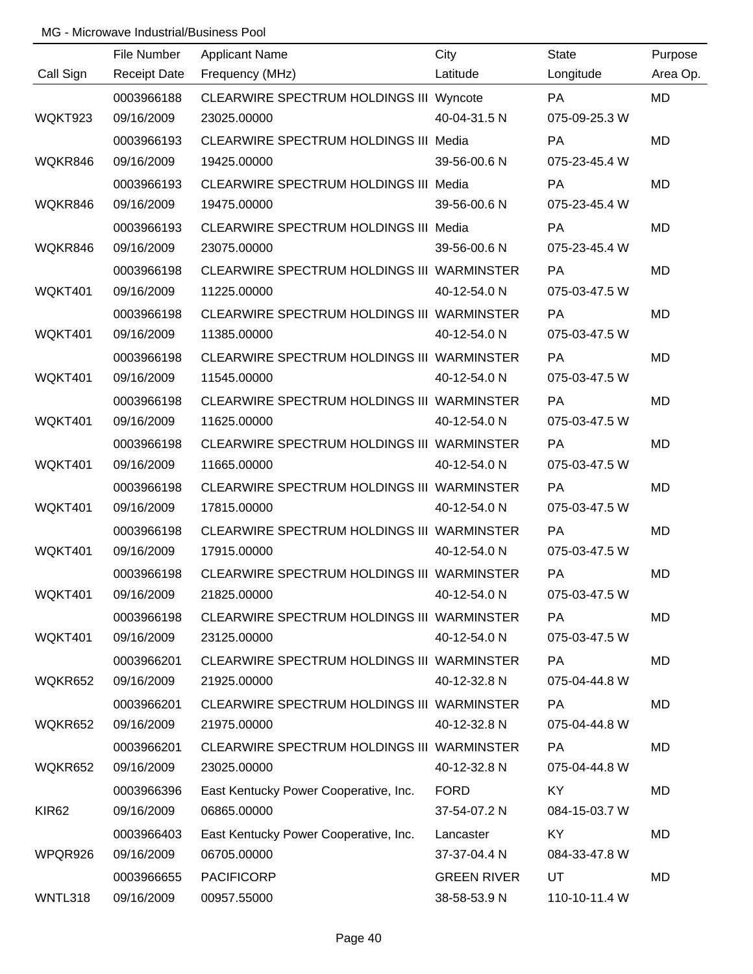|                   | File Number         | <b>Applicant Name</b>                      | City               | <b>State</b>  | Purpose   |
|-------------------|---------------------|--------------------------------------------|--------------------|---------------|-----------|
| Call Sign         | <b>Receipt Date</b> | Frequency (MHz)                            | Latitude           | Longitude     | Area Op.  |
|                   | 0003966188          | CLEARWIRE SPECTRUM HOLDINGS III Wyncote    |                    | <b>PA</b>     | <b>MD</b> |
| WQKT923           | 09/16/2009          | 23025.00000                                | 40-04-31.5 N       | 075-09-25.3 W |           |
|                   | 0003966193          | CLEARWIRE SPECTRUM HOLDINGS III Media      |                    | PA            | <b>MD</b> |
| WQKR846           | 09/16/2009          | 19425.00000                                | 39-56-00.6 N       | 075-23-45.4 W |           |
|                   | 0003966193          | CLEARWIRE SPECTRUM HOLDINGS III Media      |                    | PA            | <b>MD</b> |
| WQKR846           | 09/16/2009          | 19475.00000                                | 39-56-00.6 N       | 075-23-45.4 W |           |
|                   | 0003966193          | CLEARWIRE SPECTRUM HOLDINGS III Media      |                    | <b>PA</b>     | <b>MD</b> |
| WQKR846           | 09/16/2009          | 23075.00000                                | 39-56-00.6 N       | 075-23-45.4 W |           |
|                   | 0003966198          | CLEARWIRE SPECTRUM HOLDINGS III WARMINSTER |                    | <b>PA</b>     | <b>MD</b> |
| WQKT401           | 09/16/2009          | 11225.00000                                | 40-12-54.0 N       | 075-03-47.5 W |           |
|                   | 0003966198          | CLEARWIRE SPECTRUM HOLDINGS III WARMINSTER |                    | <b>PA</b>     | <b>MD</b> |
| WQKT401           | 09/16/2009          | 11385.00000                                | 40-12-54.0 N       | 075-03-47.5 W |           |
|                   | 0003966198          | CLEARWIRE SPECTRUM HOLDINGS III WARMINSTER |                    | PA            | <b>MD</b> |
| WQKT401           | 09/16/2009          | 11545.00000                                | 40-12-54.0 N       | 075-03-47.5 W |           |
|                   | 0003966198          | CLEARWIRE SPECTRUM HOLDINGS III WARMINSTER |                    | <b>PA</b>     | <b>MD</b> |
| WQKT401           | 09/16/2009          | 11625.00000                                | 40-12-54.0 N       | 075-03-47.5 W |           |
|                   | 0003966198          | CLEARWIRE SPECTRUM HOLDINGS III WARMINSTER |                    | <b>PA</b>     | <b>MD</b> |
| WQKT401           | 09/16/2009          | 11665.00000                                | 40-12-54.0 N       | 075-03-47.5 W |           |
|                   | 0003966198          | CLEARWIRE SPECTRUM HOLDINGS III WARMINSTER |                    | PA            | <b>MD</b> |
| WQKT401           | 09/16/2009          | 17815.00000                                | 40-12-54.0 N       | 075-03-47.5 W |           |
|                   | 0003966198          | CLEARWIRE SPECTRUM HOLDINGS III WARMINSTER |                    | PA            | <b>MD</b> |
| WQKT401           | 09/16/2009          | 17915.00000                                | 40-12-54.0 N       | 075-03-47.5 W |           |
|                   | 0003966198          | CLEARWIRE SPECTRUM HOLDINGS III WARMINSTER |                    | PA            | <b>MD</b> |
| WQKT401           | 09/16/2009          | 21825.00000                                | 40-12-54.0 N       | 075-03-47.5 W |           |
|                   | 0003966198          | CLEARWIRE SPECTRUM HOLDINGS III WARMINSTER |                    | PA            | <b>MD</b> |
| WQKT401           | 09/16/2009          | 23125.00000                                | 40-12-54.0 N       | 075-03-47.5 W |           |
|                   | 0003966201          | CLEARWIRE SPECTRUM HOLDINGS III WARMINSTER |                    | PA            | <b>MD</b> |
| WQKR652           | 09/16/2009          | 21925.00000                                | 40-12-32.8 N       | 075-04-44.8 W |           |
|                   | 0003966201          | CLEARWIRE SPECTRUM HOLDINGS III WARMINSTER |                    | PA            | <b>MD</b> |
| WQKR652           | 09/16/2009          | 21975.00000                                | 40-12-32.8 N       | 075-04-44.8 W |           |
|                   | 0003966201          | CLEARWIRE SPECTRUM HOLDINGS III WARMINSTER |                    | PA            | <b>MD</b> |
| WQKR652           | 09/16/2009          | 23025.00000                                | 40-12-32.8 N       | 075-04-44.8 W |           |
|                   | 0003966396          | East Kentucky Power Cooperative, Inc.      | <b>FORD</b>        | KY            | <b>MD</b> |
| KIR <sub>62</sub> | 09/16/2009          | 06865.00000                                | 37-54-07.2 N       | 084-15-03.7 W |           |
|                   | 0003966403          | East Kentucky Power Cooperative, Inc.      | Lancaster          | KY            | <b>MD</b> |
| WPQR926           | 09/16/2009          | 06705.00000                                | 37-37-04.4 N       | 084-33-47.8 W |           |
|                   | 0003966655          | <b>PACIFICORP</b>                          | <b>GREEN RIVER</b> | UT            | <b>MD</b> |
| WNTL318           | 09/16/2009          | 00957.55000                                | 38-58-53.9 N       | 110-10-11.4 W |           |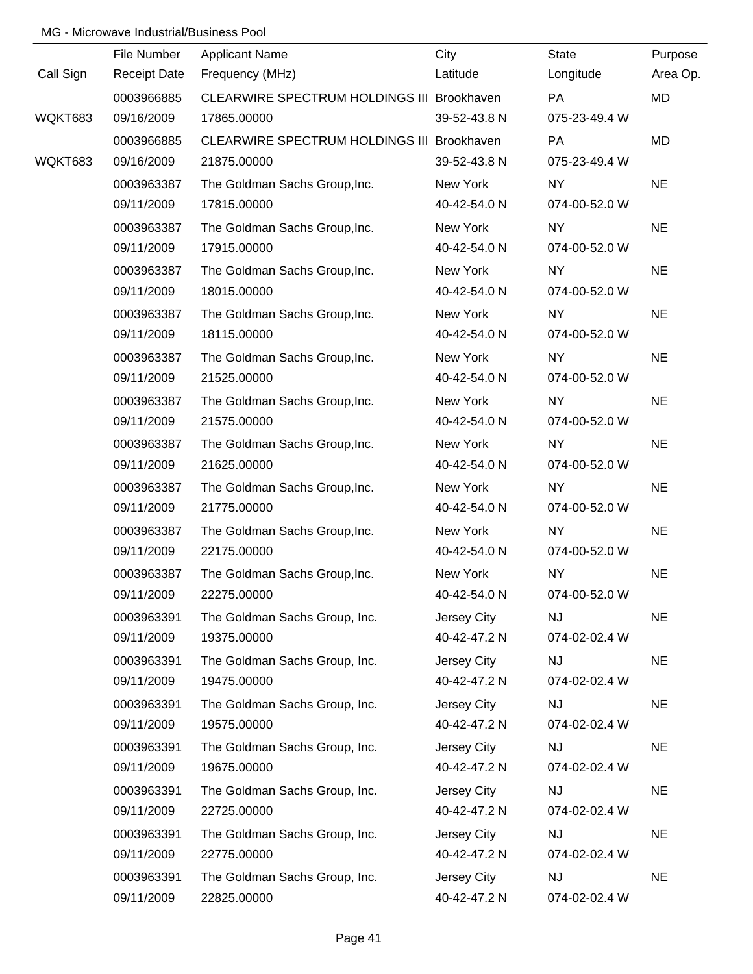|           | File Number         | <b>Applicant Name</b>                      | City         | <b>State</b>  | Purpose   |
|-----------|---------------------|--------------------------------------------|--------------|---------------|-----------|
| Call Sign | <b>Receipt Date</b> | Frequency (MHz)                            | Latitude     | Longitude     | Area Op.  |
|           | 0003966885          | CLEARWIRE SPECTRUM HOLDINGS III Brookhaven |              | PA            | <b>MD</b> |
| WQKT683   | 09/16/2009          | 17865.00000                                | 39-52-43.8 N | 075-23-49.4 W |           |
|           | 0003966885          | CLEARWIRE SPECTRUM HOLDINGS III Brookhaven |              | PA            | <b>MD</b> |
| WQKT683   | 09/16/2009          | 21875.00000                                | 39-52-43.8 N | 075-23-49.4 W |           |
|           | 0003963387          | The Goldman Sachs Group, Inc.              | New York     | <b>NY</b>     | <b>NE</b> |
|           | 09/11/2009          | 17815.00000                                | 40-42-54.0 N | 074-00-52.0 W |           |
|           | 0003963387          | The Goldman Sachs Group, Inc.              | New York     | NY            | <b>NE</b> |
|           | 09/11/2009          | 17915.00000                                | 40-42-54.0 N | 074-00-52.0 W |           |
|           | 0003963387          | The Goldman Sachs Group, Inc.              | New York     | NY            | <b>NE</b> |
|           | 09/11/2009          | 18015.00000                                | 40-42-54.0 N | 074-00-52.0 W |           |
|           | 0003963387          | The Goldman Sachs Group, Inc.              | New York     | NY            | <b>NE</b> |
|           | 09/11/2009          | 18115.00000                                | 40-42-54.0 N | 074-00-52.0 W |           |
|           | 0003963387          | The Goldman Sachs Group, Inc.              | New York     | NY            | <b>NE</b> |
|           | 09/11/2009          | 21525.00000                                | 40-42-54.0 N | 074-00-52.0 W |           |
|           | 0003963387          | The Goldman Sachs Group, Inc.              | New York     | NY            | <b>NE</b> |
|           | 09/11/2009          | 21575.00000                                | 40-42-54.0 N | 074-00-52.0 W |           |
|           | 0003963387          | The Goldman Sachs Group, Inc.              | New York     | NY            | <b>NE</b> |
|           | 09/11/2009          | 21625.00000                                | 40-42-54.0 N | 074-00-52.0 W |           |
|           | 0003963387          | The Goldman Sachs Group, Inc.              | New York     | <b>NY</b>     | <b>NE</b> |
|           | 09/11/2009          | 21775.00000                                | 40-42-54.0 N | 074-00-52.0 W |           |
|           | 0003963387          | The Goldman Sachs Group, Inc.              | New York     | NY            | <b>NE</b> |
|           | 09/11/2009          | 22175.00000                                | 40-42-54.0 N | 074-00-52.0 W |           |
|           | 0003963387          | The Goldman Sachs Group, Inc.              | New York     | <b>NY</b>     | <b>NE</b> |
|           | 09/11/2009          | 22275.00000                                | 40-42-54.0 N | 074-00-52.0 W |           |
|           | 0003963391          | The Goldman Sachs Group, Inc.              | Jersey City  | <b>NJ</b>     | <b>NE</b> |
|           | 09/11/2009          | 19375.00000                                | 40-42-47.2 N | 074-02-02.4 W |           |
|           | 0003963391          | The Goldman Sachs Group, Inc.              | Jersey City  | <b>NJ</b>     | <b>NE</b> |
|           | 09/11/2009          | 19475.00000                                | 40-42-47.2 N | 074-02-02.4 W |           |
|           | 0003963391          | The Goldman Sachs Group, Inc.              | Jersey City  | <b>NJ</b>     | <b>NE</b> |
|           | 09/11/2009          | 19575.00000                                | 40-42-47.2 N | 074-02-02.4 W |           |
|           | 0003963391          | The Goldman Sachs Group, Inc.              | Jersey City  | <b>NJ</b>     | <b>NE</b> |
|           | 09/11/2009          | 19675.00000                                | 40-42-47.2 N | 074-02-02.4 W |           |
|           | 0003963391          | The Goldman Sachs Group, Inc.              | Jersey City  | <b>NJ</b>     | <b>NE</b> |
|           | 09/11/2009          | 22725.00000                                | 40-42-47.2 N | 074-02-02.4 W |           |
|           | 0003963391          | The Goldman Sachs Group, Inc.              | Jersey City  | <b>NJ</b>     | <b>NE</b> |
|           | 09/11/2009          | 22775.00000                                | 40-42-47.2 N | 074-02-02.4 W |           |
|           | 0003963391          | The Goldman Sachs Group, Inc.              | Jersey City  | <b>NJ</b>     | <b>NE</b> |
|           | 09/11/2009          | 22825.00000                                | 40-42-47.2 N | 074-02-02.4 W |           |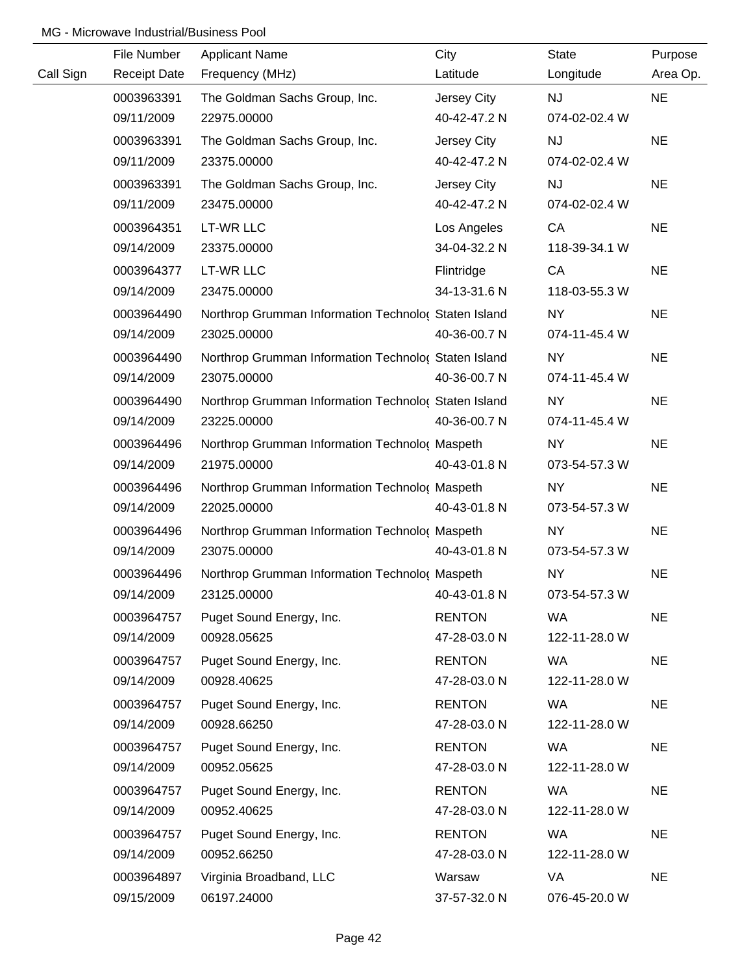|           | File Number         | <b>Applicant Name</b>                                | City          | <b>State</b>  | Purpose   |
|-----------|---------------------|------------------------------------------------------|---------------|---------------|-----------|
| Call Sign | <b>Receipt Date</b> | Frequency (MHz)                                      | Latitude      | Longitude     | Area Op.  |
|           | 0003963391          | The Goldman Sachs Group, Inc.                        | Jersey City   | <b>NJ</b>     | <b>NE</b> |
|           | 09/11/2009          | 22975.00000                                          | 40-42-47.2 N  | 074-02-02.4 W |           |
|           | 0003963391          | The Goldman Sachs Group, Inc.                        | Jersey City   | <b>NJ</b>     | <b>NE</b> |
|           | 09/11/2009          | 23375.00000                                          | 40-42-47.2 N  | 074-02-02.4 W |           |
|           | 0003963391          | The Goldman Sachs Group, Inc.                        | Jersey City   | <b>NJ</b>     | <b>NE</b> |
|           | 09/11/2009          | 23475.00000                                          | 40-42-47.2 N  | 074-02-02.4 W |           |
|           | 0003964351          | LT-WR LLC                                            | Los Angeles   | CA            | <b>NE</b> |
|           | 09/14/2009          | 23375.00000                                          | 34-04-32.2 N  | 118-39-34.1 W |           |
|           | 0003964377          | <b>LT-WR LLC</b>                                     | Flintridge    | CA            | <b>NE</b> |
|           | 09/14/2009          | 23475.00000                                          | 34-13-31.6 N  | 118-03-55.3 W |           |
|           | 0003964490          | Northrop Grumman Information Technolo( Staten Island |               | <b>NY</b>     | <b>NE</b> |
|           | 09/14/2009          | 23025.00000                                          | 40-36-00.7 N  | 074-11-45.4 W |           |
|           | 0003964490          | Northrop Grumman Information Technolo( Staten Island |               | <b>NY</b>     | <b>NE</b> |
|           | 09/14/2009          | 23075.00000                                          | 40-36-00.7 N  | 074-11-45.4 W |           |
|           | 0003964490          | Northrop Grumman Information Technolo( Staten Island |               | <b>NY</b>     | <b>NE</b> |
|           | 09/14/2009          | 23225.00000                                          | 40-36-00.7 N  | 074-11-45.4 W |           |
|           | 0003964496          | Northrop Grumman Information Technolo( Maspeth       |               | <b>NY</b>     | <b>NE</b> |
|           | 09/14/2009          | 21975.00000                                          | 40-43-01.8 N  | 073-54-57.3 W |           |
|           | 0003964496          | Northrop Grumman Information Technolo( Maspeth       |               | <b>NY</b>     | <b>NE</b> |
|           | 09/14/2009          | 22025.00000                                          | 40-43-01.8 N  | 073-54-57.3 W |           |
|           | 0003964496          | Northrop Grumman Information Technolo( Maspeth       |               | <b>NY</b>     | <b>NE</b> |
|           | 09/14/2009          | 23075.00000                                          | 40-43-01.8 N  | 073-54-57.3 W |           |
|           | 0003964496          | Northrop Grumman Information Technolo( Maspeth       |               | <b>NY</b>     | <b>NE</b> |
|           | 09/14/2009          | 23125.00000                                          | 40-43-01.8 N  | 073-54-57.3 W |           |
|           | 0003964757          | Puget Sound Energy, Inc.                             | <b>RENTON</b> | <b>WA</b>     | <b>NE</b> |
|           | 09/14/2009          | 00928.05625                                          | 47-28-03.0 N  | 122-11-28.0 W |           |
|           | 0003964757          | Puget Sound Energy, Inc.                             | <b>RENTON</b> | WA            | <b>NE</b> |
|           | 09/14/2009          | 00928.40625                                          | 47-28-03.0 N  | 122-11-28.0 W |           |
|           | 0003964757          | Puget Sound Energy, Inc.                             | <b>RENTON</b> | WA            | <b>NE</b> |
|           | 09/14/2009          | 00928.66250                                          | 47-28-03.0 N  | 122-11-28.0 W |           |
|           | 0003964757          | Puget Sound Energy, Inc.                             | <b>RENTON</b> | WA            | <b>NE</b> |
|           | 09/14/2009          | 00952.05625                                          | 47-28-03.0 N  | 122-11-28.0 W |           |
|           | 0003964757          | Puget Sound Energy, Inc.                             | <b>RENTON</b> | WA            | <b>NE</b> |
|           | 09/14/2009          | 00952.40625                                          | 47-28-03.0 N  | 122-11-28.0 W |           |
|           | 0003964757          | Puget Sound Energy, Inc.                             | <b>RENTON</b> | <b>WA</b>     | <b>NE</b> |
|           | 09/14/2009          | 00952.66250                                          | 47-28-03.0 N  | 122-11-28.0 W |           |
|           | 0003964897          | Virginia Broadband, LLC                              | Warsaw        | VA            | <b>NE</b> |
|           | 09/15/2009          | 06197.24000                                          | 37-57-32.0 N  | 076-45-20.0 W |           |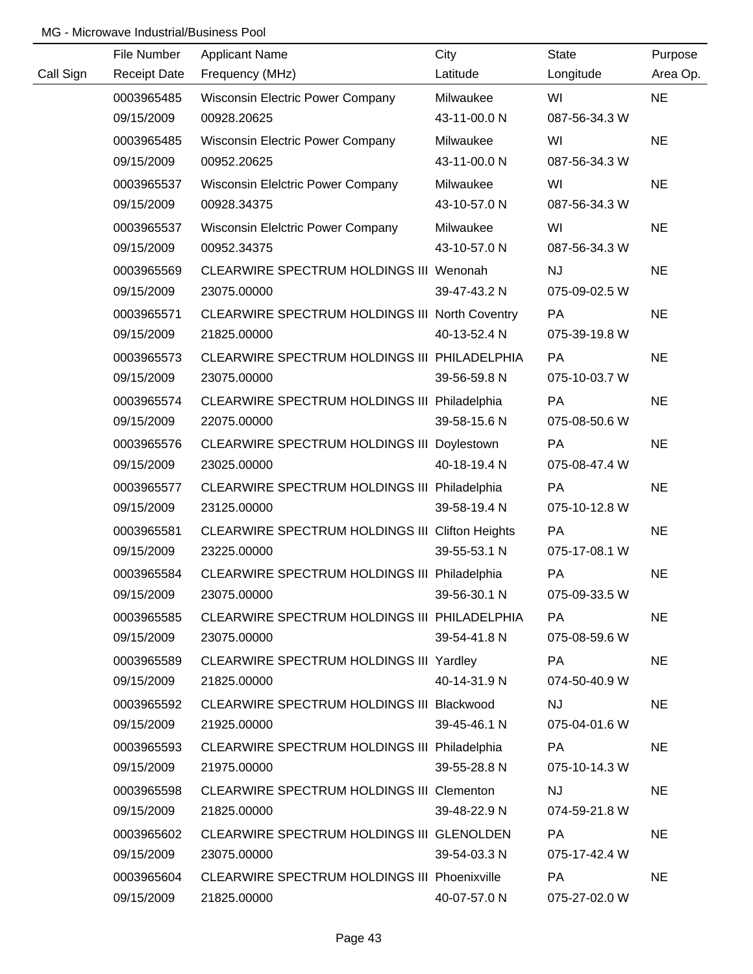|           | File Number         | <b>Applicant Name</b>                           | City         | <b>State</b>  | Purpose   |
|-----------|---------------------|-------------------------------------------------|--------------|---------------|-----------|
| Call Sign | <b>Receipt Date</b> | Frequency (MHz)                                 | Latitude     | Longitude     | Area Op.  |
|           | 0003965485          | <b>Wisconsin Electric Power Company</b>         | Milwaukee    | WI            | <b>NE</b> |
|           | 09/15/2009          | 00928.20625                                     | 43-11-00.0 N | 087-56-34.3 W |           |
|           | 0003965485          | Wisconsin Electric Power Company                | Milwaukee    | WI            | <b>NE</b> |
|           | 09/15/2009          | 00952.20625                                     | 43-11-00.0 N | 087-56-34.3 W |           |
|           | 0003965537          | <b>Wisconsin Elelctric Power Company</b>        | Milwaukee    | WI            | <b>NE</b> |
|           | 09/15/2009          | 00928.34375                                     | 43-10-57.0 N | 087-56-34.3 W |           |
|           | 0003965537          | <b>Wisconsin Elelctric Power Company</b>        | Milwaukee    | WI            | <b>NE</b> |
|           | 09/15/2009          | 00952.34375                                     | 43-10-57.0 N | 087-56-34.3 W |           |
|           | 0003965569          | CLEARWIRE SPECTRUM HOLDINGS III Wenonah         |              | <b>NJ</b>     | <b>NE</b> |
|           | 09/15/2009          | 23075.00000                                     | 39-47-43.2 N | 075-09-02.5 W |           |
|           | 0003965571          | CLEARWIRE SPECTRUM HOLDINGS III North Coventry  |              | PA            | <b>NE</b> |
|           | 09/15/2009          | 21825.00000                                     | 40-13-52.4 N | 075-39-19.8 W |           |
|           | 0003965573          | CLEARWIRE SPECTRUM HOLDINGS III PHILADELPHIA    |              | PA            | <b>NE</b> |
|           | 09/15/2009          | 23075.00000                                     | 39-56-59.8 N | 075-10-03.7 W |           |
|           | 0003965574          | CLEARWIRE SPECTRUM HOLDINGS III Philadelphia    |              | <b>PA</b>     | <b>NE</b> |
|           | 09/15/2009          | 22075.00000                                     | 39-58-15.6 N | 075-08-50.6 W |           |
|           | 0003965576          | CLEARWIRE SPECTRUM HOLDINGS III Doylestown      |              | PA            | <b>NE</b> |
|           | 09/15/2009          | 23025.00000                                     | 40-18-19.4 N | 075-08-47.4 W |           |
|           | 0003965577          | CLEARWIRE SPECTRUM HOLDINGS III Philadelphia    |              | <b>PA</b>     | <b>NE</b> |
|           | 09/15/2009          | 23125.00000                                     | 39-58-19.4 N | 075-10-12.8 W |           |
|           | 0003965581          | CLEARWIRE SPECTRUM HOLDINGS III Clifton Heights |              | PA            | <b>NE</b> |
|           | 09/15/2009          | 23225.00000                                     | 39-55-53.1 N | 075-17-08.1 W |           |
|           | 0003965584          | CLEARWIRE SPECTRUM HOLDINGS III Philadelphia    |              | PA            | <b>NE</b> |
|           | 09/15/2009          | 23075.00000                                     | 39-56-30.1 N | 075-09-33.5 W |           |
|           | 0003965585          | CLEARWIRE SPECTRUM HOLDINGS III PHILADELPHIA    |              | PA            | <b>NE</b> |
|           | 09/15/2009          | 23075.00000                                     | 39-54-41.8 N | 075-08-59.6 W |           |
|           | 0003965589          | CLEARWIRE SPECTRUM HOLDINGS III Yardley         |              | PA            | <b>NE</b> |
|           | 09/15/2009          | 21825.00000                                     | 40-14-31.9 N | 074-50-40.9 W |           |
|           | 0003965592          | CLEARWIRE SPECTRUM HOLDINGS III Blackwood       |              | <b>NJ</b>     | <b>NE</b> |
|           | 09/15/2009          | 21925.00000                                     | 39-45-46.1 N | 075-04-01.6 W |           |
|           | 0003965593          | CLEARWIRE SPECTRUM HOLDINGS III Philadelphia    |              | PA            | <b>NE</b> |
|           | 09/15/2009          | 21975.00000                                     | 39-55-28.8 N | 075-10-14.3 W |           |
|           | 0003965598          | CLEARWIRE SPECTRUM HOLDINGS III Clementon       |              | <b>NJ</b>     | <b>NE</b> |
|           | 09/15/2009          | 21825.00000                                     | 39-48-22.9 N | 074-59-21.8 W |           |
|           | 0003965602          | CLEARWIRE SPECTRUM HOLDINGS III GLENOLDEN       |              | <b>PA</b>     | <b>NE</b> |
|           | 09/15/2009          | 23075.00000                                     | 39-54-03.3 N | 075-17-42.4 W |           |
|           | 0003965604          | CLEARWIRE SPECTRUM HOLDINGS III Phoenixville    |              | PA            | <b>NE</b> |
|           | 09/15/2009          | 21825.00000                                     | 40-07-57.0 N | 075-27-02.0 W |           |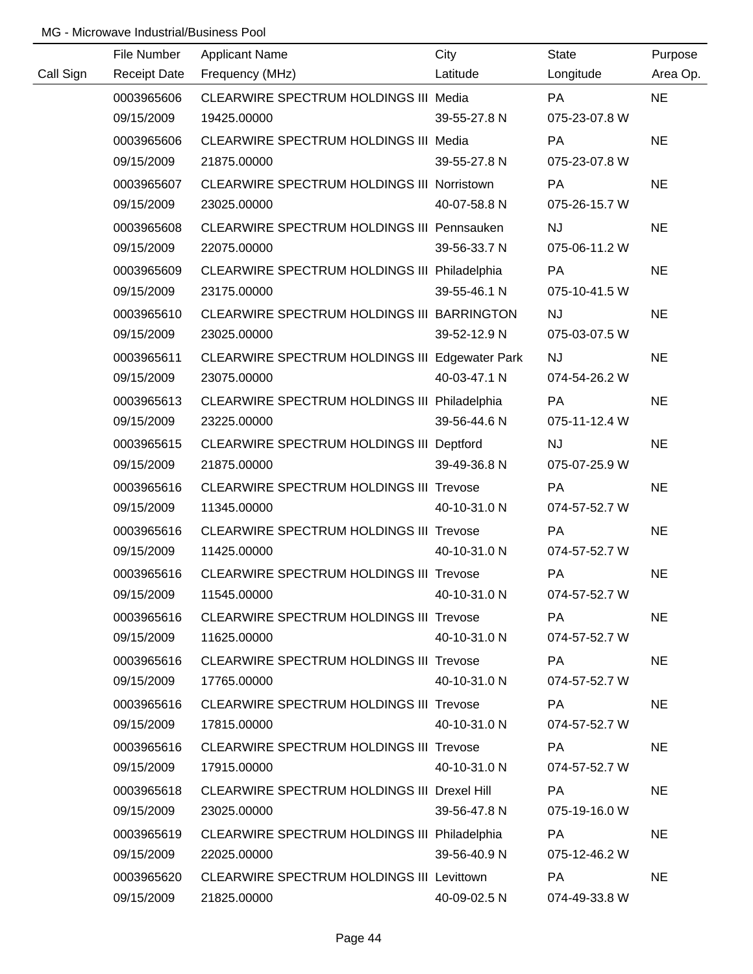|           | File Number         | <b>Applicant Name</b>                               | City         | State         | Purpose   |
|-----------|---------------------|-----------------------------------------------------|--------------|---------------|-----------|
| Call Sign | <b>Receipt Date</b> | Frequency (MHz)                                     | Latitude     | Longitude     | Area Op.  |
|           | 0003965606          | CLEARWIRE SPECTRUM HOLDINGS III Media               |              | <b>PA</b>     | <b>NE</b> |
|           | 09/15/2009          | 19425.00000                                         | 39-55-27.8 N | 075-23-07.8 W |           |
|           | 0003965606          | CLEARWIRE SPECTRUM HOLDINGS III Media               |              | PA            | <b>NE</b> |
|           | 09/15/2009          | 21875.00000                                         | 39-55-27.8 N | 075-23-07.8 W |           |
|           | 0003965607          | CLEARWIRE SPECTRUM HOLDINGS III Norristown          |              | <b>PA</b>     | <b>NE</b> |
|           | 09/15/2009          | 23025.00000                                         | 40-07-58.8 N | 075-26-15.7 W |           |
|           | 0003965608          | CLEARWIRE SPECTRUM HOLDINGS III Pennsauken          |              | <b>NJ</b>     | <b>NE</b> |
|           | 09/15/2009          | 22075.00000                                         | 39-56-33.7 N | 075-06-11.2 W |           |
|           | 0003965609          | CLEARWIRE SPECTRUM HOLDINGS III Philadelphia        |              | PA            | <b>NE</b> |
|           | 09/15/2009          | 23175.00000                                         | 39-55-46.1 N | 075-10-41.5 W |           |
|           | 0003965610          | CLEARWIRE SPECTRUM HOLDINGS III BARRINGTON          |              | <b>NJ</b>     | <b>NE</b> |
|           | 09/15/2009          | 23025.00000                                         | 39-52-12.9 N | 075-03-07.5 W |           |
|           | 0003965611          | CLEARWIRE SPECTRUM HOLDINGS III Edgewater Park      |              | <b>NJ</b>     | <b>NE</b> |
|           | 09/15/2009          | 23075.00000                                         | 40-03-47.1 N | 074-54-26.2 W |           |
|           | 0003965613          | CLEARWIRE SPECTRUM HOLDINGS III Philadelphia        |              | <b>PA</b>     | <b>NE</b> |
|           | 09/15/2009          | 23225.00000                                         | 39-56-44.6 N | 075-11-12.4 W |           |
|           | 0003965615          | CLEARWIRE SPECTRUM HOLDINGS III Deptford            |              | <b>NJ</b>     | <b>NE</b> |
|           | 09/15/2009          | 21875.00000                                         | 39-49-36.8 N | 075-07-25.9 W |           |
|           | 0003965616          | CLEARWIRE SPECTRUM HOLDINGS III Trevose             |              | PA            | <b>NE</b> |
|           | 09/15/2009          | 11345.00000                                         | 40-10-31.0 N | 074-57-52.7 W |           |
|           | 0003965616          | <b>CLEARWIRE SPECTRUM HOLDINGS III Trevose</b>      |              | PA            | <b>NE</b> |
|           | 09/15/2009          | 11425.00000                                         | 40-10-31.0 N | 074-57-52.7 W |           |
|           | 0003965616          | <b>CLEARWIRE SPECTRUM HOLDINGS III Trevose</b>      |              | PA            | <b>NE</b> |
|           | 09/15/2009          | 11545.00000                                         | 40-10-31.0 N | 074-57-52.7 W |           |
|           | 0003965616          | CLEARWIRE SPECTRUM HOLDINGS III Trevose             |              | PA            | <b>NE</b> |
|           | 09/15/2009          | 11625.00000                                         | 40-10-31.0 N | 074-57-52.7 W |           |
|           | 0003965616          | <b>CLEARWIRE SPECTRUM HOLDINGS III Trevose</b>      |              | PA            | <b>NE</b> |
|           | 09/15/2009          | 17765.00000                                         | 40-10-31.0 N | 074-57-52.7 W |           |
|           | 0003965616          | <b>CLEARWIRE SPECTRUM HOLDINGS III Trevose</b>      |              | PA            | <b>NE</b> |
|           | 09/15/2009          | 17815.00000                                         | 40-10-31.0 N | 074-57-52.7 W |           |
|           | 0003965616          | <b>CLEARWIRE SPECTRUM HOLDINGS III Trevose</b>      |              | PA            | <b>NE</b> |
|           | 09/15/2009          | 17915.00000                                         | 40-10-31.0 N | 074-57-52.7 W |           |
|           | 0003965618          | CLEARWIRE SPECTRUM HOLDINGS III Drexel Hill         |              | <b>PA</b>     | <b>NE</b> |
|           | 09/15/2009          | 23025.00000                                         | 39-56-47.8 N | 075-19-16.0 W |           |
|           | 0003965619          | <b>CLEARWIRE SPECTRUM HOLDINGS III Philadelphia</b> |              | <b>PA</b>     | <b>NE</b> |
|           | 09/15/2009          | 22025.00000                                         | 39-56-40.9 N | 075-12-46.2 W |           |
|           | 0003965620          | CLEARWIRE SPECTRUM HOLDINGS III Levittown           |              | PA            | <b>NE</b> |
|           | 09/15/2009          | 21825.00000                                         | 40-09-02.5 N | 074-49-33.8 W |           |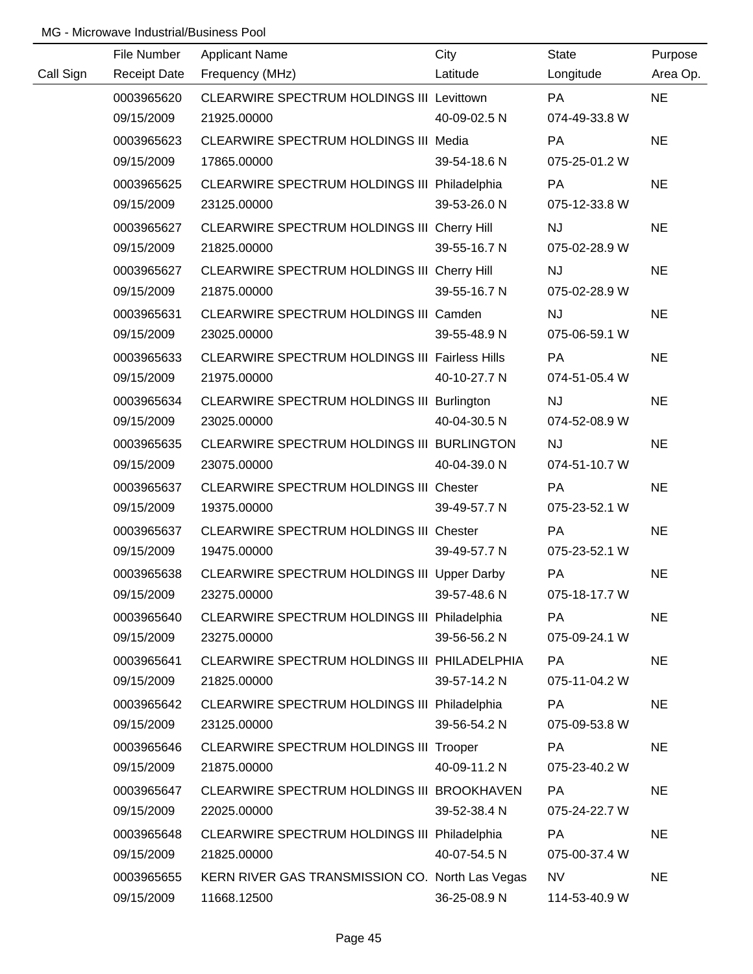|           | File Number         | <b>Applicant Name</b>                           | City         | <b>State</b>  | Purpose   |
|-----------|---------------------|-------------------------------------------------|--------------|---------------|-----------|
| Call Sign | <b>Receipt Date</b> | Frequency (MHz)                                 | Latitude     | Longitude     | Area Op.  |
|           | 0003965620          | CLEARWIRE SPECTRUM HOLDINGS III Levittown       |              | <b>PA</b>     | <b>NE</b> |
|           | 09/15/2009          | 21925.00000                                     | 40-09-02.5 N | 074-49-33.8 W |           |
|           | 0003965623          | CLEARWIRE SPECTRUM HOLDINGS III Media           |              | <b>PA</b>     | <b>NE</b> |
|           | 09/15/2009          | 17865.00000                                     | 39-54-18.6 N | 075-25-01.2 W |           |
|           | 0003965625          | CLEARWIRE SPECTRUM HOLDINGS III Philadelphia    |              | PA            | <b>NE</b> |
|           | 09/15/2009          | 23125.00000                                     | 39-53-26.0 N | 075-12-33.8 W |           |
|           | 0003965627          | CLEARWIRE SPECTRUM HOLDINGS III Cherry Hill     |              | <b>NJ</b>     | <b>NE</b> |
|           | 09/15/2009          | 21825.00000                                     | 39-55-16.7 N | 075-02-28.9 W |           |
|           | 0003965627          | CLEARWIRE SPECTRUM HOLDINGS III Cherry Hill     |              | <b>NJ</b>     | <b>NE</b> |
|           | 09/15/2009          | 21875.00000                                     | 39-55-16.7 N | 075-02-28.9 W |           |
|           | 0003965631          | CLEARWIRE SPECTRUM HOLDINGS III Camden          |              | <b>NJ</b>     | <b>NE</b> |
|           | 09/15/2009          | 23025.00000                                     | 39-55-48.9 N | 075-06-59.1 W |           |
|           | 0003965633          | CLEARWIRE SPECTRUM HOLDINGS III Fairless Hills  |              | <b>PA</b>     | <b>NE</b> |
|           | 09/15/2009          | 21975.00000                                     | 40-10-27.7 N | 074-51-05.4 W |           |
|           | 0003965634          | CLEARWIRE SPECTRUM HOLDINGS III Burlington      |              | <b>NJ</b>     | <b>NE</b> |
|           | 09/15/2009          | 23025.00000                                     | 40-04-30.5 N | 074-52-08.9 W |           |
|           | 0003965635          | CLEARWIRE SPECTRUM HOLDINGS III BURLINGTON      |              | <b>NJ</b>     | <b>NE</b> |
|           | 09/15/2009          | 23075.00000                                     | 40-04-39.0 N | 074-51-10.7 W |           |
|           | 0003965637          | <b>CLEARWIRE SPECTRUM HOLDINGS III Chester</b>  |              | PA            | <b>NE</b> |
|           | 09/15/2009          | 19375.00000                                     | 39-49-57.7 N | 075-23-52.1 W |           |
|           | 0003965637          | CLEARWIRE SPECTRUM HOLDINGS III Chester         |              | PA            | <b>NE</b> |
|           | 09/15/2009          | 19475.00000                                     | 39-49-57.7 N | 075-23-52.1 W |           |
|           | 0003965638          | CLEARWIRE SPECTRUM HOLDINGS III Upper Darby     |              | PA            | <b>NE</b> |
|           | 09/15/2009          | 23275.00000                                     | 39-57-48.6 N | 075-18-17.7 W |           |
|           | 0003965640          | CLEARWIRE SPECTRUM HOLDINGS III Philadelphia    |              | PA            | <b>NE</b> |
|           | 09/15/2009          | 23275.00000                                     | 39-56-56.2 N | 075-09-24.1 W |           |
|           | 0003965641          | CLEARWIRE SPECTRUM HOLDINGS III PHILADELPHIA    |              | PA            | <b>NE</b> |
|           | 09/15/2009          | 21825.00000                                     | 39-57-14.2 N | 075-11-04.2 W |           |
|           | 0003965642          | CLEARWIRE SPECTRUM HOLDINGS III Philadelphia    |              | PA            | <b>NE</b> |
|           | 09/15/2009          | 23125.00000                                     | 39-56-54.2 N | 075-09-53.8 W |           |
|           | 0003965646          | <b>CLEARWIRE SPECTRUM HOLDINGS III Trooper</b>  |              | PA            | <b>NE</b> |
|           | 09/15/2009          | 21875.00000                                     | 40-09-11.2 N | 075-23-40.2 W |           |
|           | 0003965647          | CLEARWIRE SPECTRUM HOLDINGS III BROOKHAVEN      |              | PA            | <b>NE</b> |
|           | 09/15/2009          | 22025.00000                                     | 39-52-38.4 N | 075-24-22.7 W |           |
|           | 0003965648          | CLEARWIRE SPECTRUM HOLDINGS III Philadelphia    |              | PA            | <b>NE</b> |
|           | 09/15/2009          | 21825.00000                                     | 40-07-54.5 N | 075-00-37.4 W |           |
|           | 0003965655          | KERN RIVER GAS TRANSMISSION CO. North Las Vegas |              | <b>NV</b>     | <b>NE</b> |
|           | 09/15/2009          | 11668.12500                                     | 36-25-08.9 N | 114-53-40.9 W |           |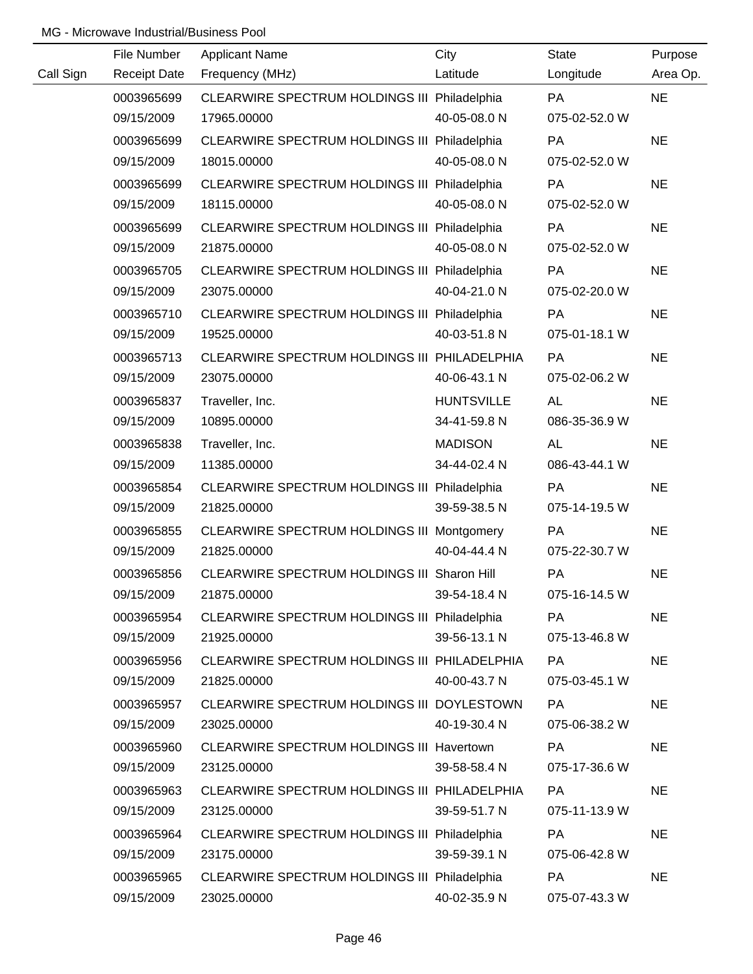|           | File Number         | <b>Applicant Name</b>                        | City              | <b>State</b>  | Purpose   |
|-----------|---------------------|----------------------------------------------|-------------------|---------------|-----------|
| Call Sign | <b>Receipt Date</b> | Frequency (MHz)                              | Latitude          | Longitude     | Area Op.  |
|           | 0003965699          | CLEARWIRE SPECTRUM HOLDINGS III Philadelphia |                   | PA            | <b>NE</b> |
|           | 09/15/2009          | 17965.00000                                  | 40-05-08.0 N      | 075-02-52.0 W |           |
|           | 0003965699          | CLEARWIRE SPECTRUM HOLDINGS III Philadelphia |                   | PA            | <b>NE</b> |
|           | 09/15/2009          | 18015.00000                                  | 40-05-08.0 N      | 075-02-52.0 W |           |
|           | 0003965699          | CLEARWIRE SPECTRUM HOLDINGS III Philadelphia |                   | PA            | <b>NE</b> |
|           | 09/15/2009          | 18115.00000                                  | 40-05-08.0 N      | 075-02-52.0 W |           |
|           | 0003965699          | CLEARWIRE SPECTRUM HOLDINGS III Philadelphia |                   | PA            | <b>NE</b> |
|           | 09/15/2009          | 21875.00000                                  | 40-05-08.0 N      | 075-02-52.0 W |           |
|           | 0003965705          | CLEARWIRE SPECTRUM HOLDINGS III Philadelphia |                   | PA            | <b>NE</b> |
|           | 09/15/2009          | 23075.00000                                  | 40-04-21.0 N      | 075-02-20.0 W |           |
|           | 0003965710          | CLEARWIRE SPECTRUM HOLDINGS III Philadelphia |                   | PA            | <b>NE</b> |
|           | 09/15/2009          | 19525.00000                                  | 40-03-51.8 N      | 075-01-18.1 W |           |
|           | 0003965713          | CLEARWIRE SPECTRUM HOLDINGS III PHILADELPHIA |                   | <b>PA</b>     | <b>NE</b> |
|           | 09/15/2009          | 23075.00000                                  | 40-06-43.1 N      | 075-02-06.2 W |           |
|           | 0003965837          | Traveller, Inc.                              | <b>HUNTSVILLE</b> | <b>AL</b>     | <b>NE</b> |
|           | 09/15/2009          | 10895.00000                                  | 34-41-59.8 N      | 086-35-36.9 W |           |
|           | 0003965838          | Traveller, Inc.                              | <b>MADISON</b>    | <b>AL</b>     | <b>NE</b> |
|           | 09/15/2009          | 11385.00000                                  | 34-44-02.4 N      | 086-43-44.1 W |           |
|           | 0003965854          | CLEARWIRE SPECTRUM HOLDINGS III Philadelphia |                   | PA            | <b>NE</b> |
|           | 09/15/2009          | 21825.00000                                  | 39-59-38.5 N      | 075-14-19.5 W |           |
|           | 0003965855          | CLEARWIRE SPECTRUM HOLDINGS III Montgomery   |                   | PA            | <b>NE</b> |
|           | 09/15/2009          | 21825.00000                                  | 40-04-44.4 N      | 075-22-30.7 W |           |
|           | 0003965856          | CLEARWIRE SPECTRUM HOLDINGS III Sharon Hill  |                   | PA            | <b>NE</b> |
|           | 09/15/2009          | 21875.00000                                  | 39-54-18.4 N      | 075-16-14.5 W |           |
|           | 0003965954          | CLEARWIRE SPECTRUM HOLDINGS III Philadelphia |                   | <b>PA</b>     | <b>NE</b> |
|           | 09/15/2009          | 21925.00000                                  | 39-56-13.1 N      | 075-13-46.8 W |           |
|           | 0003965956          | CLEARWIRE SPECTRUM HOLDINGS III PHILADELPHIA |                   | PA            | <b>NE</b> |
|           | 09/15/2009          | 21825.00000                                  | 40-00-43.7 N      | 075-03-45.1 W |           |
|           | 0003965957          | CLEARWIRE SPECTRUM HOLDINGS III DOYLESTOWN   |                   | PA            | <b>NE</b> |
|           | 09/15/2009          | 23025.00000                                  | 40-19-30.4 N      | 075-06-38.2 W |           |
|           | 0003965960          | CLEARWIRE SPECTRUM HOLDINGS III Havertown    |                   | PA            | <b>NE</b> |
|           | 09/15/2009          | 23125.00000                                  | 39-58-58.4 N      | 075-17-36.6 W |           |
|           | 0003965963          | CLEARWIRE SPECTRUM HOLDINGS III PHILADELPHIA |                   | PA            | <b>NE</b> |
|           | 09/15/2009          | 23125.00000                                  | 39-59-51.7 N      | 075-11-13.9 W |           |
|           | 0003965964          | CLEARWIRE SPECTRUM HOLDINGS III Philadelphia |                   | PA            | <b>NE</b> |
|           | 09/15/2009          | 23175.00000                                  | 39-59-39.1 N      | 075-06-42.8 W |           |
|           | 0003965965          | CLEARWIRE SPECTRUM HOLDINGS III Philadelphia |                   | PA            | <b>NE</b> |
|           | 09/15/2009          | 23025.00000                                  | 40-02-35.9 N      | 075-07-43.3 W |           |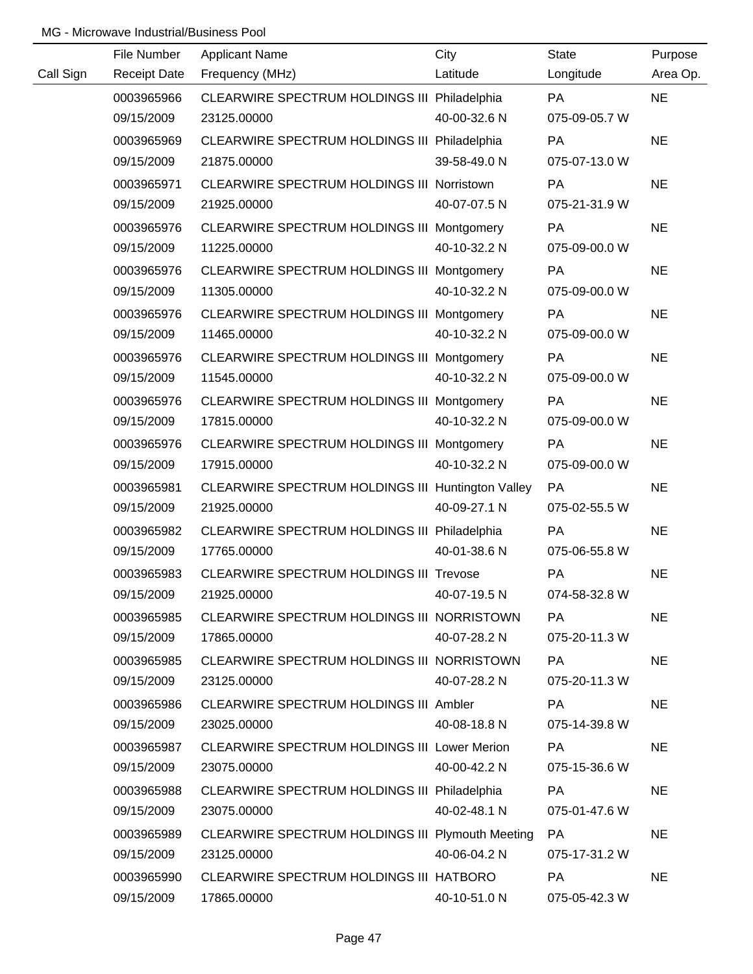|           | File Number         | <b>Applicant Name</b>                               | City         | <b>State</b>  | Purpose   |
|-----------|---------------------|-----------------------------------------------------|--------------|---------------|-----------|
| Call Sign | <b>Receipt Date</b> | Frequency (MHz)                                     | Latitude     | Longitude     | Area Op.  |
|           | 0003965966          | CLEARWIRE SPECTRUM HOLDINGS III Philadelphia        |              | PA            | <b>NE</b> |
|           | 09/15/2009          | 23125.00000                                         | 40-00-32.6 N | 075-09-05.7 W |           |
|           | 0003965969          | CLEARWIRE SPECTRUM HOLDINGS III Philadelphia        |              | <b>PA</b>     | <b>NE</b> |
|           | 09/15/2009          | 21875.00000                                         | 39-58-49.0 N | 075-07-13.0 W |           |
|           | 0003965971          | CLEARWIRE SPECTRUM HOLDINGS III Norristown          |              | <b>PA</b>     | <b>NE</b> |
|           | 09/15/2009          | 21925.00000                                         | 40-07-07.5 N | 075-21-31.9 W |           |
|           | 0003965976          | CLEARWIRE SPECTRUM HOLDINGS III Montgomery          |              | PA            | <b>NE</b> |
|           | 09/15/2009          | 11225.00000                                         | 40-10-32.2 N | 075-09-00.0 W |           |
|           | 0003965976          | CLEARWIRE SPECTRUM HOLDINGS III Montgomery          |              | <b>PA</b>     | <b>NE</b> |
|           | 09/15/2009          | 11305.00000                                         | 40-10-32.2 N | 075-09-00.0 W |           |
|           | 0003965976          | CLEARWIRE SPECTRUM HOLDINGS III Montgomery          |              | PA            | <b>NE</b> |
|           | 09/15/2009          | 11465.00000                                         | 40-10-32.2 N | 075-09-00.0 W |           |
|           | 0003965976          | CLEARWIRE SPECTRUM HOLDINGS III Montgomery          |              | <b>PA</b>     | <b>NE</b> |
|           | 09/15/2009          | 11545.00000                                         | 40-10-32.2 N | 075-09-00.0 W |           |
|           | 0003965976          | CLEARWIRE SPECTRUM HOLDINGS III Montgomery          |              | PA            | <b>NE</b> |
|           | 09/15/2009          | 17815.00000                                         | 40-10-32.2 N | 075-09-00.0 W |           |
|           | 0003965976          | CLEARWIRE SPECTRUM HOLDINGS III Montgomery          |              | PA            | <b>NE</b> |
|           | 09/15/2009          | 17915.00000                                         | 40-10-32.2 N | 075-09-00.0 W |           |
|           | 0003965981          | CLEARWIRE SPECTRUM HOLDINGS III Huntington Valley   |              | PA            | <b>NE</b> |
|           | 09/15/2009          | 21925.00000                                         | 40-09-27.1 N | 075-02-55.5 W |           |
|           | 0003965982          | CLEARWIRE SPECTRUM HOLDINGS III Philadelphia        |              | PA            | <b>NE</b> |
|           | 09/15/2009          | 17765.00000                                         | 40-01-38.6 N | 075-06-55.8 W |           |
|           | 0003965983          | <b>CLEARWIRE SPECTRUM HOLDINGS III Trevose</b>      |              | PA            | <b>NE</b> |
|           | 09/15/2009          | 21925.00000                                         | 40-07-19.5 N | 074-58-32.8 W |           |
|           | 0003965985          | CLEARWIRE SPECTRUM HOLDINGS III NORRISTOWN          |              | PA            | <b>NE</b> |
|           | 09/15/2009          | 17865.00000                                         | 40-07-28.2 N | 075-20-11.3 W |           |
|           | 0003965985          | CLEARWIRE SPECTRUM HOLDINGS III NORRISTOWN          |              | PA            | <b>NE</b> |
|           | 09/15/2009          | 23125.00000                                         | 40-07-28.2 N | 075-20-11.3 W |           |
|           | 0003965986          | <b>CLEARWIRE SPECTRUM HOLDINGS III Ambler</b>       |              | PA            | <b>NE</b> |
|           | 09/15/2009          | 23025.00000                                         | 40-08-18.8 N | 075-14-39.8 W |           |
|           | 0003965987          | <b>CLEARWIRE SPECTRUM HOLDINGS III Lower Merion</b> |              | PA            | <b>NE</b> |
|           | 09/15/2009          | 23075.00000                                         | 40-00-42.2 N | 075-15-36.6 W |           |
|           | 0003965988          | CLEARWIRE SPECTRUM HOLDINGS III Philadelphia        |              | <b>PA</b>     | <b>NE</b> |
|           | 09/15/2009          | 23075.00000                                         | 40-02-48.1 N | 075-01-47.6 W |           |
|           | 0003965989          | CLEARWIRE SPECTRUM HOLDINGS III Plymouth Meeting    |              | <b>PA</b>     | <b>NE</b> |
|           | 09/15/2009          | 23125.00000                                         | 40-06-04.2 N | 075-17-31.2 W |           |
|           | 0003965990          | CLEARWIRE SPECTRUM HOLDINGS III HATBORO             |              | PA            | <b>NE</b> |
|           | 09/15/2009          | 17865.00000                                         | 40-10-51.0 N | 075-05-42.3 W |           |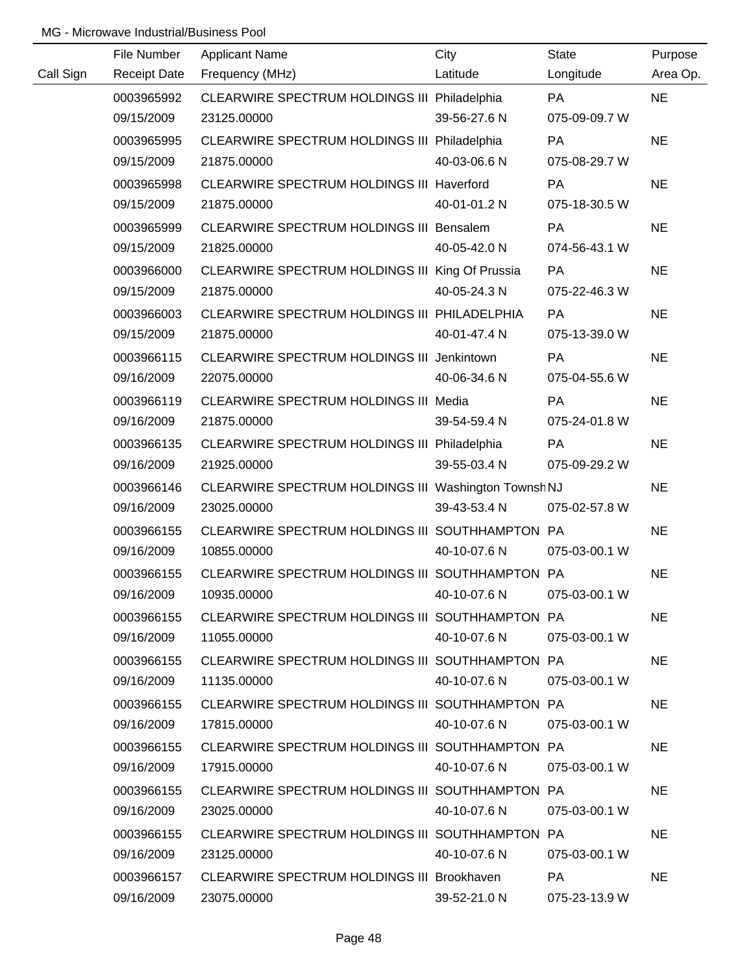|           | File Number              | <b>Applicant Name</b>                                    | City         | <b>State</b>               | Purpose   |
|-----------|--------------------------|----------------------------------------------------------|--------------|----------------------------|-----------|
| Call Sign | <b>Receipt Date</b>      | Frequency (MHz)                                          | Latitude     | Longitude                  | Area Op.  |
|           | 0003965992               | CLEARWIRE SPECTRUM HOLDINGS III Philadelphia             |              | <b>PA</b>                  | <b>NE</b> |
|           | 09/15/2009               | 23125.00000                                              | 39-56-27.6 N | 075-09-09.7 W              |           |
|           | 0003965995               | CLEARWIRE SPECTRUM HOLDINGS III Philadelphia             |              | PA                         | <b>NE</b> |
|           | 09/15/2009               | 21875.00000                                              | 40-03-06.6 N | 075-08-29.7 W              |           |
|           |                          |                                                          |              | <b>PA</b>                  | <b>NE</b> |
|           | 0003965998<br>09/15/2009 | CLEARWIRE SPECTRUM HOLDINGS III Haverford<br>21875.00000 | 40-01-01.2 N | 075-18-30.5 W              |           |
|           |                          |                                                          |              |                            |           |
|           | 0003965999<br>09/15/2009 | CLEARWIRE SPECTRUM HOLDINGS III Bensalem<br>21825.00000  | 40-05-42.0 N | <b>PA</b><br>074-56-43.1 W | <b>NE</b> |
|           |                          |                                                          |              |                            |           |
|           | 0003966000               | CLEARWIRE SPECTRUM HOLDINGS III King Of Prussia          |              | <b>PA</b>                  | <b>NE</b> |
|           | 09/15/2009               | 21875.00000                                              | 40-05-24.3 N | 075-22-46.3 W              |           |
|           | 0003966003               | CLEARWIRE SPECTRUM HOLDINGS III PHILADELPHIA             |              | PA                         | <b>NE</b> |
|           | 09/15/2009               | 21875.00000                                              | 40-01-47.4 N | 075-13-39.0 W              |           |
|           | 0003966115               | CLEARWIRE SPECTRUM HOLDINGS III Jenkintown               |              | <b>PA</b>                  | <b>NE</b> |
|           | 09/16/2009               | 22075.00000                                              | 40-06-34.6 N | 075-04-55.6 W              |           |
|           | 0003966119               | CLEARWIRE SPECTRUM HOLDINGS III Media                    |              | <b>PA</b>                  | <b>NE</b> |
|           | 09/16/2009               | 21875.00000                                              | 39-54-59.4 N | 075-24-01.8 W              |           |
|           | 0003966135               | CLEARWIRE SPECTRUM HOLDINGS III Philadelphia             |              | <b>PA</b>                  | <b>NE</b> |
|           | 09/16/2009               | 21925.00000                                              | 39-55-03.4 N | 075-09-29.2 W              |           |
|           | 0003966146               | CLEARWIRE SPECTRUM HOLDINGS III Washington Townsh NJ     |              |                            | <b>NE</b> |
|           | 09/16/2009               | 23025.00000                                              | 39-43-53.4 N | 075-02-57.8 W              |           |
|           | 0003966155               | CLEARWIRE SPECTRUM HOLDINGS III SOUTHHAMPTON PA          |              |                            | <b>NE</b> |
|           | 09/16/2009               | 10855.00000                                              | 40-10-07.6 N | 075-03-00.1 W              |           |
|           | 0003966155               | CLEARWIRE SPECTRUM HOLDINGS III SOUTHHAMPTON PA          |              |                            | <b>NE</b> |
|           | 09/16/2009               | 10935.00000                                              | 40-10-07.6 N | 075-03-00.1 W              |           |
|           | 0003966155               | CLEARWIRE SPECTRUM HOLDINGS III SOUTHHAMPTON PA          |              |                            | <b>NE</b> |
|           | 09/16/2009               | 11055.00000                                              | 40-10-07.6 N | 075-03-00.1 W              |           |
|           | 0003966155               | CLEARWIRE SPECTRUM HOLDINGS III SOUTHHAMPTON PA          |              |                            | NE.       |
|           | 09/16/2009               | 11135.00000                                              | 40-10-07.6 N | 075-03-00.1 W              |           |
|           | 0003966155               | CLEARWIRE SPECTRUM HOLDINGS III SOUTHHAMPTON PA          |              |                            | <b>NE</b> |
|           | 09/16/2009               | 17815.00000                                              | 40-10-07.6 N | 075-03-00.1 W              |           |
|           | 0003966155               | CLEARWIRE SPECTRUM HOLDINGS III SOUTHHAMPTON PA          |              |                            | <b>NE</b> |
|           | 09/16/2009               | 17915.00000                                              | 40-10-07.6 N | 075-03-00.1 W              |           |
|           | 0003966155               | CLEARWIRE SPECTRUM HOLDINGS III SOUTHHAMPTON PA          |              |                            | <b>NE</b> |
|           | 09/16/2009               | 23025.00000                                              | 40-10-07.6 N | 075-03-00.1 W              |           |
|           | 0003966155               | CLEARWIRE SPECTRUM HOLDINGS III SOUTHHAMPTON PA          |              |                            | <b>NE</b> |
|           | 09/16/2009               | 23125.00000                                              | 40-10-07.6 N | 075-03-00.1 W              |           |
|           | 0003966157               | CLEARWIRE SPECTRUM HOLDINGS III Brookhaven               |              | <b>PA</b>                  | <b>NE</b> |
|           | 09/16/2009               | 23075.00000                                              | 39-52-21.0 N | 075-23-13.9 W              |           |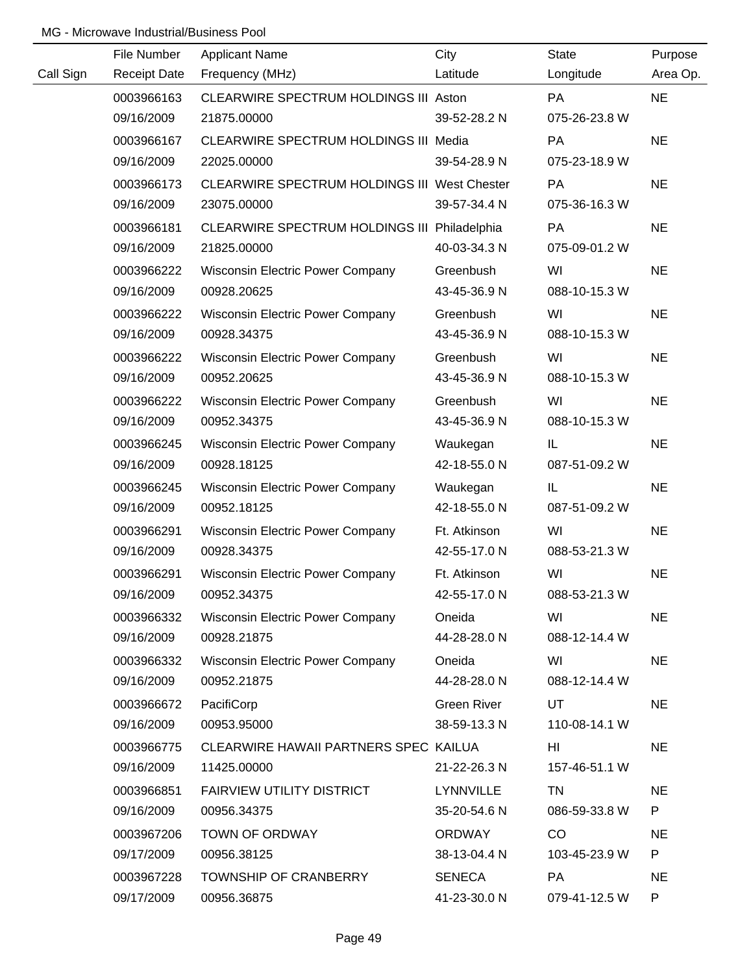|           | File Number         | <b>Applicant Name</b>                        | City               | <b>State</b>  | Purpose   |
|-----------|---------------------|----------------------------------------------|--------------------|---------------|-----------|
| Call Sign | <b>Receipt Date</b> | Frequency (MHz)                              | Latitude           | Longitude     | Area Op.  |
|           | 0003966163          | CLEARWIRE SPECTRUM HOLDINGS III Aston        |                    | <b>PA</b>     | <b>NE</b> |
|           | 09/16/2009          | 21875.00000                                  | 39-52-28.2 N       | 075-26-23.8 W |           |
|           | 0003966167          | CLEARWIRE SPECTRUM HOLDINGS III Media        |                    | <b>PA</b>     | <b>NE</b> |
|           | 09/16/2009          | 22025.00000                                  | 39-54-28.9 N       | 075-23-18.9 W |           |
|           | 0003966173          | CLEARWIRE SPECTRUM HOLDINGS III West Chester |                    | <b>PA</b>     | <b>NE</b> |
|           | 09/16/2009          | 23075.00000                                  | 39-57-34.4 N       | 075-36-16.3 W |           |
|           | 0003966181          | CLEARWIRE SPECTRUM HOLDINGS III Philadelphia |                    | PA            | <b>NE</b> |
|           | 09/16/2009          | 21825.00000                                  | 40-03-34.3 N       | 075-09-01.2 W |           |
|           | 0003966222          | <b>Wisconsin Electric Power Company</b>      | Greenbush          | WI            | <b>NE</b> |
|           | 09/16/2009          | 00928.20625                                  | 43-45-36.9 N       | 088-10-15.3 W |           |
|           | 0003966222          | <b>Wisconsin Electric Power Company</b>      | Greenbush          | WI            | <b>NE</b> |
|           | 09/16/2009          | 00928.34375                                  | 43-45-36.9 N       | 088-10-15.3 W |           |
|           | 0003966222          | <b>Wisconsin Electric Power Company</b>      | Greenbush          | WI            | <b>NE</b> |
|           | 09/16/2009          | 00952.20625                                  | 43-45-36.9 N       | 088-10-15.3 W |           |
|           | 0003966222          | <b>Wisconsin Electric Power Company</b>      | Greenbush          | WI            | <b>NE</b> |
|           | 09/16/2009          | 00952.34375                                  | 43-45-36.9 N       | 088-10-15.3 W |           |
|           | 0003966245          | <b>Wisconsin Electric Power Company</b>      | Waukegan           | IL            | <b>NE</b> |
|           | 09/16/2009          | 00928.18125                                  | 42-18-55.0 N       | 087-51-09.2 W |           |
|           | 0003966245          | <b>Wisconsin Electric Power Company</b>      | Waukegan           | IL            | <b>NE</b> |
|           | 09/16/2009          | 00952.18125                                  | 42-18-55.0 N       | 087-51-09.2 W |           |
|           | 0003966291          | <b>Wisconsin Electric Power Company</b>      | Ft. Atkinson       | WI            | <b>NE</b> |
|           | 09/16/2009          | 00928.34375                                  | 42-55-17.0 N       | 088-53-21.3 W |           |
|           | 0003966291          | <b>Wisconsin Electric Power Company</b>      | Ft. Atkinson       | WI            | <b>NE</b> |
|           | 09/16/2009          | 00952.34375                                  | 42-55-17.0 N       | 088-53-21.3 W |           |
|           | 0003966332          | <b>Wisconsin Electric Power Company</b>      | Oneida             | WI            | <b>NE</b> |
|           | 09/16/2009          | 00928.21875                                  | 44-28-28.0 N       | 088-12-14.4 W |           |
|           | 0003966332          | <b>Wisconsin Electric Power Company</b>      | Oneida             | WI            | <b>NE</b> |
|           | 09/16/2009          | 00952.21875                                  | 44-28-28.0 N       | 088-12-14.4 W |           |
|           | 0003966672          | PacifiCorp                                   | <b>Green River</b> | UT.           | <b>NE</b> |
|           | 09/16/2009          | 00953.95000                                  | 38-59-13.3 N       | 110-08-14.1 W |           |
|           | 0003966775          | CLEARWIRE HAWAII PARTNERS SPEC KAILUA        |                    | HI            | <b>NE</b> |
|           | 09/16/2009          | 11425.00000                                  | 21-22-26.3 N       | 157-46-51.1 W |           |
|           | 0003966851          | <b>FAIRVIEW UTILITY DISTRICT</b>             | <b>LYNNVILLE</b>   | <b>TN</b>     | <b>NE</b> |
|           | 09/16/2009          | 00956.34375                                  | 35-20-54.6 N       | 086-59-33.8 W | P         |
|           | 0003967206          | TOWN OF ORDWAY                               | <b>ORDWAY</b>      | CO            | <b>NE</b> |
|           | 09/17/2009          | 00956.38125                                  | 38-13-04.4 N       | 103-45-23.9 W | P         |
|           | 0003967228          | <b>TOWNSHIP OF CRANBERRY</b>                 | <b>SENECA</b>      | PA            | <b>NE</b> |
|           | 09/17/2009          | 00956.36875                                  | 41-23-30.0 N       | 079-41-12.5 W | P         |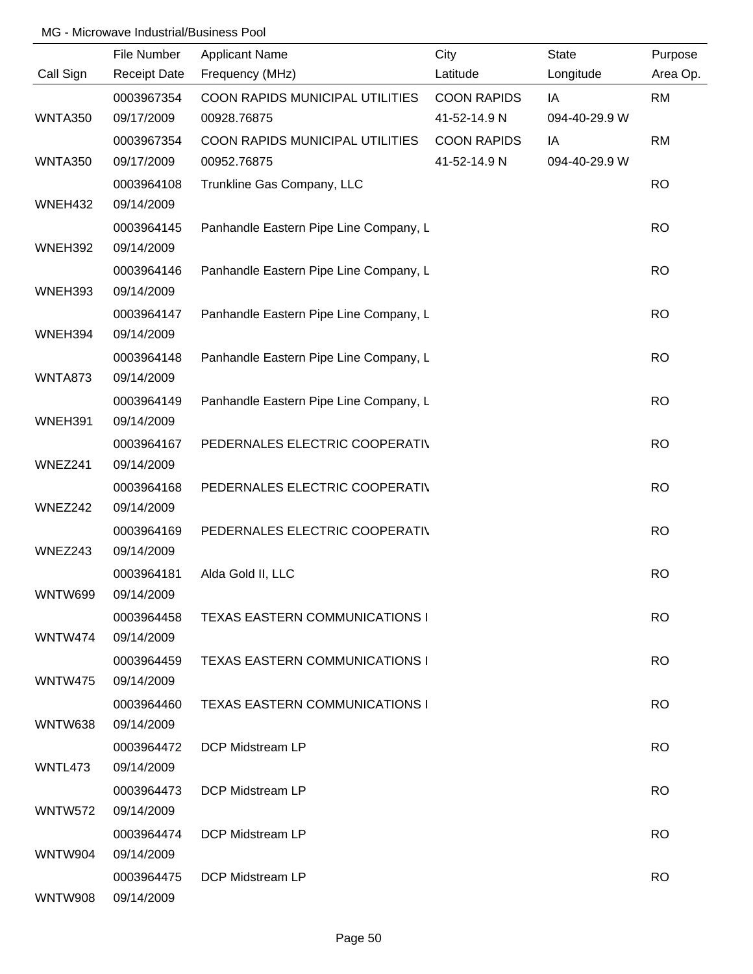|                | File Number         | <b>Applicant Name</b>                  | City               | <b>State</b>  | Purpose   |
|----------------|---------------------|----------------------------------------|--------------------|---------------|-----------|
| Call Sign      | <b>Receipt Date</b> | Frequency (MHz)                        | Latitude           | Longitude     | Area Op.  |
|                | 0003967354          | COON RAPIDS MUNICIPAL UTILITIES        | <b>COON RAPIDS</b> | IA            | <b>RM</b> |
| WNTA350        | 09/17/2009          | 00928.76875                            | 41-52-14.9 N       | 094-40-29.9 W |           |
|                | 0003967354          | COON RAPIDS MUNICIPAL UTILITIES        | <b>COON RAPIDS</b> | IA            | <b>RM</b> |
| WNTA350        | 09/17/2009          | 00952.76875                            | 41-52-14.9 N       | 094-40-29.9 W |           |
|                | 0003964108          | Trunkline Gas Company, LLC             |                    |               | <b>RO</b> |
| WNEH432        | 09/14/2009          |                                        |                    |               |           |
|                | 0003964145          | Panhandle Eastern Pipe Line Company, L |                    |               | <b>RO</b> |
| WNEH392        | 09/14/2009          |                                        |                    |               |           |
|                | 0003964146          | Panhandle Eastern Pipe Line Company, L |                    |               | <b>RO</b> |
| WNEH393        | 09/14/2009          |                                        |                    |               |           |
|                | 0003964147          | Panhandle Eastern Pipe Line Company, L |                    |               | <b>RO</b> |
| WNEH394        | 09/14/2009          |                                        |                    |               |           |
|                | 0003964148          | Panhandle Eastern Pipe Line Company, L |                    |               | <b>RO</b> |
| <b>WNTA873</b> | 09/14/2009          |                                        |                    |               |           |
|                | 0003964149          | Panhandle Eastern Pipe Line Company, L |                    |               | <b>RO</b> |
| WNEH391        | 09/14/2009          |                                        |                    |               |           |
|                | 0003964167          | PEDERNALES ELECTRIC COOPERATIV         |                    |               | <b>RO</b> |
| WNEZ241        | 09/14/2009          |                                        |                    |               |           |
|                | 0003964168          | PEDERNALES ELECTRIC COOPERATIV         |                    |               | <b>RO</b> |
| WNEZ242        | 09/14/2009          |                                        |                    |               |           |
|                | 0003964169          | PEDERNALES ELECTRIC COOPERATIV         |                    |               | <b>RO</b> |
| WNEZ243        | 09/14/2009          |                                        |                    |               |           |
|                | 0003964181          | Alda Gold II, LLC                      |                    |               | <b>RO</b> |
| WNTW699        | 09/14/2009          |                                        |                    |               |           |
|                | 0003964458          | <b>TEXAS EASTERN COMMUNICATIONS I</b>  |                    |               | <b>RO</b> |
| WNTW474        | 09/14/2009          |                                        |                    |               |           |
|                | 0003964459          | <b>TEXAS EASTERN COMMUNICATIONS I</b>  |                    |               | <b>RO</b> |
| WNTW475        | 09/14/2009          |                                        |                    |               |           |
|                | 0003964460          | <b>TEXAS EASTERN COMMUNICATIONS I</b>  |                    |               | <b>RO</b> |
| WNTW638        | 09/14/2009          |                                        |                    |               |           |
|                | 0003964472          | <b>DCP Midstream LP</b>                |                    |               | <b>RO</b> |
| WNTL473        | 09/14/2009          |                                        |                    |               |           |
|                | 0003964473          | DCP Midstream LP                       |                    |               | <b>RO</b> |
| <b>WNTW572</b> | 09/14/2009          |                                        |                    |               |           |
|                | 0003964474          | DCP Midstream LP                       |                    |               | <b>RO</b> |
| WNTW904        | 09/14/2009          |                                        |                    |               |           |
|                | 0003964475          | DCP Midstream LP                       |                    |               | <b>RO</b> |
| <b>WNTW908</b> | 09/14/2009          |                                        |                    |               |           |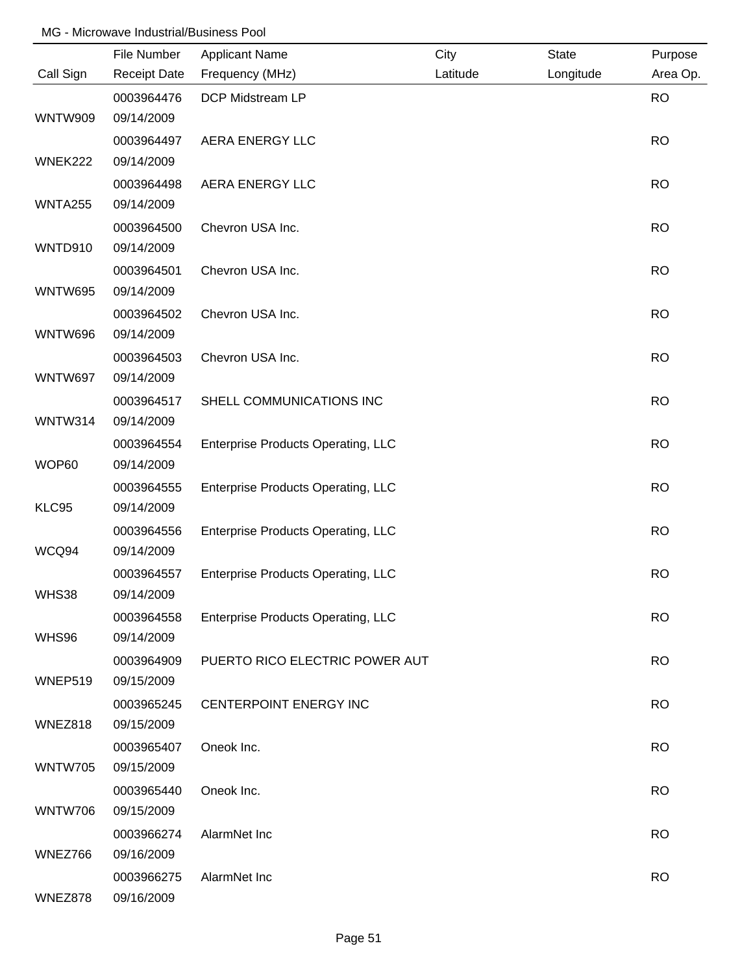|                | File Number              | <b>Applicant Name</b>                     | City     | <b>State</b> | Purpose   |
|----------------|--------------------------|-------------------------------------------|----------|--------------|-----------|
| Call Sign      | <b>Receipt Date</b>      | Frequency (MHz)                           | Latitude | Longitude    | Area Op.  |
|                | 0003964476               | DCP Midstream LP                          |          |              | <b>RO</b> |
| WNTW909        | 09/14/2009               |                                           |          |              |           |
|                | 0003964497               | AERA ENERGY LLC                           |          |              | <b>RO</b> |
| WNEK222        | 09/14/2009               |                                           |          |              |           |
|                | 0003964498               | <b>AERA ENERGY LLC</b>                    |          |              | <b>RO</b> |
| WNTA255        | 09/14/2009               |                                           |          |              |           |
|                | 0003964500               | Chevron USA Inc.                          |          |              | <b>RO</b> |
| WNTD910        | 09/14/2009               |                                           |          |              |           |
|                | 0003964501               | Chevron USA Inc.                          |          |              | <b>RO</b> |
| <b>WNTW695</b> | 09/14/2009               |                                           |          |              |           |
| <b>WNTW696</b> | 0003964502<br>09/14/2009 | Chevron USA Inc.                          |          |              | <b>RO</b> |
|                | 0003964503               | Chevron USA Inc.                          |          |              | <b>RO</b> |
| WNTW697        | 09/14/2009               |                                           |          |              |           |
|                | 0003964517               | SHELL COMMUNICATIONS INC                  |          |              | <b>RO</b> |
| <b>WNTW314</b> | 09/14/2009               |                                           |          |              |           |
|                | 0003964554               | <b>Enterprise Products Operating, LLC</b> |          |              | <b>RO</b> |
| WOP60          | 09/14/2009               |                                           |          |              |           |
|                | 0003964555               | <b>Enterprise Products Operating, LLC</b> |          |              | <b>RO</b> |
| KLC95          | 09/14/2009               |                                           |          |              |           |
|                | 0003964556               | <b>Enterprise Products Operating, LLC</b> |          |              | <b>RO</b> |
| WCQ94          | 09/14/2009               |                                           |          |              |           |
|                | 0003964557               | <b>Enterprise Products Operating, LLC</b> |          |              | <b>RO</b> |
| WHS38          | 09/14/2009               |                                           |          |              |           |
|                | 0003964558               | <b>Enterprise Products Operating, LLC</b> |          |              | <b>RO</b> |
| WHS96          | 09/14/2009               |                                           |          |              |           |
|                | 0003964909               | PUERTO RICO ELECTRIC POWER AUT            |          |              | <b>RO</b> |
| WNEP519        | 09/15/2009               |                                           |          |              |           |
|                | 0003965245               | CENTERPOINT ENERGY INC                    |          |              | <b>RO</b> |
| WNEZ818        | 09/15/2009               |                                           |          |              |           |
|                | 0003965407               | Oneok Inc.                                |          |              | <b>RO</b> |
| <b>WNTW705</b> | 09/15/2009               |                                           |          |              |           |
|                | 0003965440               | Oneok Inc.                                |          |              | <b>RO</b> |
| <b>WNTW706</b> | 09/15/2009               |                                           |          |              |           |
|                | 0003966274               | AlarmNet Inc                              |          |              | <b>RO</b> |
| WNEZ766        | 09/16/2009               |                                           |          |              |           |
|                | 0003966275               | AlarmNet Inc                              |          |              | <b>RO</b> |
| WNEZ878        | 09/16/2009               |                                           |          |              |           |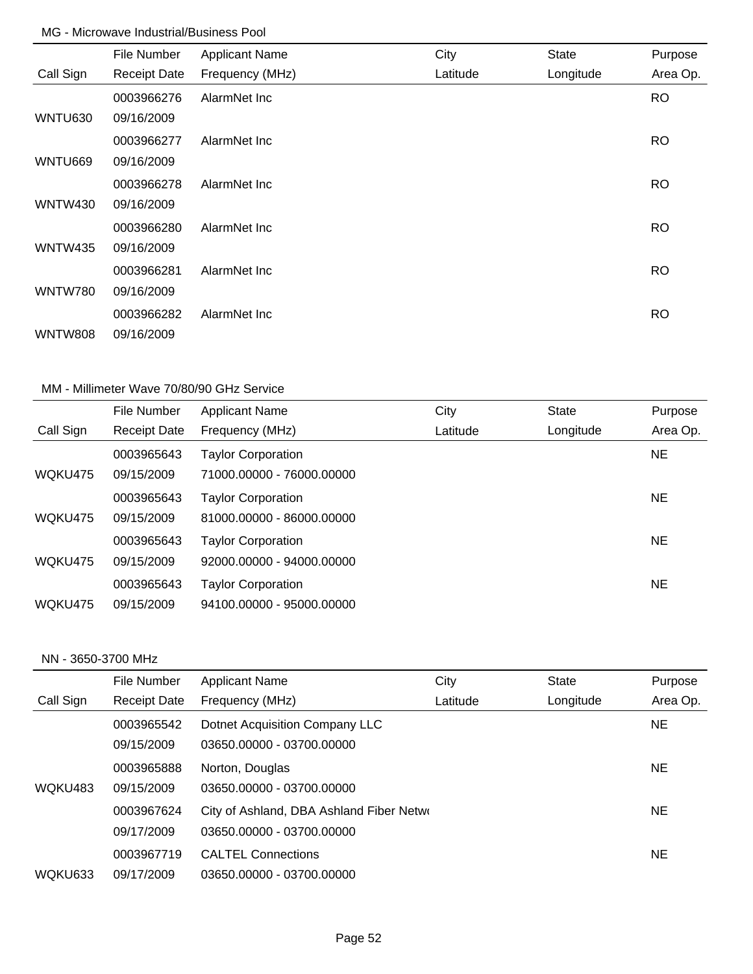|                | File Number         | <b>Applicant Name</b> | City     | <b>State</b> | Purpose   |
|----------------|---------------------|-----------------------|----------|--------------|-----------|
| Call Sign      | <b>Receipt Date</b> | Frequency (MHz)       | Latitude | Longitude    | Area Op.  |
|                | 0003966276          | AlarmNet Inc          |          |              | <b>RO</b> |
| WNTU630        | 09/16/2009          |                       |          |              |           |
|                | 0003966277          | AlarmNet Inc          |          |              | <b>RO</b> |
| WNTU669        | 09/16/2009          |                       |          |              |           |
|                | 0003966278          | AlarmNet Inc.         |          |              | <b>RO</b> |
| <b>WNTW430</b> | 09/16/2009          |                       |          |              |           |
|                | 0003966280          | AlarmNet Inc          |          |              | <b>RO</b> |
| <b>WNTW435</b> | 09/16/2009          |                       |          |              |           |
|                | 0003966281          | AlarmNet Inc          |          |              | <b>RO</b> |
| <b>WNTW780</b> | 09/16/2009          |                       |          |              |           |
|                | 0003966282          | AlarmNet Inc          |          |              | <b>RO</b> |
| <b>WNTW808</b> | 09/16/2009          |                       |          |              |           |

### MM - Millimeter Wave 70/80/90 GHz Service

|           | File Number         | <b>Applicant Name</b>     | City     | <b>State</b> | Purpose   |
|-----------|---------------------|---------------------------|----------|--------------|-----------|
| Call Sign | <b>Receipt Date</b> | Frequency (MHz)           | Latitude | Longitude    | Area Op.  |
|           | 0003965643          | <b>Taylor Corporation</b> |          |              | <b>NE</b> |
| WQKU475   | 09/15/2009          | 71000.00000 - 76000.00000 |          |              |           |
|           | 0003965643          | <b>Taylor Corporation</b> |          |              | <b>NE</b> |
| WQKU475   | 09/15/2009          | 81000.00000 - 86000.00000 |          |              |           |
|           | 0003965643          | <b>Taylor Corporation</b> |          |              | <b>NE</b> |
| WQKU475   | 09/15/2009          | 92000.00000 - 94000.00000 |          |              |           |
|           | 0003965643          | <b>Taylor Corporation</b> |          |              | <b>NE</b> |
| WQKU475   | 09/15/2009          | 94100.00000 - 95000.00000 |          |              |           |

#### NN - 3650-3700 MHz

|           | File Number         | <b>Applicant Name</b>                    | City     | <b>State</b> | Purpose   |
|-----------|---------------------|------------------------------------------|----------|--------------|-----------|
| Call Sign | <b>Receipt Date</b> | Frequency (MHz)                          | Latitude | Longitude    | Area Op.  |
|           | 0003965542          | Dotnet Acquisition Company LLC           |          |              | NE.       |
|           | 09/15/2009          | 03650.00000 - 03700.00000                |          |              |           |
|           | 0003965888          | Norton, Douglas                          |          |              | NE.       |
| WQKU483   | 09/15/2009          | 03650.00000 - 03700.00000                |          |              |           |
|           | 0003967624          | City of Ashland, DBA Ashland Fiber Netwo |          |              | NE.       |
|           | 09/17/2009          | 03650.00000 - 03700.00000                |          |              |           |
|           | 0003967719          | <b>CALTEL Connections</b>                |          |              | <b>NE</b> |
| WQKU633   | 09/17/2009          | 03650.00000 - 03700.00000                |          |              |           |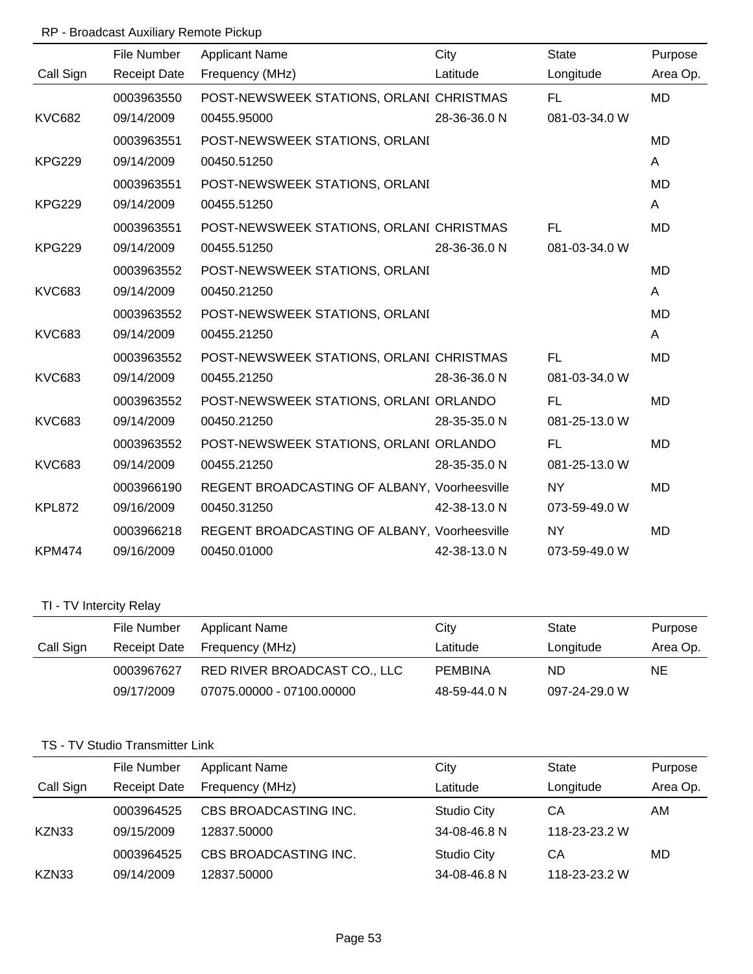## RP - Broadcast Auxiliary Remote Pickup

|               | File Number         | <b>Applicant Name</b>                        | City         | <b>State</b>  | Purpose   |
|---------------|---------------------|----------------------------------------------|--------------|---------------|-----------|
| Call Sign     | <b>Receipt Date</b> | Frequency (MHz)                              | Latitude     | Longitude     | Area Op.  |
|               | 0003963550          | POST-NEWSWEEK STATIONS, ORLANI CHRISTMAS     |              | FL.           | <b>MD</b> |
| <b>KVC682</b> | 09/14/2009          | 00455.95000                                  | 28-36-36.0 N | 081-03-34.0 W |           |
|               | 0003963551          | POST-NEWSWEEK STATIONS, ORLANI               |              |               | MD        |
| <b>KPG229</b> | 09/14/2009          | 00450.51250                                  |              |               | A         |
|               | 0003963551          | POST-NEWSWEEK STATIONS, ORLANI               |              |               | MD        |
| <b>KPG229</b> | 09/14/2009          | 00455.51250                                  |              |               | A         |
|               | 0003963551          | POST-NEWSWEEK STATIONS, ORLANI CHRISTMAS     |              | FL            | <b>MD</b> |
| <b>KPG229</b> | 09/14/2009          | 00455.51250                                  | 28-36-36.0 N | 081-03-34.0 W |           |
|               | 0003963552          | POST-NEWSWEEK STATIONS, ORLANI               |              |               | MD        |
| <b>KVC683</b> | 09/14/2009          | 00450.21250                                  |              |               | A         |
|               | 0003963552          | POST-NEWSWEEK STATIONS, ORLANI               |              |               | <b>MD</b> |
| <b>KVC683</b> | 09/14/2009          | 00455.21250                                  |              |               | A         |
|               | 0003963552          | POST-NEWSWEEK STATIONS, ORLANI CHRISTMAS     |              | FL.           | <b>MD</b> |
| <b>KVC683</b> | 09/14/2009          | 00455.21250                                  | 28-36-36.0 N | 081-03-34.0 W |           |
|               | 0003963552          | POST-NEWSWEEK STATIONS, ORLANI ORLANDO       |              | FL            | <b>MD</b> |
| <b>KVC683</b> | 09/14/2009          | 00450.21250                                  | 28-35-35.0 N | 081-25-13.0 W |           |
|               | 0003963552          | POST-NEWSWEEK STATIONS, ORLANI ORLANDO       |              | FL.           | <b>MD</b> |
| <b>KVC683</b> | 09/14/2009          | 00455.21250                                  | 28-35-35.0 N | 081-25-13.0 W |           |
|               | 0003966190          | REGENT BROADCASTING OF ALBANY, Voorheesville |              | <b>NY</b>     | <b>MD</b> |
| <b>KPL872</b> | 09/16/2009          | 00450.31250                                  | 42-38-13.0 N | 073-59-49.0 W |           |
|               | 0003966218          | REGENT BROADCASTING OF ALBANY, Voorheesville |              | <b>NY</b>     | <b>MD</b> |
| <b>KPM474</b> | 09/16/2009          | 00450.01000                                  | 42-38-13.0 N | 073-59-49.0 W |           |

# TI - TV Intercity Relay

|           | File Number  | Applicant Name               | City         | State         | Purpose  |
|-----------|--------------|------------------------------|--------------|---------------|----------|
| Call Sign | Receipt Date | Frequency (MHz)              | Latitude     | Longitude     | Area Op. |
|           | 0003967627   | RED RIVER BROADCAST CO., LLC | PEMBINA      | ND.           | NE.      |
|           | 09/17/2009   | 07075.00000 - 07100.00000    | 48-59-44.0 N | 097-24-29.0 W |          |

## TS - TV Studio Transmitter Link

|           | File Number         | <b>Applicant Name</b> | City               | <b>State</b>  | Purpose  |
|-----------|---------------------|-----------------------|--------------------|---------------|----------|
| Call Sign | <b>Receipt Date</b> | Frequency (MHz)       | Latitude           | Longitude     | Area Op. |
|           | 0003964525          | CBS BROADCASTING INC. | <b>Studio City</b> | CА            | AM       |
| KZN33     | 09/15/2009          | 12837.50000           | 34-08-46.8 N       | 118-23-23.2 W |          |
|           | 0003964525          | CBS BROADCASTING INC. | <b>Studio City</b> | СA            | MD       |
| KZN33     | 09/14/2009          | 12837.50000           | 34-08-46.8 N       | 118-23-23.2 W |          |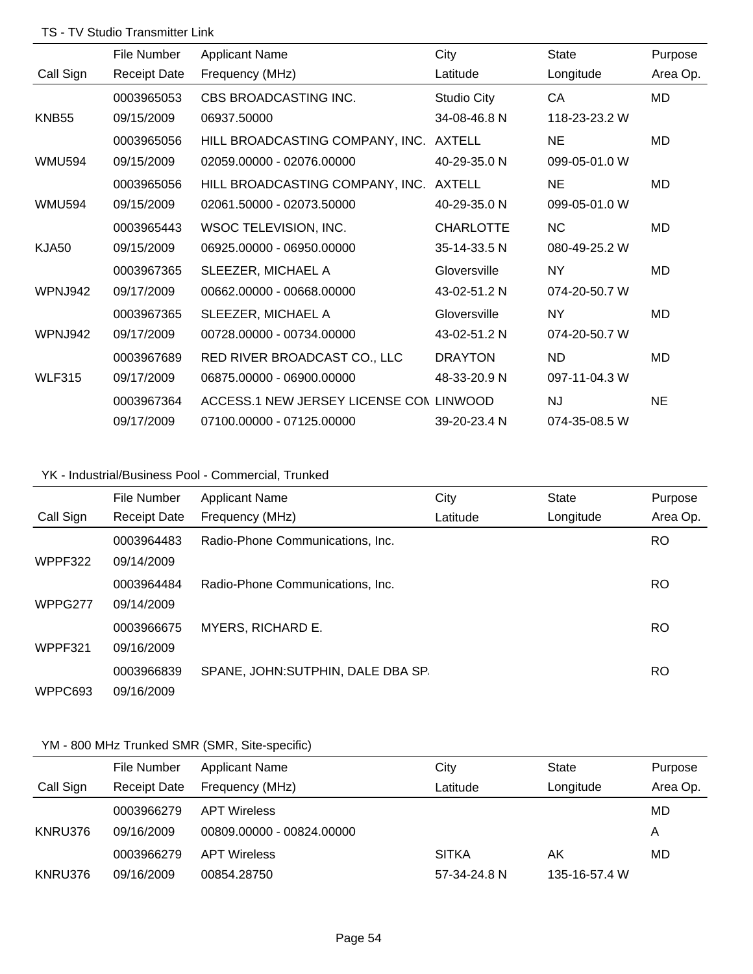#### TS - TV Studio Transmitter Link

|                   | File Number         | <b>Applicant Name</b>                   | City               | State         | Purpose  |
|-------------------|---------------------|-----------------------------------------|--------------------|---------------|----------|
| Call Sign         | <b>Receipt Date</b> | Frequency (MHz)                         | Latitude           | Longitude     | Area Op. |
|                   | 0003965053          | CBS BROADCASTING INC.                   | <b>Studio City</b> | CA            | MD       |
| KNB <sub>55</sub> | 09/15/2009          | 06937.50000                             | 34-08-46.8 N       | 118-23-23.2 W |          |
|                   | 0003965056          | HILL BROADCASTING COMPANY, INC.         | <b>AXTELL</b>      | <b>NE</b>     | MD       |
| <b>WMU594</b>     | 09/15/2009          | 02059.00000 - 02076.00000               | 40-29-35.0 N       | 099-05-01.0 W |          |
|                   | 0003965056          | HILL BROADCASTING COMPANY, INC.         | <b>AXTELL</b>      | <b>NE</b>     | MD       |
| <b>WMU594</b>     | 09/15/2009          | 02061.50000 - 02073.50000               | 40-29-35.0 N       | 099-05-01.0 W |          |
|                   | 0003965443          | WSOC TELEVISION, INC.                   | <b>CHARLOTTE</b>   | <b>NC</b>     | MD       |
| KJA50             | 09/15/2009          | 06925.00000 - 06950.00000               | 35-14-33.5 N       | 080-49-25.2 W |          |
|                   | 0003967365          | SLEEZER, MICHAEL A                      | Gloversville       | NY.           | MD       |
| WPNJ942           | 09/17/2009          | 00662.00000 - 00668.00000               | 43-02-51.2 N       | 074-20-50.7 W |          |
|                   | 0003967365          | SLEEZER, MICHAEL A                      | Gloversville       | NY.           | MD       |
| WPNJ942           | 09/17/2009          | 00728.00000 - 00734.00000               | 43-02-51.2 N       | 074-20-50.7 W |          |
|                   | 0003967689          | RED RIVER BROADCAST CO., LLC            | <b>DRAYTON</b>     | <b>ND</b>     | MD       |
| <b>WLF315</b>     | 09/17/2009          | 06875.00000 - 06900.00000               | 48-33-20.9 N       | 097-11-04.3 W |          |
|                   | 0003967364          | ACCESS.1 NEW JERSEY LICENSE CON LINWOOD |                    | NJ.           | NE.      |
|                   | 09/17/2009          | 07100.00000 - 07125.00000               | 39-20-23.4 N       | 074-35-08.5 W |          |

# YK - Industrial/Business Pool - Commercial, Trunked

|           | File Number         | <b>Applicant Name</b>              | City     | <b>State</b> | Purpose   |
|-----------|---------------------|------------------------------------|----------|--------------|-----------|
| Call Sign | <b>Receipt Date</b> | Frequency (MHz)                    | Latitude | Longitude    | Area Op.  |
|           | 0003964483          | Radio-Phone Communications, Inc.   |          |              | <b>RO</b> |
| WPPF322   | 09/14/2009          |                                    |          |              |           |
|           | 0003964484          | Radio-Phone Communications, Inc.   |          |              | <b>RO</b> |
| WPPG277   | 09/14/2009          |                                    |          |              |           |
|           | 0003966675          | <b>MYERS, RICHARD E.</b>           |          |              | <b>RO</b> |
| WPPF321   | 09/16/2009          |                                    |          |              |           |
|           | 0003966839          | SPANE, JOHN: SUTPHIN, DALE DBA SP. |          |              | RO.       |
| WPPC693   | 09/16/2009          |                                    |          |              |           |

# YM - 800 MHz Trunked SMR (SMR, Site-specific)

|           | File Number         | <b>Applicant Name</b>     | City         | <b>State</b>  | Purpose  |
|-----------|---------------------|---------------------------|--------------|---------------|----------|
| Call Sign | <b>Receipt Date</b> | Frequency (MHz)           | Latitude     | Longitude     | Area Op. |
|           | 0003966279          | <b>APT Wireless</b>       |              |               | MD       |
| KNRU376   | 09/16/2009          | 00809.00000 - 00824.00000 |              |               | Α        |
|           | 0003966279          | <b>APT Wireless</b>       | <b>SITKA</b> | ΑK            | MD       |
| KNRU376   | 09/16/2009          | 00854.28750               | 57-34-24.8 N | 135-16-57.4 W |          |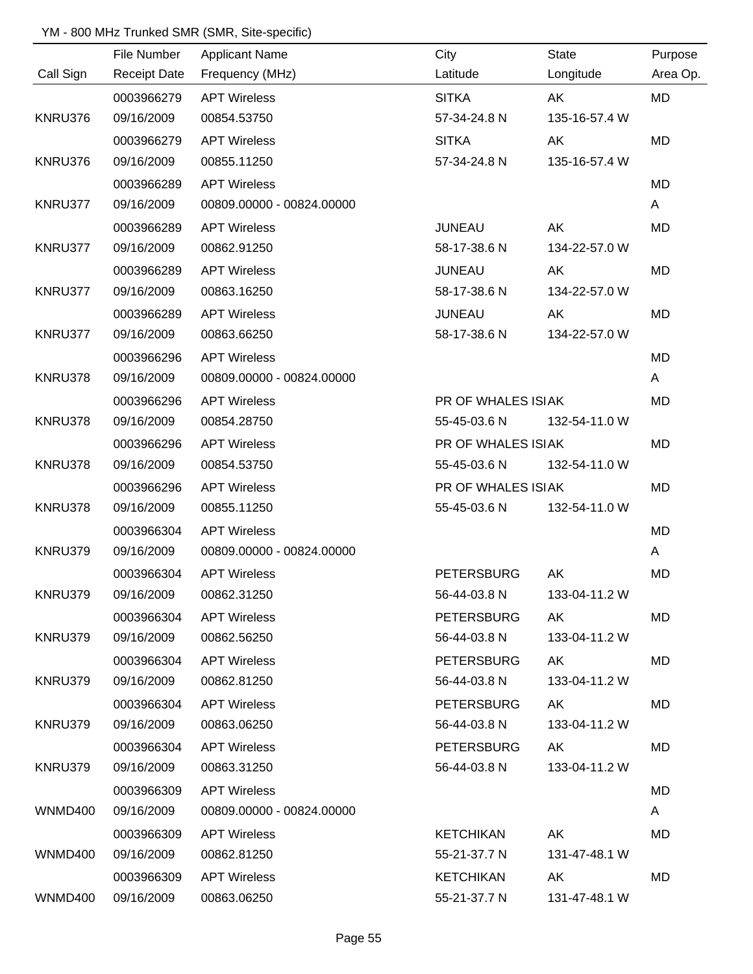### YM - 800 MHz Trunked SMR (SMR, Site-specific)

|                | File Number | <b>Applicant Name</b>        | City               | <b>State</b>  | Purpose      |
|----------------|-------------|------------------------------|--------------------|---------------|--------------|
| Call Sign      |             | Receipt Date Frequency (MHz) | Latitude           | Longitude     | Area Op.     |
|                | 0003966279  | <b>APT Wireless</b>          | <b>SITKA</b>       | AK            | <b>MD</b>    |
| KNRU376        | 09/16/2009  | 00854.53750                  | 57-34-24.8 N       | 135-16-57.4 W |              |
|                | 0003966279  | <b>APT Wireless</b>          | <b>SITKA</b>       | AK            | <b>MD</b>    |
| KNRU376        | 09/16/2009  | 00855.11250                  | 57-34-24.8 N       | 135-16-57.4 W |              |
|                | 0003966289  | <b>APT Wireless</b>          |                    |               | <b>MD</b>    |
| KNRU377        | 09/16/2009  | 00809.00000 - 00824.00000    |                    |               | $\mathsf{A}$ |
|                | 0003966289  | <b>APT Wireless</b>          | <b>JUNEAU</b>      | AK            | <b>MD</b>    |
| KNRU377        | 09/16/2009  | 00862.91250                  | 58-17-38.6 N       | 134-22-57.0 W |              |
|                | 0003966289  | <b>APT Wireless</b>          | <b>JUNEAU</b>      | AK            | <b>MD</b>    |
| KNRU377        | 09/16/2009  | 00863.16250                  | 58-17-38.6 N       | 134-22-57.0 W |              |
|                | 0003966289  | <b>APT Wireless</b>          | <b>JUNEAU</b>      | AK            | <b>MD</b>    |
| KNRU377        | 09/16/2009  | 00863.66250                  | 58-17-38.6 N       | 134-22-57.0 W |              |
|                | 0003966296  | <b>APT Wireless</b>          |                    |               | <b>MD</b>    |
| KNRU378        | 09/16/2009  | 00809.00000 - 00824.00000    |                    |               | $\mathsf{A}$ |
|                | 0003966296  | <b>APT Wireless</b>          | PR OF WHALES ISIAK |               | <b>MD</b>    |
| KNRU378        | 09/16/2009  | 00854.28750                  | 55-45-03.6 N       | 132-54-11.0 W |              |
|                | 0003966296  | <b>APT Wireless</b>          | PR OF WHALES ISIAK |               | <b>MD</b>    |
| KNRU378        | 09/16/2009  | 00854.53750                  | 55-45-03.6 N       | 132-54-11.0 W |              |
|                | 0003966296  | <b>APT Wireless</b>          | PR OF WHALES ISIAK |               | <b>MD</b>    |
| KNRU378        | 09/16/2009  | 00855.11250                  | 55-45-03.6 N       | 132-54-11.0 W |              |
|                | 0003966304  | <b>APT Wireless</b>          |                    |               | <b>MD</b>    |
| KNRU379        | 09/16/2009  | 00809.00000 - 00824.00000    |                    |               | A            |
|                | 0003966304  | <b>APT Wireless</b>          | <b>PETERSBURG</b>  | AK            | <b>MD</b>    |
| KNRU379        | 09/16/2009  | 00862.31250                  | 56-44-03.8 N       | 133-04-11.2 W |              |
|                | 0003966304  | <b>APT Wireless</b>          | <b>PETERSBURG</b>  | AK            | <b>MD</b>    |
| KNRU379        | 09/16/2009  | 00862.56250                  | 56-44-03.8 N       | 133-04-11.2 W |              |
|                | 0003966304  | <b>APT Wireless</b>          | <b>PETERSBURG</b>  | AK            | MD           |
| KNRU379        | 09/16/2009  | 00862.81250                  | 56-44-03.8 N       | 133-04-11.2 W |              |
|                | 0003966304  | <b>APT Wireless</b>          | <b>PETERSBURG</b>  | AK            | MD           |
| KNRU379        | 09/16/2009  | 00863.06250                  | 56-44-03.8 N       | 133-04-11.2 W |              |
|                | 0003966304  | <b>APT Wireless</b>          | <b>PETERSBURG</b>  | AK            | MD           |
| KNRU379        | 09/16/2009  | 00863.31250                  | 56-44-03.8 N       | 133-04-11.2 W |              |
|                | 0003966309  | <b>APT Wireless</b>          |                    |               | MD           |
| WNMD400        | 09/16/2009  | 00809.00000 - 00824.00000    |                    |               | A            |
|                | 0003966309  | <b>APT Wireless</b>          | <b>KETCHIKAN</b>   | AK            | MD.          |
| WNMD400        | 09/16/2009  | 00862.81250                  | 55-21-37.7 N       | 131-47-48.1 W |              |
|                | 0003966309  | <b>APT Wireless</b>          | <b>KETCHIKAN</b>   | AK            | MD           |
| <b>WNMD400</b> | 09/16/2009  | 00863.06250                  | 55-21-37.7 N       | 131-47-48.1 W |              |